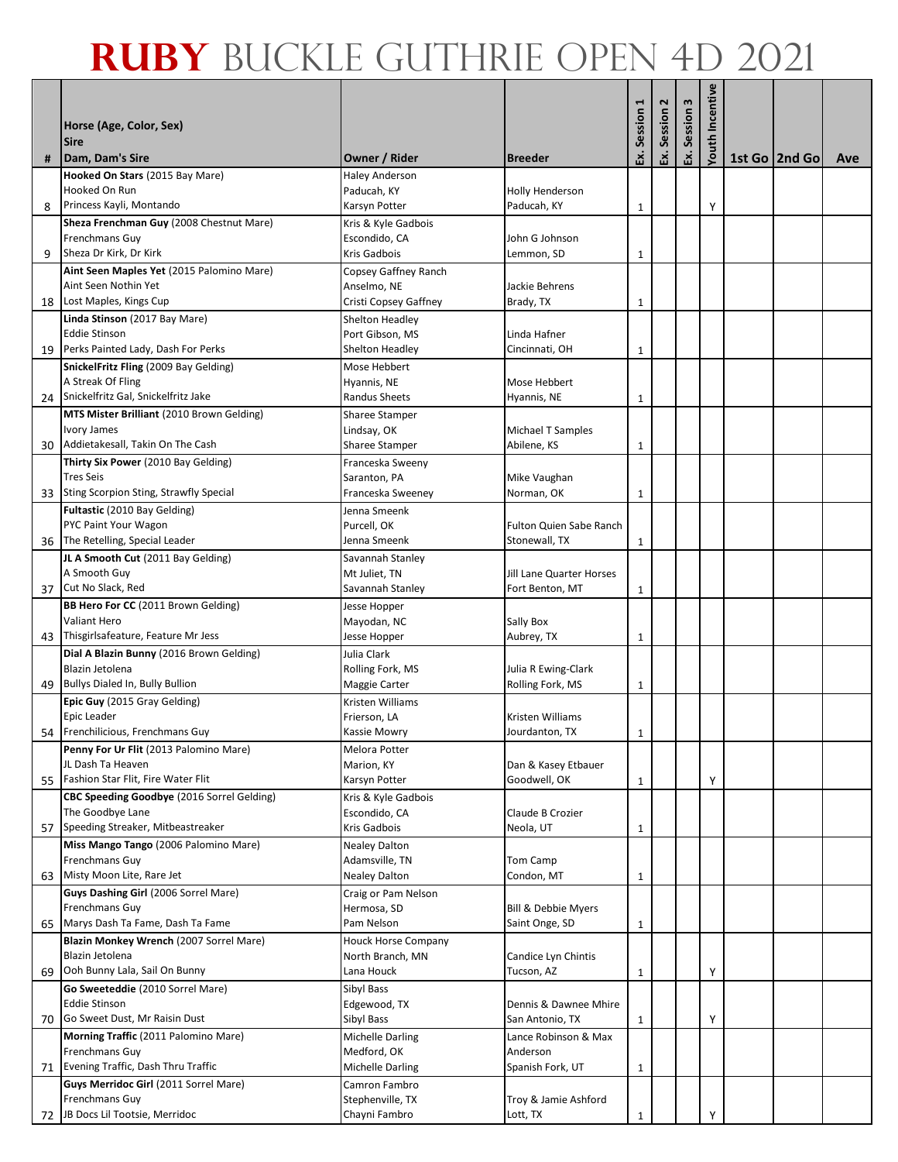|    |                                                                                |                                                |                                                 | H            | 2       | $\boldsymbol{\omega}$ | Youth Incentive |                 |     |
|----|--------------------------------------------------------------------------------|------------------------------------------------|-------------------------------------------------|--------------|---------|-----------------------|-----------------|-----------------|-----|
|    | Horse (Age, Color, Sex)<br><b>Sire</b>                                         |                                                |                                                 | Session      | Session | Session               |                 |                 |     |
| #  | Dam, Dam's Sire                                                                | <b>Owner / Rider</b>                           | <b>Breeder</b>                                  | Εx.          | Εx.     | <u>ន</u>              |                 | 1st Go   2nd Go | Ave |
|    | Hooked On Stars (2015 Bay Mare)                                                | <b>Haley Anderson</b>                          |                                                 |              |         |                       |                 |                 |     |
|    | Hooked On Run                                                                  | Paducah, KY                                    | Holly Henderson                                 |              |         |                       |                 |                 |     |
| 8  | Princess Kayli, Montando                                                       | Karsyn Potter                                  | Paducah, KY                                     | 1            |         |                       | Υ               |                 |     |
|    | Sheza Frenchman Guy (2008 Chestnut Mare)<br>Frenchmans Guy                     | Kris & Kyle Gadbois<br>Escondido, CA           | John G Johnson                                  |              |         |                       |                 |                 |     |
| 9  | Sheza Dr Kirk, Dr Kirk                                                         | Kris Gadbois                                   | Lemmon, SD                                      | 1            |         |                       |                 |                 |     |
|    | Aint Seen Maples Yet (2015 Palomino Mare)                                      | Copsey Gaffney Ranch                           |                                                 |              |         |                       |                 |                 |     |
|    | Aint Seen Nothin Yet                                                           | Anselmo, NE                                    | Jackie Behrens                                  |              |         |                       |                 |                 |     |
| 18 | Lost Maples, Kings Cup                                                         | Cristi Copsey Gaffney                          | Brady, TX                                       | 1            |         |                       |                 |                 |     |
|    | Linda Stinson (2017 Bay Mare)<br><b>Eddie Stinson</b>                          | Shelton Headley<br>Port Gibson, MS             | Linda Hafner                                    |              |         |                       |                 |                 |     |
|    | 19 Perks Painted Lady, Dash For Perks                                          | Shelton Headley                                | Cincinnati, OH                                  | 1            |         |                       |                 |                 |     |
|    | SnickelFritz Fling (2009 Bay Gelding)                                          | Mose Hebbert                                   |                                                 |              |         |                       |                 |                 |     |
|    | A Streak Of Fling                                                              | Hyannis, NE                                    | Mose Hebbert                                    |              |         |                       |                 |                 |     |
|    | 24 Snickelfritz Gal, Snickelfritz Jake                                         | <b>Randus Sheets</b>                           | Hyannis, NE                                     | 1            |         |                       |                 |                 |     |
|    | MTS Mister Brilliant (2010 Brown Gelding)<br>Ivory James                       | Sharee Stamper                                 |                                                 |              |         |                       |                 |                 |     |
| 30 | Addietakesall, Takin On The Cash                                               | Lindsay, OK<br>Sharee Stamper                  | Michael T Samples<br>Abilene, KS                | 1            |         |                       |                 |                 |     |
|    | Thirty Six Power (2010 Bay Gelding)                                            | Franceska Sweeny                               |                                                 |              |         |                       |                 |                 |     |
|    | <b>Tres Seis</b>                                                               | Saranton, PA                                   | Mike Vaughan                                    |              |         |                       |                 |                 |     |
|    | 33 Sting Scorpion Sting, Strawfly Special                                      | Franceska Sweeney                              | Norman, OK                                      | 1            |         |                       |                 |                 |     |
|    | Fultastic (2010 Bay Gelding)                                                   | Jenna Smeenk                                   |                                                 |              |         |                       |                 |                 |     |
| 36 | PYC Paint Your Wagon<br>The Retelling, Special Leader                          | Purcell, OK<br>Jenna Smeenk                    | <b>Fulton Quien Sabe Ranch</b><br>Stonewall, TX |              |         |                       |                 |                 |     |
|    | JL A Smooth Cut (2011 Bay Gelding)                                             | Savannah Stanley                               |                                                 | 1            |         |                       |                 |                 |     |
|    | A Smooth Guy                                                                   | Mt Juliet, TN                                  | Jill Lane Quarter Horses                        |              |         |                       |                 |                 |     |
| 37 | Cut No Slack, Red                                                              | Savannah Stanley                               | Fort Benton, MT                                 | 1            |         |                       |                 |                 |     |
|    | BB Hero For CC (2011 Brown Gelding)                                            | Jesse Hopper                                   |                                                 |              |         |                       |                 |                 |     |
|    | <b>Valiant Hero</b>                                                            | Mayodan, NC                                    | Sally Box                                       |              |         |                       |                 |                 |     |
| 43 | Thisgirlsafeature, Feature Mr Jess<br>Dial A Blazin Bunny (2016 Brown Gelding) | Jesse Hopper<br>Julia Clark                    | Aubrey, TX                                      | 1            |         |                       |                 |                 |     |
|    | Blazin Jetolena                                                                | Rolling Fork, MS                               | Julia R Ewing-Clark                             |              |         |                       |                 |                 |     |
| 49 | Bullys Dialed In, Bully Bullion                                                | Maggie Carter                                  | Rolling Fork, MS                                | 1            |         |                       |                 |                 |     |
|    | Epic Guy (2015 Gray Gelding)                                                   | Kristen Williams                               |                                                 |              |         |                       |                 |                 |     |
|    | Epic Leader                                                                    | Frierson, LA                                   | Kristen Williams                                |              |         |                       |                 |                 |     |
|    | 54 Frenchilicious, Frenchmans Guy                                              | <b>Kassie Mowry</b>                            | Jourdanton. TX                                  | 1            |         |                       |                 |                 |     |
|    | Penny For Ur Flit (2013 Palomino Mare)<br>JL Dash Ta Heaven                    | Melora Potter<br>Marion, KY                    | Dan & Kasey Etbauer                             |              |         |                       |                 |                 |     |
| 55 | Fashion Star Flit, Fire Water Flit                                             | Karsyn Potter                                  | Goodwell, OK                                    | $\mathbf{1}$ |         |                       | Υ               |                 |     |
|    | CBC Speeding Goodbye (2016 Sorrel Gelding)                                     | Kris & Kyle Gadbois                            |                                                 |              |         |                       |                 |                 |     |
|    | The Goodbye Lane                                                               | Escondido, CA                                  | Claude B Crozier                                |              |         |                       |                 |                 |     |
| 57 | Speeding Streaker, Mitbeastreaker                                              | Kris Gadbois                                   | Neola, UT                                       | 1            |         |                       |                 |                 |     |
|    | Miss Mango Tango (2006 Palomino Mare)<br>Frenchmans Guy                        | <b>Nealey Dalton</b><br>Adamsville, TN         | Tom Camp                                        |              |         |                       |                 |                 |     |
| 63 | Misty Moon Lite, Rare Jet                                                      | <b>Nealey Dalton</b>                           | Condon, MT                                      | 1            |         |                       |                 |                 |     |
|    | Guys Dashing Girl (2006 Sorrel Mare)                                           | Craig or Pam Nelson                            |                                                 |              |         |                       |                 |                 |     |
|    | Frenchmans Guy                                                                 | Hermosa, SD                                    | Bill & Debbie Myers                             |              |         |                       |                 |                 |     |
| 65 | Marys Dash Ta Fame, Dash Ta Fame                                               | Pam Nelson                                     | Saint Onge, SD                                  | 1            |         |                       |                 |                 |     |
|    | Blazin Monkey Wrench (2007 Sorrel Mare)<br>Blazin Jetolena                     | <b>Houck Horse Company</b><br>North Branch, MN | Candice Lyn Chintis                             |              |         |                       |                 |                 |     |
| 69 | Ooh Bunny Lala, Sail On Bunny                                                  | Lana Houck                                     | Tucson, AZ                                      | 1            |         |                       | Υ               |                 |     |
|    | Go Sweeteddie (2010 Sorrel Mare)                                               | Sibyl Bass                                     |                                                 |              |         |                       |                 |                 |     |
|    | <b>Eddie Stinson</b>                                                           | Edgewood, TX                                   | Dennis & Dawnee Mhire                           |              |         |                       |                 |                 |     |
| 70 | Go Sweet Dust, Mr Raisin Dust                                                  | Sibyl Bass                                     | San Antonio, TX                                 | 1            |         |                       | Υ               |                 |     |
|    | Morning Traffic (2011 Palomino Mare)                                           | Michelle Darling                               | Lance Robinson & Max                            |              |         |                       |                 |                 |     |
| 71 | Frenchmans Guy<br>Evening Traffic, Dash Thru Traffic                           | Medford, OK<br><b>Michelle Darling</b>         | Anderson<br>Spanish Fork, UT                    | 1            |         |                       |                 |                 |     |
|    | Guys Merridoc Girl (2011 Sorrel Mare)                                          | Camron Fambro                                  |                                                 |              |         |                       |                 |                 |     |
|    | Frenchmans Guy                                                                 | Stephenville, TX                               | Troy & Jamie Ashford                            |              |         |                       |                 |                 |     |
| 72 | JB Docs Lil Tootsie, Merridoc                                                  | Chayni Fambro                                  | Lott, TX                                        | 1            |         |                       |                 |                 |     |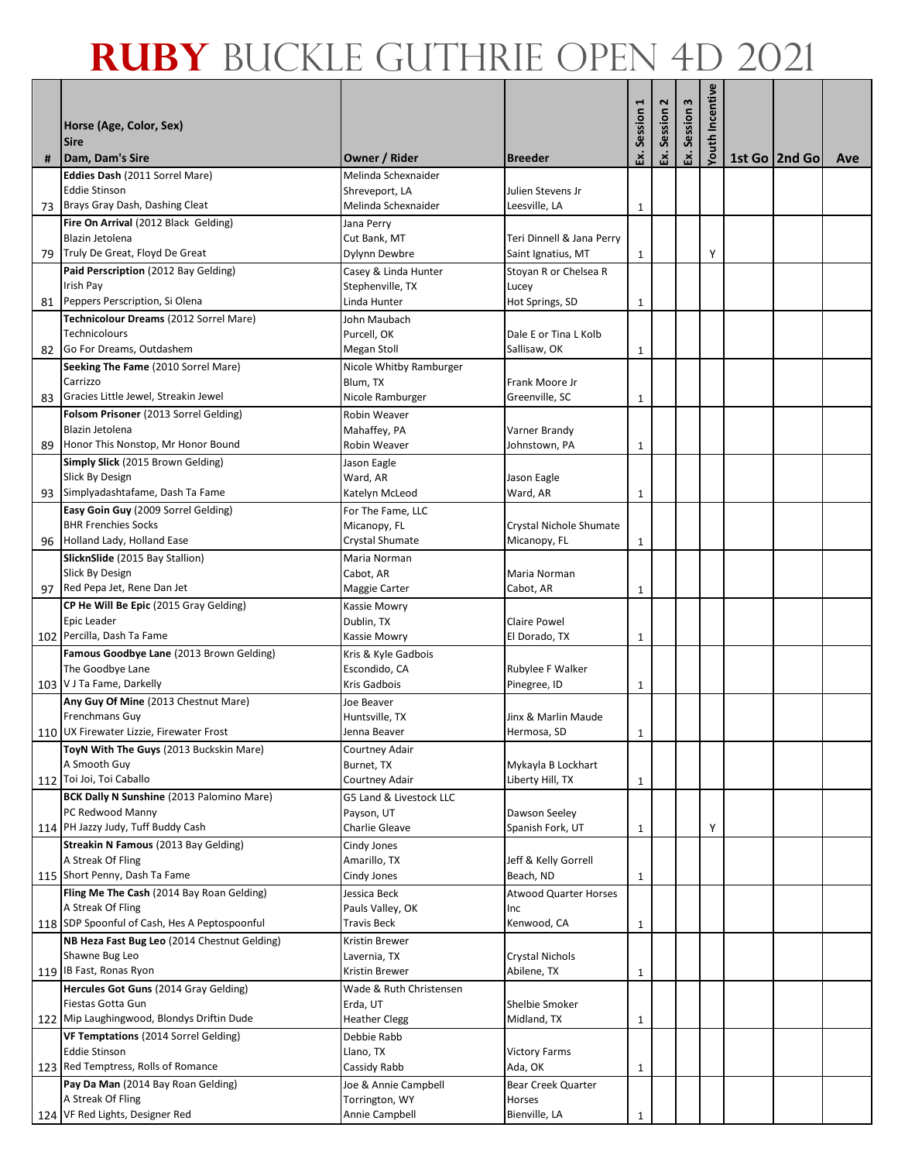|    | Horse (Age, Color, Sex)<br><b>Sire</b>                                        |                                           |                                   | Session | 2<br>Session | $\boldsymbol{\omega}$<br>Session | Youth Incentive |                 |     |
|----|-------------------------------------------------------------------------------|-------------------------------------------|-----------------------------------|---------|--------------|----------------------------------|-----------------|-----------------|-----|
| #  | Dam, Dam's Sire                                                               | <b>Owner / Rider</b>                      | <b>Breeder</b>                    | Ŀ.      | Ŀ.           | ន<br>                            |                 | 1st Go   2nd Go | Ave |
|    | Eddies Dash (2011 Sorrel Mare)                                                | Melinda Schexnaider                       |                                   |         |              |                                  |                 |                 |     |
|    | <b>Eddie Stinson</b>                                                          | Shreveport, LA                            | Julien Stevens Jr                 |         |              |                                  |                 |                 |     |
| 73 | Brays Gray Dash, Dashing Cleat<br>Fire On Arrival (2012 Black Gelding)        | Melinda Schexnaider                       | Leesville, LA                     | 1       |              |                                  |                 |                 |     |
|    | Blazin Jetolena                                                               | Jana Perry<br>Cut Bank, MT                | Teri Dinnell & Jana Perry         |         |              |                                  |                 |                 |     |
| 79 | Truly De Great, Floyd De Great                                                | Dylynn Dewbre                             | Saint Ignatius, MT                | 1       |              |                                  | Υ               |                 |     |
|    | Paid Perscription (2012 Bay Gelding)                                          | Casey & Linda Hunter                      | Stoyan R or Chelsea R             |         |              |                                  |                 |                 |     |
|    | Irish Pay                                                                     | Stephenville, TX                          | Lucey                             |         |              |                                  |                 |                 |     |
| 81 | Peppers Perscription, Si Olena<br>Technicolour Dreams (2012 Sorrel Mare)      | Linda Hunter<br>John Maubach              | Hot Springs, SD                   | 1       |              |                                  |                 |                 |     |
|    | Technicolours                                                                 | Purcell, OK                               | Dale E or Tina L Kolb             |         |              |                                  |                 |                 |     |
|    | 82 Go For Dreams, Outdashem                                                   | Megan Stoll                               | Sallisaw, OK                      | 1       |              |                                  |                 |                 |     |
|    | Seeking The Fame (2010 Sorrel Mare)                                           | Nicole Whitby Ramburger                   |                                   |         |              |                                  |                 |                 |     |
|    | Carrizzo                                                                      | Blum, TX                                  | Frank Moore Jr                    |         |              |                                  |                 |                 |     |
| 83 | Gracies Little Jewel, Streakin Jewel<br>Folsom Prisoner (2013 Sorrel Gelding) | Nicole Ramburger<br>Robin Weaver          | Greenville, SC                    | 1       |              |                                  |                 |                 |     |
|    | Blazin Jetolena                                                               | Mahaffey, PA                              | Varner Brandy                     |         |              |                                  |                 |                 |     |
| 89 | Honor This Nonstop, Mr Honor Bound                                            | <b>Robin Weaver</b>                       | Johnstown, PA                     | 1       |              |                                  |                 |                 |     |
|    | Simply Slick (2015 Brown Gelding)                                             | Jason Eagle                               |                                   |         |              |                                  |                 |                 |     |
|    | Slick By Design                                                               | Ward, AR                                  | Jason Eagle                       |         |              |                                  |                 |                 |     |
|    | 93 Simplyadashtafame, Dash Ta Fame                                            | Katelyn McLeod                            | Ward, AR                          | 1       |              |                                  |                 |                 |     |
|    | Easy Goin Guy (2009 Sorrel Gelding)<br><b>BHR Frenchies Socks</b>             | For The Fame, LLC<br>Micanopy, FL         | Crystal Nichole Shumate           |         |              |                                  |                 |                 |     |
| 96 | Holland Lady, Holland Ease                                                    | Crystal Shumate                           | Micanopy, FL                      | 1       |              |                                  |                 |                 |     |
|    | SlicknSlide (2015 Bay Stallion)                                               | Maria Norman                              |                                   |         |              |                                  |                 |                 |     |
|    | Slick By Design                                                               | Cabot, AR                                 | Maria Norman                      |         |              |                                  |                 |                 |     |
| 97 | Red Pepa Jet, Rene Dan Jet                                                    | Maggie Carter                             | Cabot, AR                         | 1       |              |                                  |                 |                 |     |
|    | CP He Will Be Epic (2015 Gray Gelding)<br>Epic Leader                         | Kassie Mowry<br>Dublin, TX                | <b>Claire Powel</b>               |         |              |                                  |                 |                 |     |
|    | 102 Percilla, Dash Ta Fame                                                    | Kassie Mowry                              | El Dorado, TX                     | 1       |              |                                  |                 |                 |     |
|    | Famous Goodbye Lane (2013 Brown Gelding)                                      | Kris & Kyle Gadbois                       |                                   |         |              |                                  |                 |                 |     |
|    | The Goodbye Lane                                                              | Escondido, CA                             | Rubylee F Walker                  |         |              |                                  |                 |                 |     |
|    | 103 V J Ta Fame, Darkelly                                                     | Kris Gadbois                              | Pinegree, ID                      | 1       |              |                                  |                 |                 |     |
|    | Any Guy Of Mine (2013 Chestnut Mare)<br>Frenchmans Guy                        | Joe Beaver<br>Huntsville, TX              | Jinx & Marlin Maude               |         |              |                                  |                 |                 |     |
|    | 110 UX Firewater Lizzie, Firewater Frost                                      | Jenna Beaver                              | Hermosa, SD                       | 1       |              |                                  |                 |                 |     |
|    | ToyN With The Guys (2013 Buckskin Mare)                                       | Courtney Adair                            |                                   |         |              |                                  |                 |                 |     |
|    | A Smooth Guy                                                                  | Burnet, TX                                | Mykayla B Lockhart                |         |              |                                  |                 |                 |     |
|    | 112 Toi Joi, Toi Caballo<br>BCK Dally N Sunshine (2013 Palomino Mare)         | Courtney Adair<br>G5 Land & Livestock LLC | Liberty Hill, TX                  | 1       |              |                                  |                 |                 |     |
|    | PC Redwood Manny                                                              | Payson, UT                                | Dawson Seeley                     |         |              |                                  |                 |                 |     |
|    | 114 PH Jazzy Judy, Tuff Buddy Cash                                            | Charlie Gleave                            | Spanish Fork, UT                  | 1       |              |                                  | Υ               |                 |     |
|    | <b>Streakin N Famous (2013 Bay Gelding)</b>                                   | Cindy Jones                               |                                   |         |              |                                  |                 |                 |     |
|    | A Streak Of Fling<br>115 Short Penny, Dash Ta Fame                            | Amarillo, TX                              | Jeff & Kelly Gorrell<br>Beach, ND |         |              |                                  |                 |                 |     |
|    | Fling Me The Cash (2014 Bay Roan Gelding)                                     | Cindy Jones<br>Jessica Beck               | <b>Atwood Quarter Horses</b>      | 1       |              |                                  |                 |                 |     |
|    | A Streak Of Fling                                                             | Pauls Valley, OK                          | Inc                               |         |              |                                  |                 |                 |     |
|    | 118 SDP Spoonful of Cash, Hes A Peptospoonful                                 | <b>Travis Beck</b>                        | Kenwood, CA                       | 1       |              |                                  |                 |                 |     |
|    | NB Heza Fast Bug Leo (2014 Chestnut Gelding)                                  | Kristin Brewer                            |                                   |         |              |                                  |                 |                 |     |
|    | Shawne Bug Leo<br>119 IB Fast, Ronas Ryon                                     | Lavernia, TX                              | <b>Crystal Nichols</b>            |         |              |                                  |                 |                 |     |
|    | Hercules Got Guns (2014 Gray Gelding)                                         | Kristin Brewer<br>Wade & Ruth Christensen | Abilene, TX                       | 1       |              |                                  |                 |                 |     |
|    | Fiestas Gotta Gun                                                             | Erda, UT                                  | Shelbie Smoker                    |         |              |                                  |                 |                 |     |
|    | 122 Mip Laughingwood, Blondys Driftin Dude                                    | <b>Heather Clegg</b>                      | Midland, TX                       | 1       |              |                                  |                 |                 |     |
|    | VF Temptations (2014 Sorrel Gelding)                                          | Debbie Rabb                               |                                   |         |              |                                  |                 |                 |     |
|    | <b>Eddie Stinson</b><br>123 Red Temptress, Rolls of Romance                   | Llano, TX                                 | <b>Victory Farms</b>              |         |              |                                  |                 |                 |     |
|    | Pay Da Man (2014 Bay Roan Gelding)                                            | Cassidy Rabb<br>loe & Annie Campbell      | Ada, OK<br>Bear Creek Quarter     | 1       |              |                                  |                 |                 |     |
|    | A Streak Of Fling                                                             | Torrington, WY                            | Horses                            |         |              |                                  |                 |                 |     |
|    | 124 VF Red Lights, Designer Red                                               | Annie Campbell                            | Bienville, LA                     | 1       |              |                                  |                 |                 |     |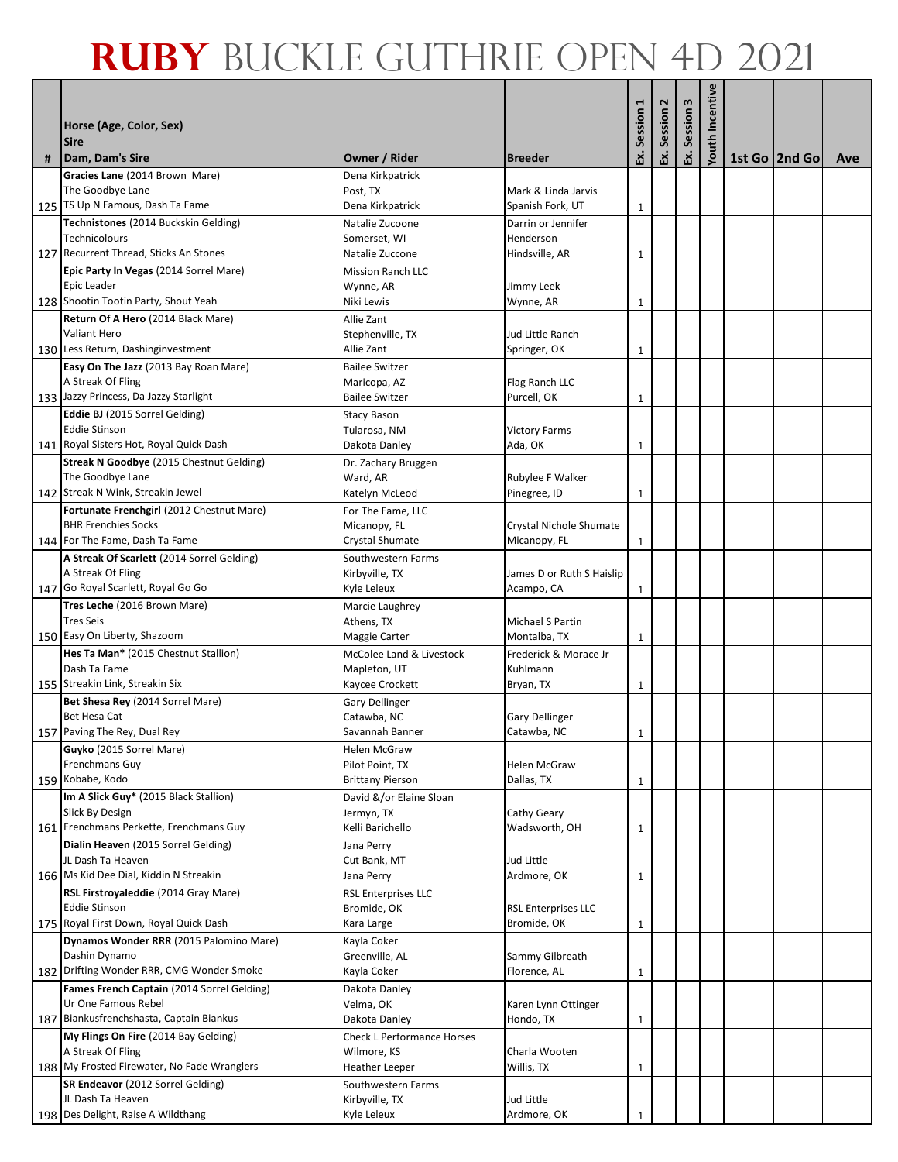| # | Horse (Age, Color, Sex)<br><b>Sire</b><br>Dam, Dam's Sire        | Owner / Rider                        | <b>Breeder</b>             | Session<br>Ŀ. | 2<br>Session<br>Ŀ. | Session 3<br>ន<br> | Youth Incentive | 1st Go 2nd Go | Ave |
|---|------------------------------------------------------------------|--------------------------------------|----------------------------|---------------|--------------------|--------------------|-----------------|---------------|-----|
|   | Gracies Lane (2014 Brown Mare)                                   | Dena Kirkpatrick                     |                            |               |                    |                    |                 |               |     |
|   | The Goodbye Lane                                                 | Post, TX                             | Mark & Linda Jarvis        |               |                    |                    |                 |               |     |
|   | 125 TS Up N Famous, Dash Ta Fame                                 | Dena Kirkpatrick                     | Spanish Fork, UT           | 1             |                    |                    |                 |               |     |
|   | Technistones (2014 Buckskin Gelding)                             | Natalie Zucoone                      | Darrin or Jennifer         |               |                    |                    |                 |               |     |
|   | <b>Technicolours</b>                                             | Somerset, WI                         | Henderson                  |               |                    |                    |                 |               |     |
|   | 127 Recurrent Thread, Sticks An Stones                           | Natalie Zuccone                      | Hindsville, AR             | 1             |                    |                    |                 |               |     |
|   | Epic Party In Vegas (2014 Sorrel Mare)                           | <b>Mission Ranch LLC</b>             |                            |               |                    |                    |                 |               |     |
|   | Epic Leader                                                      | Wynne, AR                            | Jimmy Leek                 |               |                    |                    |                 |               |     |
|   | 128 Shootin Tootin Party, Shout Yeah                             | Niki Lewis                           | Wynne, AR                  | 1             |                    |                    |                 |               |     |
|   | Return Of A Hero (2014 Black Mare)                               | Allie Zant                           |                            |               |                    |                    |                 |               |     |
|   | Valiant Hero                                                     | Stephenville, TX                     | Jud Little Ranch           |               |                    |                    |                 |               |     |
|   | 130 Less Return, Dashinginvestment                               | Allie Zant                           | Springer, OK               | 1             |                    |                    |                 |               |     |
|   | Easy On The Jazz (2013 Bay Roan Mare)                            | <b>Bailee Switzer</b>                |                            |               |                    |                    |                 |               |     |
|   | A Streak Of Fling                                                | Maricopa, AZ                         | Flag Ranch LLC             |               |                    |                    |                 |               |     |
|   | 133 Jazzy Princess, Da Jazzy Starlight                           | <b>Bailee Switzer</b>                | Purcell, OK                | 1             |                    |                    |                 |               |     |
|   | Eddie BJ (2015 Sorrel Gelding)                                   | <b>Stacy Bason</b>                   |                            |               |                    |                    |                 |               |     |
|   | <b>Eddie Stinson</b>                                             | Tularosa, NM                         | <b>Victory Farms</b>       |               |                    |                    |                 |               |     |
|   | 141 Royal Sisters Hot, Royal Quick Dash                          | Dakota Danley                        | Ada, OK                    | 1             |                    |                    |                 |               |     |
|   | Streak N Goodbye (2015 Chestnut Gelding)                         | Dr. Zachary Bruggen                  |                            |               |                    |                    |                 |               |     |
|   | The Goodbye Lane                                                 | Ward, AR                             | Rubylee F Walker           |               |                    |                    |                 |               |     |
|   | 142 Streak N Wink, Streakin Jewel                                | Katelyn McLeod                       | Pinegree, ID               | 1             |                    |                    |                 |               |     |
|   | Fortunate Frenchgirl (2012 Chestnut Mare)                        | For The Fame, LLC                    |                            |               |                    |                    |                 |               |     |
|   | <b>BHR Frenchies Socks</b>                                       | Micanopy, FL                         | Crystal Nichole Shumate    |               |                    |                    |                 |               |     |
|   | 144 For The Fame, Dash Ta Fame                                   | Crystal Shumate                      | Micanopy, FL               | 1             |                    |                    |                 |               |     |
|   | A Streak Of Scarlett (2014 Sorrel Gelding)                       | Southwestern Farms                   |                            |               |                    |                    |                 |               |     |
|   | A Streak Of Fling                                                | Kirbyville, TX                       | James D or Ruth S Haislip  |               |                    |                    |                 |               |     |
|   | 147 Go Royal Scarlett, Royal Go Go                               | Kyle Leleux                          | Acampo, CA                 | 1             |                    |                    |                 |               |     |
|   | Tres Leche (2016 Brown Mare)                                     | Marcie Laughrey                      |                            |               |                    |                    |                 |               |     |
|   | <b>Tres Seis</b>                                                 | Athens, TX                           | Michael S Partin           |               |                    |                    |                 |               |     |
|   | 150 Easy On Liberty, Shazoom                                     | Maggie Carter                        | Montalba, TX               | 1             |                    |                    |                 |               |     |
|   | Hes Ta Man* (2015 Chestnut Stallion)                             | McColee Land & Livestock             | Frederick & Morace Jr      |               |                    |                    |                 |               |     |
|   | Dash Ta Fame<br>155 Streakin Link, Streakin Six                  | Mapleton, UT                         | Kuhlmann                   |               |                    |                    |                 |               |     |
|   |                                                                  | Kaycee Crockett                      | Bryan, TX                  | 1             |                    |                    |                 |               |     |
|   | Bet Shesa Rey (2014 Sorrel Mare)<br>Bet Hesa Cat                 | Gary Dellinger<br>Catawba, NC        | <b>Gary Dellinger</b>      |               |                    |                    |                 |               |     |
|   | 157 Paving The Rey, Dual Rey                                     | Savannah Banner                      | Catawba, NC                |               |                    |                    |                 |               |     |
|   | Guyko (2015 Sorrel Mare)                                         | Helen McGraw                         |                            | 1             |                    |                    |                 |               |     |
|   | Frenchmans Guv                                                   | Pilot Point, TX                      | <b>Helen McGraw</b>        |               |                    |                    |                 |               |     |
|   | 159 Kobabe, Kodo                                                 | <b>Brittany Pierson</b>              | Dallas, TX                 | 1             |                    |                    |                 |               |     |
|   | Im A Slick Guy* (2015 Black Stallion)                            | David &/or Elaine Sloan              |                            |               |                    |                    |                 |               |     |
|   | Slick By Design                                                  | Jermyn, TX                           | Cathy Geary                |               |                    |                    |                 |               |     |
|   | 161 Frenchmans Perkette, Frenchmans Guy                          | Kelli Barichello                     | Wadsworth, OH              | 1             |                    |                    |                 |               |     |
|   | Dialin Heaven (2015 Sorrel Gelding)                              | Jana Perry                           |                            |               |                    |                    |                 |               |     |
|   | JL Dash Ta Heaven                                                | Cut Bank, MT                         | Jud Little                 |               |                    |                    |                 |               |     |
|   | 166 Ms Kid Dee Dial, Kiddin N Streakin                           | Jana Perry                           | Ardmore, OK                | 1             |                    |                    |                 |               |     |
|   | RSL Firstroyaleddie (2014 Gray Mare)                             | <b>RSL Enterprises LLC</b>           |                            |               |                    |                    |                 |               |     |
|   | <b>Eddie Stinson</b>                                             | Bromide, OK                          | <b>RSL Enterprises LLC</b> |               |                    |                    |                 |               |     |
|   | 175 Royal First Down, Royal Quick Dash                           | Kara Large                           | Bromide, OK                | 1             |                    |                    |                 |               |     |
|   | Dynamos Wonder RRR (2015 Palomino Mare)                          | Kayla Coker                          |                            |               |                    |                    |                 |               |     |
|   | Dashin Dynamo                                                    | Greenville, AL                       | Sammy Gilbreath            |               |                    |                    |                 |               |     |
|   | 182 Drifting Wonder RRR, CMG Wonder Smoke                        | Kayla Coker                          | Florence, AL               | 1             |                    |                    |                 |               |     |
|   | Fames French Captain (2014 Sorrel Gelding)                       | Dakota Danley                        |                            |               |                    |                    |                 |               |     |
|   | Ur One Famous Rebel                                              | Velma, OK                            | Karen Lynn Ottinger        |               |                    |                    |                 |               |     |
|   | 187 Biankusfrenchshasta, Captain Biankus                         | Dakota Danley                        | Hondo, TX                  | 1             |                    |                    |                 |               |     |
|   | My Flings On Fire (2014 Bay Gelding)                             | <b>Check L Performance Horses</b>    |                            |               |                    |                    |                 |               |     |
|   | A Streak Of Fling<br>188 My Frosted Firewater, No Fade Wranglers | Wilmore, KS                          | Charla Wooten              |               |                    |                    |                 |               |     |
|   |                                                                  | <b>Heather Leeper</b>                | Willis, TX                 | 1             |                    |                    |                 |               |     |
|   | SR Endeavor (2012 Sorrel Gelding)<br>JL Dash Ta Heaven           | Southwestern Farms<br>Kirbyville, TX | Jud Little                 |               |                    |                    |                 |               |     |
|   | 198 Des Delight, Raise A Wildthang                               | Kyle Leleux                          | Ardmore, OK                | 1             |                    |                    |                 |               |     |
|   |                                                                  |                                      |                            |               |                    |                    |                 |               |     |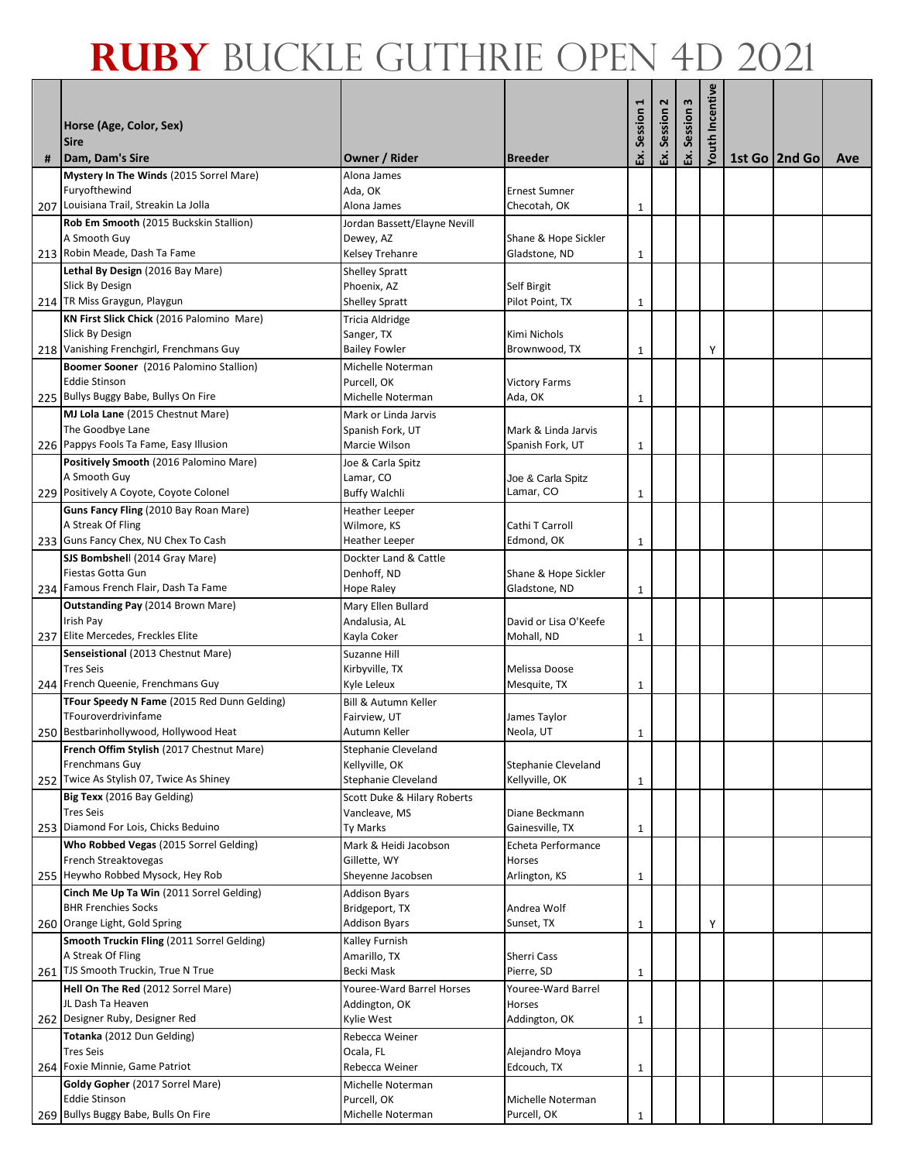|   | Horse (Age, Color, Sex)                                       |                                           |                                         | Session      | 2<br>Session | Session 3 | <b>Youth Incentive</b> |                 |     |
|---|---------------------------------------------------------------|-------------------------------------------|-----------------------------------------|--------------|--------------|-----------|------------------------|-----------------|-----|
| # | <b>Sire</b><br>Dam, Dam's Sire                                | Owner / Rider                             | <b>Breeder</b>                          | Ŀ.           | <u>ន</u> ័   | Š.        |                        | 1st Go   2nd Go | Ave |
|   | Mystery In The Winds (2015 Sorrel Mare)                       | Alona James                               |                                         |              |              |           |                        |                 |     |
|   | Furyofthewind                                                 | Ada, OK                                   | <b>Ernest Sumner</b>                    |              |              |           |                        |                 |     |
|   | 207 Louisiana Trail, Streakin La Jolla                        | Alona James                               | Checotah, OK                            | 1            |              |           |                        |                 |     |
|   | Rob Em Smooth (2015 Buckskin Stallion)<br>A Smooth Guy        | Jordan Bassett/Elayne Nevill<br>Dewey, AZ | Shane & Hope Sickler                    |              |              |           |                        |                 |     |
|   | 213 Robin Meade, Dash Ta Fame                                 | Kelsey Trehanre                           | Gladstone, ND                           | 1            |              |           |                        |                 |     |
|   | Lethal By Design (2016 Bay Mare)                              | <b>Shelley Spratt</b>                     |                                         |              |              |           |                        |                 |     |
|   | Slick By Design                                               | Phoenix, AZ                               | Self Birgit                             |              |              |           |                        |                 |     |
|   | 214 TR Miss Graygun, Playgun                                  | <b>Shelley Spratt</b>                     | Pilot Point, TX                         | 1            |              |           |                        |                 |     |
|   | KN First Slick Chick (2016 Palomino Mare)<br>Slick By Design  | Tricia Aldridge                           | Kimi Nichols                            |              |              |           |                        |                 |     |
|   | 218 Vanishing Frenchgirl, Frenchmans Guy                      | Sanger, TX<br><b>Bailey Fowler</b>        | Brownwood, TX                           | 1            |              |           | Υ                      |                 |     |
|   | Boomer Sooner (2016 Palomino Stallion)                        | Michelle Noterman                         |                                         |              |              |           |                        |                 |     |
|   | <b>Eddie Stinson</b>                                          | Purcell, OK                               | <b>Victory Farms</b>                    |              |              |           |                        |                 |     |
|   | 225 Bullys Buggy Babe, Bullys On Fire                         | Michelle Noterman                         | Ada, OK                                 | 1            |              |           |                        |                 |     |
|   | MJ Lola Lane (2015 Chestnut Mare)                             | Mark or Linda Jarvis                      |                                         |              |              |           |                        |                 |     |
|   | The Goodbye Lane<br>226 Pappys Fools Ta Fame, Easy Illusion   | Spanish Fork, UT<br>Marcie Wilson         | Mark & Linda Jarvis<br>Spanish Fork, UT | 1            |              |           |                        |                 |     |
|   | Positively Smooth (2016 Palomino Mare)                        | Joe & Carla Spitz                         |                                         |              |              |           |                        |                 |     |
|   | A Smooth Guy                                                  | Lamar, CO                                 | Joe & Carla Spitz                       |              |              |           |                        |                 |     |
|   | 229 Positively A Coyote, Coyote Colonel                       | <b>Buffy Walchli</b>                      | Lamar, CO                               | 1            |              |           |                        |                 |     |
|   | Guns Fancy Fling (2010 Bay Roan Mare)                         | <b>Heather Leeper</b>                     |                                         |              |              |           |                        |                 |     |
|   | A Streak Of Fling<br>233 Guns Fancy Chex, NU Chex To Cash     | Wilmore, KS<br><b>Heather Leeper</b>      | Cathi T Carroll<br>Edmond, OK           | 1            |              |           |                        |                 |     |
|   | SJS Bombshell (2014 Gray Mare)                                | Dockter Land & Cattle                     |                                         |              |              |           |                        |                 |     |
|   | Fiestas Gotta Gun                                             | Denhoff, ND                               | Shane & Hope Sickler                    |              |              |           |                        |                 |     |
|   | 234 Famous French Flair, Dash Ta Fame                         | Hope Raley                                | Gladstone, ND                           | 1            |              |           |                        |                 |     |
|   | Outstanding Pay (2014 Brown Mare)                             | Mary Ellen Bullard                        |                                         |              |              |           |                        |                 |     |
|   | Irish Pay<br>237 Elite Mercedes, Freckles Elite               | Andalusia, AL<br>Kayla Coker              | David or Lisa O'Keefe<br>Mohall, ND     |              |              |           |                        |                 |     |
|   | Senseistional (2013 Chestnut Mare)                            | Suzanne Hill                              |                                         | 1            |              |           |                        |                 |     |
|   | <b>Tres Seis</b>                                              | Kirbyville, TX                            | Melissa Doose                           |              |              |           |                        |                 |     |
|   | 244 French Queenie, Frenchmans Guy                            | Kyle Leleux                               | Mesquite, TX                            | 1            |              |           |                        |                 |     |
|   | TFour Speedy N Fame (2015 Red Dunn Gelding)                   | Bill & Autumn Keller                      |                                         |              |              |           |                        |                 |     |
|   | TFouroverdrivinfame<br>250 Bestbarinhollywood, Hollywood Heat | Fairview, UT<br>Autumn Keller             | James Taylor<br>Neola, UT               |              |              |           |                        |                 |     |
|   | French Offim Stylish (2017 Chestnut Mare)                     | <b>Stephanie Cleveland</b>                |                                         | 1            |              |           |                        |                 |     |
|   | Frenchmans Guy                                                | Kellyville, OK                            | Stephanie Cleveland                     |              |              |           |                        |                 |     |
|   | 252 Twice As Stylish 07, Twice As Shiney                      | Stephanie Cleveland                       | Kellyville, OK                          | $\mathbf{1}$ |              |           |                        |                 |     |
|   | Big Texx (2016 Bay Gelding)                                   | Scott Duke & Hilary Roberts               |                                         |              |              |           |                        |                 |     |
|   | <b>Tres Seis</b><br>253 Diamond For Lois, Chicks Beduino      | Vancleave, MS<br>Ty Marks                 | Diane Beckmann<br>Gainesville, TX       | 1            |              |           |                        |                 |     |
|   | Who Robbed Vegas (2015 Sorrel Gelding)                        | Mark & Heidi Jacobson                     | Echeta Performance                      |              |              |           |                        |                 |     |
|   | French Streaktovegas                                          | Gillette, WY                              | Horses                                  |              |              |           |                        |                 |     |
|   | 255 Heywho Robbed Mysock, Hey Rob                             | Sheyenne Jacobsen                         | Arlington, KS                           | $\mathbf{1}$ |              |           |                        |                 |     |
|   | Cinch Me Up Ta Win (2011 Sorrel Gelding)                      | <b>Addison Byars</b>                      |                                         |              |              |           |                        |                 |     |
|   | <b>BHR Frenchies Socks</b><br>260 Orange Light, Gold Spring   | Bridgeport, TX<br><b>Addison Byars</b>    | Andrea Wolf<br>Sunset, TX               |              |              |           | Υ                      |                 |     |
|   | Smooth Truckin Fling (2011 Sorrel Gelding)                    | Kalley Furnish                            |                                         | 1            |              |           |                        |                 |     |
|   | A Streak Of Fling                                             | Amarillo, TX                              | Sherri Cass                             |              |              |           |                        |                 |     |
|   | 261 TJS Smooth Truckin, True N True                           | Becki Mask                                | Pierre, SD                              | 1            |              |           |                        |                 |     |
|   | Hell On The Red (2012 Sorrel Mare)                            | Youree-Ward Barrel Horses                 | Youree-Ward Barrel                      |              |              |           |                        |                 |     |
|   | JL Dash Ta Heaven<br>262 Designer Ruby, Designer Red          | Addington, OK<br>Kylie West               | Horses<br>Addington, OK                 |              |              |           |                        |                 |     |
|   | Totanka (2012 Dun Gelding)                                    | Rebecca Weiner                            |                                         | 1            |              |           |                        |                 |     |
|   | <b>Tres Seis</b>                                              | Ocala, FL                                 | Alejandro Moya                          |              |              |           |                        |                 |     |
|   | 264 Foxie Minnie, Game Patriot                                | Rebecca Weiner                            | Edcouch, TX                             | 1            |              |           |                        |                 |     |
|   | Goldy Gopher (2017 Sorrel Mare)                               | Michelle Noterman                         |                                         |              |              |           |                        |                 |     |
|   | <b>Eddie Stinson</b><br>269 Bullys Buggy Babe, Bulls On Fire  | Purcell, OK                               | Michelle Noterman                       |              |              |           |                        |                 |     |
|   |                                                               | Michelle Noterman                         | Purcell, OK                             | 1            |              |           |                        |                 |     |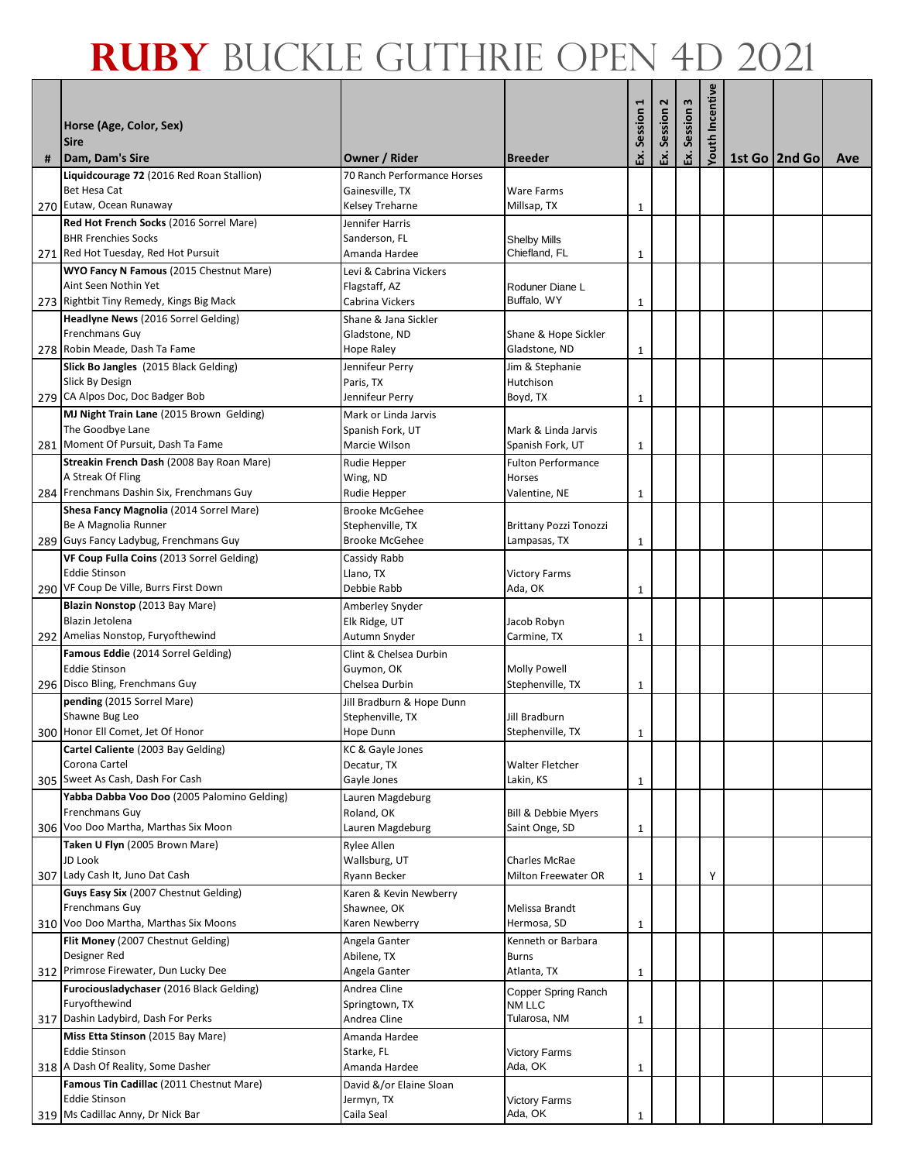|   | Horse (Age, Color, Sex)<br><b>Sire</b>                              |                                                |                                             | Ex. Session  | 2<br>Session | $\boldsymbol{\mathsf{m}}$<br>Session 3 | <b>Youth Incentive</b> |                 |     |
|---|---------------------------------------------------------------------|------------------------------------------------|---------------------------------------------|--------------|--------------|----------------------------------------|------------------------|-----------------|-----|
| # | Dam, Dam's Sire                                                     | <b>Owner / Rider</b>                           | <b>Breeder</b>                              |              | <u>ន</u> ័   | Σś.                                    |                        | 1st Go   2nd Go | Ave |
|   | Liquidcourage 72 (2016 Red Roan Stallion)<br>Bet Hesa Cat           | 70 Ranch Performance Horses<br>Gainesville, TX | <b>Ware Farms</b>                           |              |              |                                        |                        |                 |     |
|   | 270 Eutaw, Ocean Runaway<br>Red Hot French Socks (2016 Sorrel Mare) | Kelsey Treharne                                | Millsap, TX                                 | 1            |              |                                        |                        |                 |     |
|   | <b>BHR Frenchies Socks</b>                                          | Jennifer Harris<br>Sanderson, FL               | <b>Shelby Mills</b>                         |              |              |                                        |                        |                 |     |
|   | 271 Red Hot Tuesday, Red Hot Pursuit                                | Amanda Hardee                                  | Chiefland, FL                               | 1            |              |                                        |                        |                 |     |
|   | WYO Fancy N Famous (2015 Chestnut Mare)                             | Levi & Cabrina Vickers                         |                                             |              |              |                                        |                        |                 |     |
|   | Aint Seen Nothin Yet                                                | Flagstaff, AZ                                  | Roduner Diane L                             |              |              |                                        |                        |                 |     |
|   | 273 Rightbit Tiny Remedy, Kings Big Mack                            | Cabrina Vickers                                | Buffalo, WY                                 | 1            |              |                                        |                        |                 |     |
|   | Headlyne News (2016 Sorrel Gelding)<br><b>Frenchmans Guy</b>        | Shane & Jana Sickler<br>Gladstone, ND          | Shane & Hope Sickler                        |              |              |                                        |                        |                 |     |
|   | 278 Robin Meade, Dash Ta Fame                                       | <b>Hope Raley</b>                              | Gladstone, ND                               | 1            |              |                                        |                        |                 |     |
|   | Slick Bo Jangles (2015 Black Gelding)                               | Jennifeur Perry                                | Jim & Stephanie                             |              |              |                                        |                        |                 |     |
|   | Slick By Design                                                     | Paris, TX                                      | Hutchison                                   |              |              |                                        |                        |                 |     |
|   | 279 CA Alpos Doc, Doc Badger Bob                                    | Jennifeur Perry                                | Boyd, TX                                    | 1            |              |                                        |                        |                 |     |
|   | MJ Night Train Lane (2015 Brown Gelding)                            | Mark or Linda Jarvis                           |                                             |              |              |                                        |                        |                 |     |
|   | The Goodbye Lane<br>281 Moment Of Pursuit, Dash Ta Fame             | Spanish Fork, UT<br>Marcie Wilson              | Mark & Linda Jarvis<br>Spanish Fork, UT     | 1            |              |                                        |                        |                 |     |
|   | Streakin French Dash (2008 Bay Roan Mare)                           | Rudie Hepper                                   | <b>Fulton Performance</b>                   |              |              |                                        |                        |                 |     |
|   | A Streak Of Fling                                                   | Wing, ND                                       | <b>Horses</b>                               |              |              |                                        |                        |                 |     |
|   | 284 Frenchmans Dashin Six, Frenchmans Guy                           | Rudie Hepper                                   | Valentine, NE                               | 1            |              |                                        |                        |                 |     |
|   | Shesa Fancy Magnolia (2014 Sorrel Mare)                             | <b>Brooke McGehee</b>                          |                                             |              |              |                                        |                        |                 |     |
|   | Be A Magnolia Runner                                                | Stephenville, TX                               | <b>Brittany Pozzi Tonozzi</b>               |              |              |                                        |                        |                 |     |
|   | 289 Guys Fancy Ladybug, Frenchmans Guy                              | <b>Brooke McGehee</b>                          | Lampasas, TX                                | 1            |              |                                        |                        |                 |     |
|   | VF Coup Fulla Coins (2013 Sorrel Gelding)<br><b>Eddie Stinson</b>   | Cassidy Rabb<br>Llano, TX                      | <b>Victory Farms</b>                        |              |              |                                        |                        |                 |     |
|   | 290 VF Coup De Ville, Burrs First Down                              | Debbie Rabb                                    | Ada, OK                                     | 1            |              |                                        |                        |                 |     |
|   | Blazin Nonstop (2013 Bay Mare)                                      | Amberley Snyder                                |                                             |              |              |                                        |                        |                 |     |
|   | Blazin Jetolena                                                     | Elk Ridge, UT                                  | Jacob Robyn                                 |              |              |                                        |                        |                 |     |
|   | 292 Amelias Nonstop, Furyofthewind                                  | Autumn Snyder                                  | Carmine, TX                                 | 1            |              |                                        |                        |                 |     |
|   | Famous Eddie (2014 Sorrel Gelding)<br><b>Eddie Stinson</b>          | Clint & Chelsea Durbin<br>Guymon, OK           | <b>Molly Powell</b>                         |              |              |                                        |                        |                 |     |
|   | 296 Disco Bling, Frenchmans Guy                                     | Chelsea Durbin                                 | Stephenville, TX                            | 1            |              |                                        |                        |                 |     |
|   | pending (2015 Sorrel Mare)                                          | Jill Bradburn & Hope Dunn                      |                                             |              |              |                                        |                        |                 |     |
|   | Shawne Bug Leo                                                      | Stephenville, TX                               | Jill Bradburn                               |              |              |                                        |                        |                 |     |
|   | 300 Honor Ell Comet, Jet Of Honor                                   | Hope Dunn                                      | Stephenville, TX                            | 1            |              |                                        |                        |                 |     |
|   | Cartel Caliente (2003 Bay Gelding)                                  | KC & Gayle Jones                               |                                             |              |              |                                        |                        |                 |     |
|   | Corona Cartel<br>305 Sweet As Cash, Dash For Cash                   | Decatur, TX<br>Gayle Jones                     | <b>Walter Fletcher</b><br>Lakin, KS         | $\mathbf{1}$ |              |                                        |                        |                 |     |
|   | Yabba Dabba Voo Doo (2005 Palomino Gelding)                         | Lauren Magdeburg                               |                                             |              |              |                                        |                        |                 |     |
|   | <b>Frenchmans Guy</b>                                               | Roland, OK                                     | <b>Bill &amp; Debbie Myers</b>              |              |              |                                        |                        |                 |     |
|   | 306 Voo Doo Martha, Marthas Six Moon                                | Lauren Magdeburg                               | Saint Onge, SD                              | 1            |              |                                        |                        |                 |     |
|   | Taken U Flyn (2005 Brown Mare)                                      | Rylee Allen                                    |                                             |              |              |                                        |                        |                 |     |
|   | JD Look<br>307 Lady Cash It, Juno Dat Cash                          | Wallsburg, UT                                  | <b>Charles McRae</b><br>Milton Freewater OR |              |              |                                        |                        |                 |     |
|   | Guys Easy Six (2007 Chestnut Gelding)                               | Ryann Becker<br>Karen & Kevin Newberry         |                                             | 1            |              |                                        | Υ                      |                 |     |
|   | Frenchmans Guy                                                      | Shawnee, OK                                    | Melissa Brandt                              |              |              |                                        |                        |                 |     |
|   | 310 Voo Doo Martha, Marthas Six Moons                               | Karen Newberry                                 | Hermosa, SD                                 | 1            |              |                                        |                        |                 |     |
|   | Flit Money (2007 Chestnut Gelding)                                  | Angela Ganter                                  | Kenneth or Barbara                          |              |              |                                        |                        |                 |     |
|   | Designer Red                                                        | Abilene, TX                                    | <b>Burns</b>                                |              |              |                                        |                        |                 |     |
|   | 312 Primrose Firewater, Dun Lucky Dee                               | Angela Ganter                                  | Atlanta, TX                                 | 1            |              |                                        |                        |                 |     |
|   | Furociousladychaser (2016 Black Gelding)<br>Furyofthewind           | Andrea Cline<br>Springtown, TX                 | Copper Spring Ranch<br><b>NM LLC</b>        |              |              |                                        |                        |                 |     |
|   | 317 Dashin Ladybird, Dash For Perks                                 | Andrea Cline                                   | Tularosa, NM                                | $\mathbf{1}$ |              |                                        |                        |                 |     |
|   | Miss Etta Stinson (2015 Bay Mare)                                   | Amanda Hardee                                  |                                             |              |              |                                        |                        |                 |     |
|   | <b>Eddie Stinson</b>                                                | Starke, FL                                     | <b>Victory Farms</b>                        |              |              |                                        |                        |                 |     |
|   | 318 A Dash Of Reality, Some Dasher                                  | Amanda Hardee                                  | Ada, OK                                     | 1            |              |                                        |                        |                 |     |
|   | Famous Tin Cadillac (2011 Chestnut Mare)<br><b>Eddie Stinson</b>    | David &/or Elaine Sloan<br>Jermyn, TX          |                                             |              |              |                                        |                        |                 |     |
|   | 319 Ms Cadillac Anny, Dr Nick Bar                                   | Caila Seal                                     | <b>Victory Farms</b><br>Ada, OK             |              |              |                                        |                        |                 |     |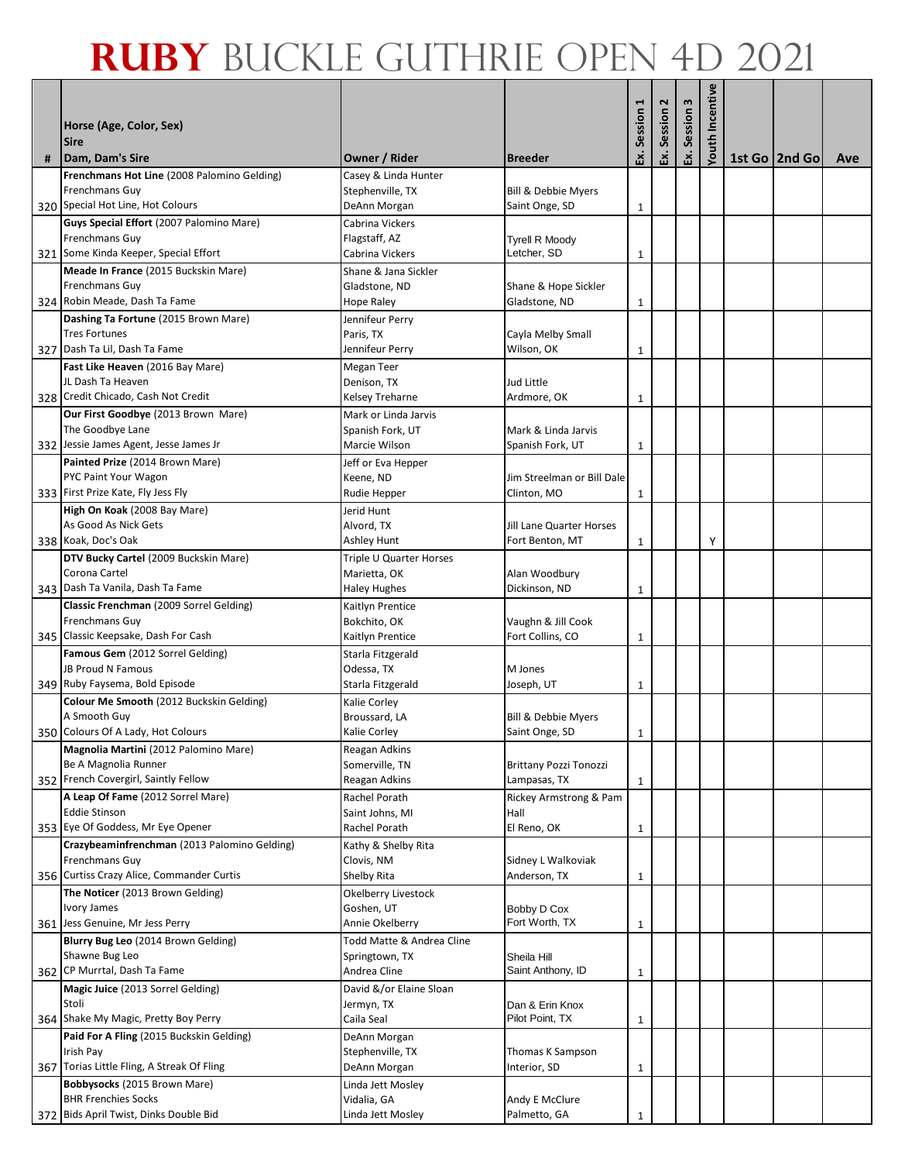|   | Horse (Age, Color, Sex)<br><b>Sire</b>                             |                                   |                                      | Session      | $\mathbf{r}$<br>Session | Session 3 | Youth Incentive |               |     |
|---|--------------------------------------------------------------------|-----------------------------------|--------------------------------------|--------------|-------------------------|-----------|-----------------|---------------|-----|
| # | Dam, Dam's Sire                                                    | Owner / Rider                     | <b>Breeder</b>                       | Ŀ.           | <u> ន</u> ័             | Š.        |                 | 1st Go 2nd Go | Ave |
|   | Frenchmans Hot Line (2008 Palomino Gelding)                        | Casey & Linda Hunter              |                                      |              |                         |           |                 |               |     |
|   | <b>Frenchmans Guy</b>                                              | Stephenville, TX                  | Bill & Debbie Myers                  |              |                         |           |                 |               |     |
|   | 320 Special Hot Line, Hot Colours                                  | DeAnn Morgan                      | Saint Onge, SD                       | 1            |                         |           |                 |               |     |
|   | Guys Special Effort (2007 Palomino Mare)<br><b>Frenchmans Guy</b>  | Cabrina Vickers<br>Flagstaff, AZ  |                                      |              |                         |           |                 |               |     |
|   | 321 Some Kinda Keeper, Special Effort                              | Cabrina Vickers                   | <b>Tyrell R Moody</b><br>Letcher, SD | 1            |                         |           |                 |               |     |
|   | Meade In France (2015 Buckskin Mare)                               | Shane & Jana Sickler              |                                      |              |                         |           |                 |               |     |
|   | <b>Frenchmans Guy</b>                                              | Gladstone, ND                     | Shane & Hope Sickler                 |              |                         |           |                 |               |     |
|   | 324 Robin Meade, Dash Ta Fame                                      | <b>Hope Raley</b>                 | Gladstone, ND                        | 1            |                         |           |                 |               |     |
|   | Dashing Ta Fortune (2015 Brown Mare)                               | Jennifeur Perry                   |                                      |              |                         |           |                 |               |     |
|   | <b>Tres Fortunes</b>                                               | Paris, TX                         | Cayla Melby Small                    |              |                         |           |                 |               |     |
|   | 327 Dash Ta Lil, Dash Ta Fame                                      | Jennifeur Perry                   | Wilson, OK                           | 1            |                         |           |                 |               |     |
|   | Fast Like Heaven (2016 Bay Mare)                                   | Megan Teer                        |                                      |              |                         |           |                 |               |     |
|   | JL Dash Ta Heaven                                                  | Denison, TX                       | Jud Little                           |              |                         |           |                 |               |     |
|   | 328 Credit Chicado, Cash Not Credit                                | Kelsey Treharne                   | Ardmore, OK                          | 1            |                         |           |                 |               |     |
|   | Our First Goodbye (2013 Brown Mare)<br>The Goodbye Lane            | Mark or Linda Jarvis              | Mark & Linda Jarvis                  |              |                         |           |                 |               |     |
|   | 332 Jessie James Agent, Jesse James Jr                             | Spanish Fork, UT<br>Marcie Wilson | Spanish Fork, UT                     | 1            |                         |           |                 |               |     |
|   | Painted Prize (2014 Brown Mare)                                    | Jeff or Eva Hepper                |                                      |              |                         |           |                 |               |     |
|   | PYC Paint Your Wagon                                               | Keene, ND                         | Jim Streelman or Bill Dale           |              |                         |           |                 |               |     |
|   | 333 First Prize Kate, Fly Jess Fly                                 | Rudie Hepper                      | Clinton, MO                          | 1            |                         |           |                 |               |     |
|   | High On Koak (2008 Bay Mare)                                       | Jerid Hunt                        |                                      |              |                         |           |                 |               |     |
|   | As Good As Nick Gets                                               | Alvord, TX                        | Jill Lane Quarter Horses             |              |                         |           |                 |               |     |
|   | 338 Koak, Doc's Oak                                                | <b>Ashley Hunt</b>                | Fort Benton, MT                      | 1            |                         |           | Υ               |               |     |
|   | DTV Bucky Cartel (2009 Buckskin Mare)                              | Triple U Quarter Horses           |                                      |              |                         |           |                 |               |     |
|   | Corona Cartel                                                      | Marietta, OK                      | Alan Woodbury                        |              |                         |           |                 |               |     |
|   | 343 Dash Ta Vanila, Dash Ta Fame                                   | <b>Haley Hughes</b>               | Dickinson, ND                        | 1            |                         |           |                 |               |     |
|   | Classic Frenchman (2009 Sorrel Gelding)<br><b>Frenchmans Guy</b>   | Kaitlyn Prentice<br>Bokchito, OK  | Vaughn & Jill Cook                   |              |                         |           |                 |               |     |
|   | 345 Classic Keepsake, Dash For Cash                                | Kaitlyn Prentice                  | Fort Collins, CO                     | 1            |                         |           |                 |               |     |
|   | Famous Gem (2012 Sorrel Gelding)                                   | Starla Fitzgerald                 |                                      |              |                         |           |                 |               |     |
|   | <b>JB Proud N Famous</b>                                           | Odessa, TX                        | M Jones                              |              |                         |           |                 |               |     |
|   | 349 Ruby Faysema, Bold Episode                                     | Starla Fitzgerald                 | Joseph, UT                           | 1            |                         |           |                 |               |     |
|   | Colour Me Smooth (2012 Buckskin Gelding)                           | Kalie Corley                      |                                      |              |                         |           |                 |               |     |
|   | A Smooth Guy<br>350 Colours Of A Lady, Hot Colours                 | Broussard, LA                     | <b>Bill &amp; Debbie Myers</b>       |              |                         |           |                 |               |     |
|   |                                                                    | <b>Kalie Corley</b>               | Saint Onge, SD                       | 1            |                         |           |                 |               |     |
|   | Magnolia Martini (2012 Palomino Mare)<br>Be A Magnolia Runner      | Reagan Adkins<br>Somerville, TN   | Brittany Pozzi Tonozzi               |              |                         |           |                 |               |     |
|   | 352 French Covergirl, Saintly Fellow                               | Reagan Adkins                     | Lampasas, TX                         | $\mathbf{1}$ |                         |           |                 |               |     |
|   | A Leap Of Fame (2012 Sorrel Mare)                                  | Rachel Porath                     | Rickey Armstrong & Pam               |              |                         |           |                 |               |     |
|   | <b>Eddie Stinson</b>                                               | Saint Johns, MI                   | Hall                                 |              |                         |           |                 |               |     |
|   | 353 Eye Of Goddess, Mr Eye Opener                                  | Rachel Porath                     | El Reno, OK                          | $\mathbf{1}$ |                         |           |                 |               |     |
|   | Crazybeaminfrenchman (2013 Palomino Gelding)                       | Kathy & Shelby Rita               |                                      |              |                         |           |                 |               |     |
|   | <b>Frenchmans Guy</b><br>356 Curtiss Crazy Alice, Commander Curtis | Clovis, NM                        | Sidney L Walkoviak                   |              |                         |           |                 |               |     |
|   |                                                                    | Shelby Rita                       | Anderson, TX                         | $\mathbf{1}$ |                         |           |                 |               |     |
|   | The Noticer (2013 Brown Gelding)<br><b>Ivory James</b>             | Okelberry Livestock<br>Goshen, UT | Bobby D Cox                          |              |                         |           |                 |               |     |
|   | 361 Jess Genuine, Mr Jess Perry                                    | Annie Okelberry                   | Fort Worth. TX                       | 1            |                         |           |                 |               |     |
|   | Blurry Bug Leo (2014 Brown Gelding)                                | Todd Matte & Andrea Cline         |                                      |              |                         |           |                 |               |     |
|   | Shawne Bug Leo                                                     | Springtown, TX                    | Sheila Hill                          |              |                         |           |                 |               |     |
|   | 362 CP Murrtal, Dash Ta Fame                                       | Andrea Cline                      | Saint Anthony, ID                    | 1            |                         |           |                 |               |     |
|   | Magic Juice (2013 Sorrel Gelding)                                  | David &/or Elaine Sloan           |                                      |              |                         |           |                 |               |     |
|   | Stoli                                                              | Jermyn, TX                        | Dan & Erin Knox                      |              |                         |           |                 |               |     |
|   | 364 Shake My Magic, Pretty Boy Perry                               | Caila Seal                        | Pilot Point, TX                      | 1            |                         |           |                 |               |     |
|   | Paid For A Fling (2015 Buckskin Gelding)<br>Irish Pay              | DeAnn Morgan<br>Stephenville, TX  | Thomas K Sampson                     |              |                         |           |                 |               |     |
|   | 367 Torias Little Fling, A Streak Of Fling                         | DeAnn Morgan                      | Interior, SD                         | 1            |                         |           |                 |               |     |
|   | Bobbysocks (2015 Brown Mare)                                       | Linda Jett Mosley                 |                                      |              |                         |           |                 |               |     |
|   | <b>BHR Frenchies Socks</b>                                         | Vidalia, GA                       | Andy E McClure                       |              |                         |           |                 |               |     |
|   | 372 Bids April Twist, Dinks Double Bid                             | Linda Jett Mosley                 | Palmetto, GA                         | 1            |                         |           |                 |               |     |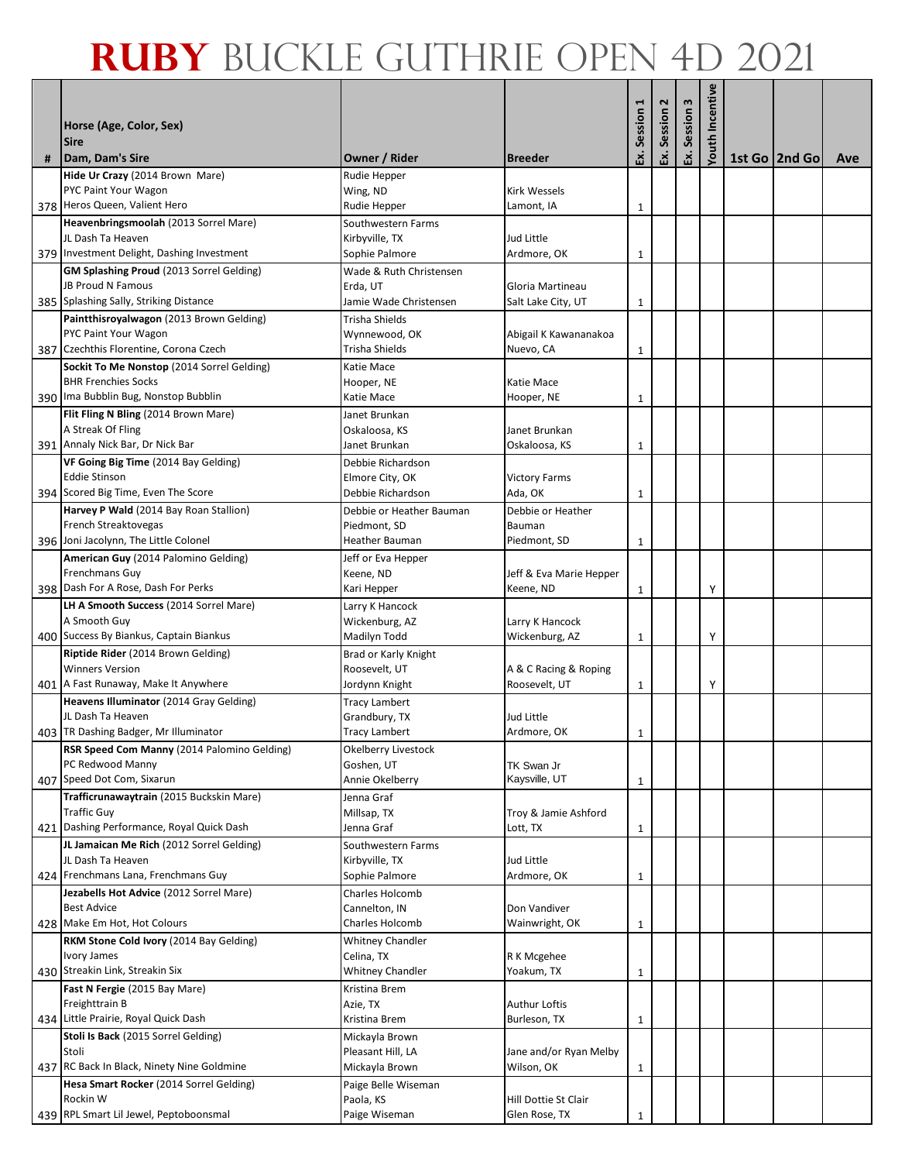|   | Horse (Age, Color, Sex)<br><b>Sire</b>                             |                                       |                                        | Session | $\mathbf{r}$<br>Session | Session 3<br>ន<br> | <b>Youth Incentive</b> |               |     |
|---|--------------------------------------------------------------------|---------------------------------------|----------------------------------------|---------|-------------------------|--------------------|------------------------|---------------|-----|
| # | Dam, Dam's Sire<br>Hide Ur Crazy (2014 Brown Mare)                 | Owner / Rider                         | <b>Breeder</b>                         | Ŀ.      | Ŀ.                      |                    |                        | 1st Go 2nd Go | Ave |
|   | PYC Paint Your Wagon                                               | Rudie Hepper<br>Wing, ND              | <b>Kirk Wessels</b>                    |         |                         |                    |                        |               |     |
|   | 378 Heros Queen, Valient Hero                                      | Rudie Hepper                          | Lamont, IA                             | 1       |                         |                    |                        |               |     |
|   | Heavenbringsmoolah (2013 Sorrel Mare)                              | Southwestern Farms                    |                                        |         |                         |                    |                        |               |     |
|   | JL Dash Ta Heaven                                                  | Kirbyville, TX                        | Jud Little                             |         |                         |                    |                        |               |     |
|   | 379 Investment Delight, Dashing Investment                         | Sophie Palmore                        | Ardmore, OK                            | 1       |                         |                    |                        |               |     |
|   | GM Splashing Proud (2013 Sorrel Gelding)                           | Wade & Ruth Christensen               |                                        |         |                         |                    |                        |               |     |
|   | <b>JB Proud N Famous</b><br>385 Splashing Sally, Striking Distance | Erda, UT<br>Jamie Wade Christensen    | Gloria Martineau<br>Salt Lake City, UT |         |                         |                    |                        |               |     |
|   | Paintthisroyalwagon (2013 Brown Gelding)                           | Trisha Shields                        |                                        | 1       |                         |                    |                        |               |     |
|   | PYC Paint Your Wagon                                               | Wynnewood, OK                         | Abigail K Kawananakoa                  |         |                         |                    |                        |               |     |
|   | 387 Czechthis Florentine, Corona Czech                             | Trisha Shields                        | Nuevo, CA                              | 1       |                         |                    |                        |               |     |
|   | Sockit To Me Nonstop (2014 Sorrel Gelding)                         | Katie Mace                            |                                        |         |                         |                    |                        |               |     |
|   | <b>BHR Frenchies Socks</b>                                         | Hooper, NE                            | Katie Mace                             |         |                         |                    |                        |               |     |
|   | 390 Ima Bubblin Bug, Nonstop Bubblin                               | Katie Mace                            | Hooper, NE                             | 1       |                         |                    |                        |               |     |
|   | Flit Fling N Bling (2014 Brown Mare)<br>A Streak Of Fling          | Janet Brunkan                         | Janet Brunkan                          |         |                         |                    |                        |               |     |
|   | 391 Annaly Nick Bar, Dr Nick Bar                                   | Oskaloosa, KS<br>Janet Brunkan        | Oskaloosa, KS                          | 1       |                         |                    |                        |               |     |
|   | VF Going Big Time (2014 Bay Gelding)                               | Debbie Richardson                     |                                        |         |                         |                    |                        |               |     |
|   | <b>Eddie Stinson</b>                                               | Elmore City, OK                       | <b>Victory Farms</b>                   |         |                         |                    |                        |               |     |
|   | 394 Scored Big Time, Even The Score                                | Debbie Richardson                     | Ada, OK                                | 1       |                         |                    |                        |               |     |
|   | Harvey P Wald (2014 Bay Roan Stallion)                             | Debbie or Heather Bauman              | Debbie or Heather                      |         |                         |                    |                        |               |     |
|   | French Streaktovegas                                               | Piedmont, SD                          | Bauman                                 |         |                         |                    |                        |               |     |
|   | 396 Joni Jacolynn, The Little Colonel                              | Heather Bauman                        | Piedmont, SD                           | 1       |                         |                    |                        |               |     |
|   | American Guy (2014 Palomino Gelding)<br>Frenchmans Guy             | Jeff or Eva Hepper<br>Keene, ND       | Jeff & Eva Marie Hepper                |         |                         |                    |                        |               |     |
|   | 398 Dash For A Rose, Dash For Perks                                | Kari Hepper                           | Keene, ND                              | 1       |                         |                    | Υ                      |               |     |
|   | LH A Smooth Success (2014 Sorrel Mare)                             | Larry K Hancock                       |                                        |         |                         |                    |                        |               |     |
|   | A Smooth Guy                                                       | Wickenburg, AZ                        | Larry K Hancock                        |         |                         |                    |                        |               |     |
|   | 400 Success By Biankus, Captain Biankus                            | Madilyn Todd                          | Wickenburg, AZ                         | 1       |                         |                    | Υ                      |               |     |
|   | Riptide Rider (2014 Brown Gelding)<br><b>Winners Version</b>       | Brad or Karly Knight<br>Roosevelt, UT | A & C Racing & Roping                  |         |                         |                    |                        |               |     |
|   | 401 A Fast Runaway, Make It Anywhere                               | Jordynn Knight                        | Roosevelt, UT                          | 1       |                         |                    | Υ                      |               |     |
|   | Heavens Illuminator (2014 Gray Gelding)                            | <b>Tracy Lambert</b>                  |                                        |         |                         |                    |                        |               |     |
|   | JL Dash Ta Heaven                                                  | Grandbury, TX                         | Jud Little                             |         |                         |                    |                        |               |     |
|   | 403 TR Dashing Badger, Mr Illuminator                              | <b>Tracy Lambert</b>                  | Ardmore, OK                            | 1       |                         |                    |                        |               |     |
|   | RSR Speed Com Manny (2014 Palomino Gelding)<br>PC Redwood Manny    | Okelberry Livestock                   |                                        |         |                         |                    |                        |               |     |
|   | 407 Speed Dot Com, Sixarun                                         | Goshen, UT<br>Annie Okelberry         | TK Swan Jr<br>Kaysville, UT            | 1       |                         |                    |                        |               |     |
|   | Trafficrunawaytrain (2015 Buckskin Mare)                           | Jenna Graf                            |                                        |         |                         |                    |                        |               |     |
|   | <b>Traffic Guy</b>                                                 | Millsap, TX                           | Troy & Jamie Ashford                   |         |                         |                    |                        |               |     |
|   | 421 Dashing Performance, Royal Quick Dash                          | Jenna Graf                            | Lott, TX                               | 1       |                         |                    |                        |               |     |
|   | JL Jamaican Me Rich (2012 Sorrel Gelding)<br>JL Dash Ta Heaven     | Southwestern Farms                    |                                        |         |                         |                    |                        |               |     |
|   | 424 Frenchmans Lana, Frenchmans Guy                                | Kirbyville, TX<br>Sophie Palmore      | Jud Little<br>Ardmore, OK              | 1       |                         |                    |                        |               |     |
|   | Jezabells Hot Advice (2012 Sorrel Mare)                            | Charles Holcomb                       |                                        |         |                         |                    |                        |               |     |
|   | <b>Best Advice</b>                                                 | Cannelton, IN                         | Don Vandiver                           |         |                         |                    |                        |               |     |
|   | 428 Make Em Hot, Hot Colours                                       | Charles Holcomb                       | Wainwright, OK                         | 1       |                         |                    |                        |               |     |
|   | RKM Stone Cold Ivory (2014 Bay Gelding)                            | <b>Whitney Chandler</b>               |                                        |         |                         |                    |                        |               |     |
|   | <b>Ivory James</b><br>430 Streakin Link, Streakin Six              | Celina, TX<br><b>Whitney Chandler</b> | R K Mcgehee<br>Yoakum, TX              |         |                         |                    |                        |               |     |
|   | Fast N Fergie (2015 Bay Mare)                                      | Kristina Brem                         |                                        | 1       |                         |                    |                        |               |     |
|   | Freighttrain B                                                     | Azie, TX                              | <b>Authur Loftis</b>                   |         |                         |                    |                        |               |     |
|   | 434 Little Prairie, Royal Quick Dash                               | Kristina Brem                         | Burleson, TX                           | 1       |                         |                    |                        |               |     |
|   | Stoli Is Back (2015 Sorrel Gelding)                                | Mickayla Brown                        |                                        |         |                         |                    |                        |               |     |
|   | Stoli<br>437 RC Back In Black, Ninety Nine Goldmine                | Pleasant Hill, LA                     | Jane and/or Ryan Melby                 |         |                         |                    |                        |               |     |
|   | Hesa Smart Rocker (2014 Sorrel Gelding)                            | Mickayla Brown<br>Paige Belle Wiseman | Wilson, OK                             | 1       |                         |                    |                        |               |     |
|   | Rockin W                                                           | Paola, KS                             | Hill Dottie St Clair                   |         |                         |                    |                        |               |     |
|   | 439 RPL Smart Lil Jewel, Peptoboonsmal                             | Paige Wiseman                         | Glen Rose, TX                          | 1       |                         |                    |                        |               |     |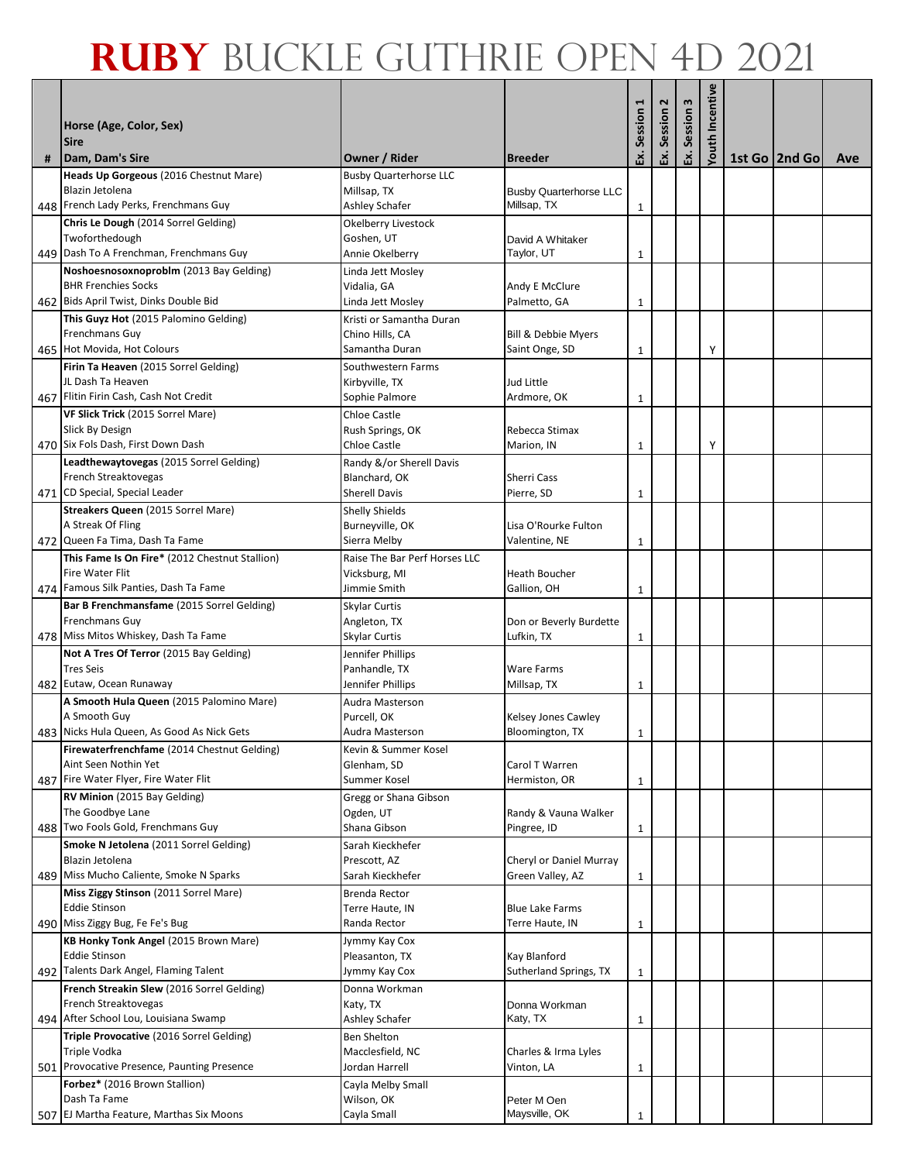|   | Horse (Age, Color, Sex)<br><b>Sire</b>                                   |                                              |                                        | Session | 2<br>Session | Session 3 | Youth Incentive |                 |     |
|---|--------------------------------------------------------------------------|----------------------------------------------|----------------------------------------|---------|--------------|-----------|-----------------|-----------------|-----|
| # | Dam, Dam's Sire                                                          | Owner / Rider                                | <b>Breeder</b>                         | Ŀ.      | Εx.          | ន<br>     |                 | 1st Go   2nd Go | Ave |
|   | Heads Up Gorgeous (2016 Chestnut Mare)<br>Blazin Jetolena                | <b>Busby Quarterhorse LLC</b><br>Millsap, TX | <b>Busby Quarterhorse LLC</b>          |         |              |           |                 |                 |     |
|   | 448 French Lady Perks, Frenchmans Guy                                    | Ashley Schafer                               | Millsap, TX                            | 1       |              |           |                 |                 |     |
|   | Chris Le Dough (2014 Sorrel Gelding)<br>Twoforthedough                   | Okelberry Livestock<br>Goshen, UT            | David A Whitaker                       |         |              |           |                 |                 |     |
|   | 449 Dash To A Frenchman, Frenchmans Guy                                  | Annie Okelberry                              | Taylor, UT                             | 1       |              |           |                 |                 |     |
|   | Noshoesnosoxnoproblm (2013 Bay Gelding)<br><b>BHR Frenchies Socks</b>    | Linda Jett Mosley<br>Vidalia, GA             | Andy E McClure                         |         |              |           |                 |                 |     |
|   | 462 Bids April Twist, Dinks Double Bid                                   | Linda Jett Mosley                            | Palmetto, GA                           | 1       |              |           |                 |                 |     |
|   | This Guyz Hot (2015 Palomino Gelding)                                    | Kristi or Samantha Duran                     |                                        |         |              |           |                 |                 |     |
|   | Frenchmans Guy                                                           | Chino Hills, CA                              | Bill & Debbie Myers                    |         |              |           |                 |                 |     |
|   | 465 Hot Movida, Hot Colours                                              | Samantha Duran                               | Saint Onge, SD                         | 1       |              |           | Υ               |                 |     |
|   | Firin Ta Heaven (2015 Sorrel Gelding)<br>JL Dash Ta Heaven               | Southwestern Farms                           |                                        |         |              |           |                 |                 |     |
|   | 467 Flitin Firin Cash, Cash Not Credit                                   | Kirbyville, TX<br>Sophie Palmore             | Jud Little<br>Ardmore, OK              | 1       |              |           |                 |                 |     |
|   | VF Slick Trick (2015 Sorrel Mare)                                        | <b>Chloe Castle</b>                          |                                        |         |              |           |                 |                 |     |
|   | Slick By Design                                                          | Rush Springs, OK                             | Rebecca Stimax                         |         |              |           |                 |                 |     |
|   | 470 Six Fols Dash, First Down Dash                                       | <b>Chloe Castle</b>                          | Marion, IN                             | 1       |              |           | Υ               |                 |     |
|   | Leadthewaytovegas (2015 Sorrel Gelding)                                  | Randy &/or Sherell Davis                     |                                        |         |              |           |                 |                 |     |
|   | French Streaktovegas<br>471 CD Special, Special Leader                   | Blanchard, OK                                | Sherri Cass                            |         |              |           |                 |                 |     |
|   | Streakers Queen (2015 Sorrel Mare)                                       | <b>Sherell Davis</b><br>Shelly Shields       | Pierre, SD                             | 1       |              |           |                 |                 |     |
|   | A Streak Of Fling                                                        | Burneyville, OK                              | Lisa O'Rourke Fulton                   |         |              |           |                 |                 |     |
|   | 472 Queen Fa Tima, Dash Ta Fame                                          | Sierra Melby                                 | Valentine, NE                          | 1       |              |           |                 |                 |     |
|   | <b>This Fame Is On Fire*</b> (2012 Chestnut Stallion)                    | Raise The Bar Perf Horses LLC                |                                        |         |              |           |                 |                 |     |
|   | Fire Water Flit                                                          | Vicksburg, MI                                | <b>Heath Boucher</b>                   |         |              |           |                 |                 |     |
|   | 474 Famous Silk Panties, Dash Ta Fame                                    | Jimmie Smith                                 | Gallion, OH                            | 1       |              |           |                 |                 |     |
|   | Bar B Frenchmansfame (2015 Sorrel Gelding)<br>Frenchmans Guy             | <b>Skylar Curtis</b><br>Angleton, TX         | Don or Beverly Burdette                |         |              |           |                 |                 |     |
|   | 478 Miss Mitos Whiskey, Dash Ta Fame                                     | Skylar Curtis                                | Lufkin, TX                             | 1       |              |           |                 |                 |     |
|   | Not A Tres Of Terror (2015 Bay Gelding)                                  | Jennifer Phillips                            |                                        |         |              |           |                 |                 |     |
|   | <b>Tres Seis</b>                                                         | Panhandle, TX                                | <b>Ware Farms</b>                      |         |              |           |                 |                 |     |
|   | 482 Eutaw, Ocean Runaway                                                 | Jennifer Phillips                            | Millsap, TX                            | 1       |              |           |                 |                 |     |
|   | A Smooth Hula Queen (2015 Palomino Mare)                                 | Audra Masterson                              |                                        |         |              |           |                 |                 |     |
|   | A Smooth Guy<br>483 Nicks Hula Queen, As Good As Nick Gets               | Purcell, OK<br>Audra Masterson               | Kelsey Jones Cawley<br>Bloomington, TX | 1       |              |           |                 |                 |     |
|   | Firewaterfrenchfame (2014 Chestnut Gelding)                              | Kevin & Summer Kosel                         |                                        |         |              |           |                 |                 |     |
|   | Aint Seen Nothin Yet                                                     | Glenham, SD                                  | Carol T Warren                         |         |              |           |                 |                 |     |
|   | 487 Fire Water Flyer, Fire Water Flit                                    | Summer Kosel                                 | Hermiston, OR                          | 1       |              |           |                 |                 |     |
|   | RV Minion (2015 Bay Gelding)                                             | Gregg or Shana Gibson                        |                                        |         |              |           |                 |                 |     |
|   | The Goodbye Lane<br>488 Two Fools Gold, Frenchmans Guy                   | Ogden, UT<br>Shana Gibson                    | Randy & Vauna Walker<br>Pingree, ID    |         |              |           |                 |                 |     |
|   | Smoke N Jetolena (2011 Sorrel Gelding)                                   | Sarah Kieckhefer                             |                                        | 1       |              |           |                 |                 |     |
|   | Blazin Jetolena                                                          | Prescott, AZ                                 | Cheryl or Daniel Murray                |         |              |           |                 |                 |     |
|   | 489 Miss Mucho Caliente, Smoke N Sparks                                  | Sarah Kieckhefer                             | Green Valley, AZ                       | 1       |              |           |                 |                 |     |
|   | Miss Ziggy Stinson (2011 Sorrel Mare)                                    | Brenda Rector                                |                                        |         |              |           |                 |                 |     |
|   | <b>Eddie Stinson</b>                                                     | Terre Haute, IN                              | <b>Blue Lake Farms</b>                 |         |              |           |                 |                 |     |
|   | 490 Miss Ziggy Bug, Fe Fe's Bug<br>KB Honky Tonk Angel (2015 Brown Mare) | Randa Rector                                 | Terre Haute, IN                        | 1       |              |           |                 |                 |     |
|   | <b>Eddie Stinson</b>                                                     | Jymmy Kay Cox<br>Pleasanton, TX              | Kay Blanford                           |         |              |           |                 |                 |     |
|   | 492 Talents Dark Angel, Flaming Talent                                   | Jymmy Kay Cox                                | Sutherland Springs, TX                 | 1       |              |           |                 |                 |     |
|   | French Streakin Slew (2016 Sorrel Gelding)                               | Donna Workman                                |                                        |         |              |           |                 |                 |     |
|   | French Streaktovegas                                                     | Katy, TX                                     | Donna Workman                          |         |              |           |                 |                 |     |
|   | 494 After School Lou, Louisiana Swamp                                    | Ashley Schafer                               | Katy, TX                               | 1       |              |           |                 |                 |     |
|   | Triple Provocative (2016 Sorrel Gelding)                                 | Ben Shelton                                  |                                        |         |              |           |                 |                 |     |
|   | Triple Vodka<br>501 Provocative Presence, Paunting Presence              | Macclesfield, NC<br>Jordan Harrell           | Charles & Irma Lyles<br>Vinton, LA     | 1       |              |           |                 |                 |     |
|   | Forbez* (2016 Brown Stallion)                                            | Cayla Melby Small                            |                                        |         |              |           |                 |                 |     |
|   | Dash Ta Fame                                                             | Wilson, OK                                   | Peter M Oen                            |         |              |           |                 |                 |     |
|   | 507 EJ Martha Feature, Marthas Six Moons                                 | Cayla Small                                  | Maysville, OK                          |         |              |           |                 |                 |     |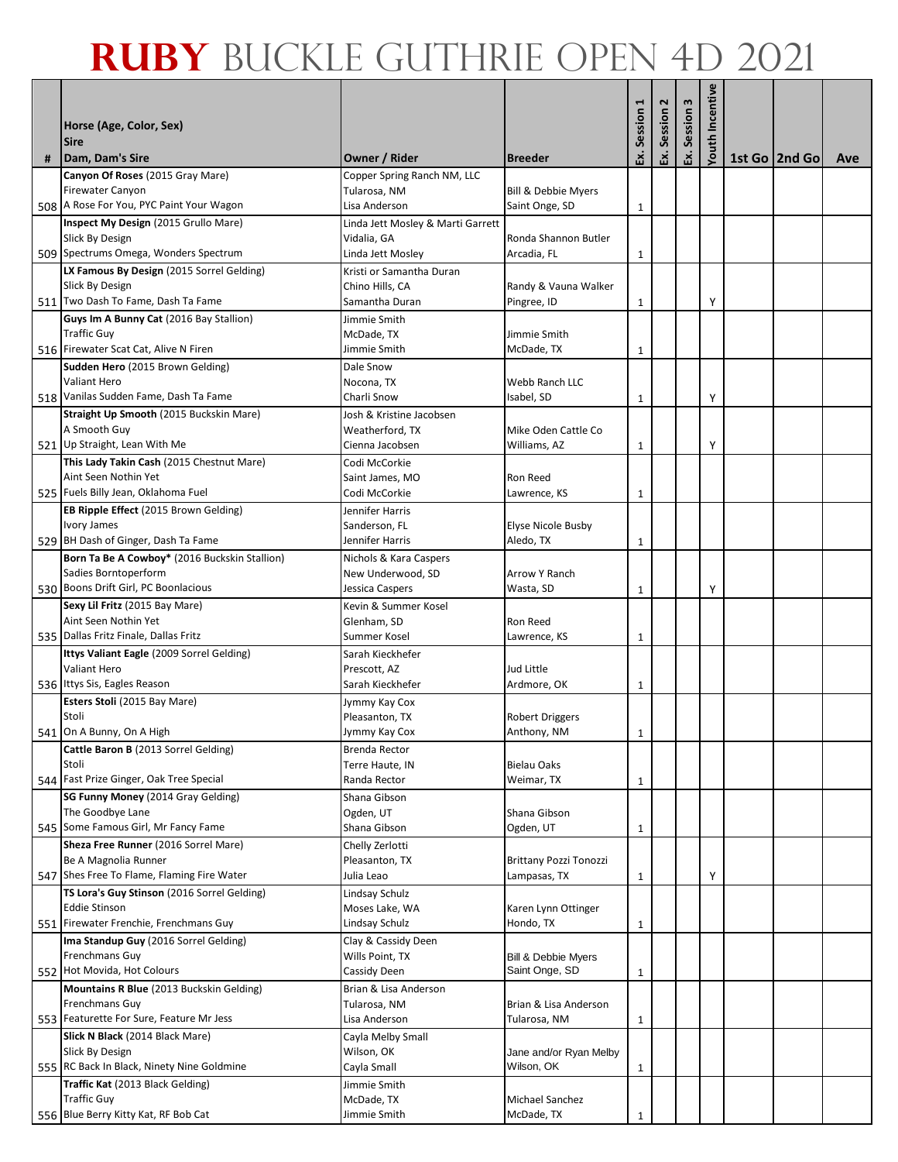|   | Horse (Age, Color, Sex)<br><b>Sire</b>                                                           |                                                                       |                                       | Session      | 2<br>Session | Session 3 | <b>/outh Incentive</b> |                 |     |
|---|--------------------------------------------------------------------------------------------------|-----------------------------------------------------------------------|---------------------------------------|--------------|--------------|-----------|------------------------|-----------------|-----|
| # | Dam, Dam's Sire                                                                                  | Owner / Rider                                                         | <b>Breeder</b>                        | Ŀ.           | 덧.           | Š.        |                        | 1st Go   2nd Go | Ave |
|   | Canyon Of Roses (2015 Gray Mare)<br><b>Firewater Canyon</b>                                      | Copper Spring Ranch NM, LLC<br>Tularosa, NM                           | Bill & Debbie Myers                   |              |              |           |                        |                 |     |
|   | 508 A Rose For You, PYC Paint Your Wagon                                                         | Lisa Anderson                                                         | Saint Onge, SD                        | 1            |              |           |                        |                 |     |
|   | Inspect My Design (2015 Grullo Mare)<br>Slick By Design<br>509 Spectrums Omega, Wonders Spectrum | Linda Jett Mosley & Marti Garrett<br>Vidalia, GA<br>Linda Jett Mosley | Ronda Shannon Butler<br>Arcadia, FL   | 1            |              |           |                        |                 |     |
|   | LX Famous By Design (2015 Sorrel Gelding)                                                        | Kristi or Samantha Duran                                              |                                       |              |              |           |                        |                 |     |
|   | Slick By Design                                                                                  | Chino Hills, CA                                                       | Randy & Vauna Walker                  |              |              |           |                        |                 |     |
|   | 511 Two Dash To Fame, Dash Ta Fame                                                               | Samantha Duran                                                        | Pingree, ID                           | 1            |              |           | Υ                      |                 |     |
|   | Guys Im A Bunny Cat (2016 Bay Stallion)                                                          | Jimmie Smith                                                          |                                       |              |              |           |                        |                 |     |
|   | <b>Traffic Guy</b>                                                                               | McDade, TX                                                            | Jimmie Smith                          |              |              |           |                        |                 |     |
|   | 516 Firewater Scat Cat, Alive N Firen                                                            | Jimmie Smith                                                          | McDade, TX                            | 1            |              |           |                        |                 |     |
|   | Sudden Hero (2015 Brown Gelding)                                                                 | Dale Snow                                                             |                                       |              |              |           |                        |                 |     |
|   | <b>Valiant Hero</b>                                                                              | Nocona, TX                                                            | Webb Ranch LLC                        |              |              |           |                        |                 |     |
|   | 518 Vanilas Sudden Fame, Dash Ta Fame                                                            | Charli Snow                                                           | Isabel, SD                            | 1            |              |           | Υ                      |                 |     |
|   | Straight Up Smooth (2015 Buckskin Mare)                                                          | Josh & Kristine Jacobsen                                              |                                       |              |              |           |                        |                 |     |
|   | A Smooth Guy                                                                                     | Weatherford, TX                                                       | Mike Oden Cattle Co                   |              |              |           |                        |                 |     |
|   | 521 Up Straight, Lean With Me                                                                    | Cienna Jacobsen                                                       | Williams, AZ                          | 1            |              |           | Υ                      |                 |     |
|   | This Lady Takin Cash (2015 Chestnut Mare)                                                        | Codi McCorkie                                                         |                                       |              |              |           |                        |                 |     |
|   | Aint Seen Nothin Yet<br>525 Fuels Billy Jean, Oklahoma Fuel                                      | Saint James, MO<br>Codi McCorkie                                      | Ron Reed<br>Lawrence, KS              | 1            |              |           |                        |                 |     |
|   | EB Ripple Effect (2015 Brown Gelding)                                                            | Jennifer Harris                                                       |                                       |              |              |           |                        |                 |     |
|   | Ivory James                                                                                      | Sanderson, FL                                                         | <b>Elyse Nicole Busby</b>             |              |              |           |                        |                 |     |
|   | 529 BH Dash of Ginger, Dash Ta Fame                                                              | Jennifer Harris                                                       | Aledo, TX                             | 1            |              |           |                        |                 |     |
|   | Born Ta Be A Cowboy* (2016 Buckskin Stallion)                                                    | Nichols & Kara Caspers                                                |                                       |              |              |           |                        |                 |     |
|   | Sadies Borntoperform                                                                             | New Underwood, SD                                                     | Arrow Y Ranch                         |              |              |           |                        |                 |     |
|   | 530 Boons Drift Girl, PC Boonlacious                                                             | Jessica Caspers                                                       | Wasta, SD                             | 1            |              |           | Υ                      |                 |     |
|   | Sexy Lil Fritz (2015 Bay Mare)                                                                   | Kevin & Summer Kosel                                                  |                                       |              |              |           |                        |                 |     |
|   | Aint Seen Nothin Yet                                                                             | Glenham, SD                                                           | Ron Reed                              |              |              |           |                        |                 |     |
|   | 535 Dallas Fritz Finale, Dallas Fritz                                                            | Summer Kosel                                                          | Lawrence, KS                          | 1            |              |           |                        |                 |     |
|   | Ittys Valiant Eagle (2009 Sorrel Gelding)                                                        | Sarah Kieckhefer                                                      |                                       |              |              |           |                        |                 |     |
|   | Valiant Hero                                                                                     | Prescott, AZ                                                          | Jud Little                            |              |              |           |                        |                 |     |
|   | 536 Ittys Sis, Eagles Reason                                                                     | Sarah Kieckhefer                                                      | Ardmore, OK                           | 1            |              |           |                        |                 |     |
|   | Esters Stoli (2015 Bay Mare)                                                                     | Jymmy Kay Cox                                                         |                                       |              |              |           |                        |                 |     |
|   | Stoli<br>541 On A Bunny, On A High                                                               | Pleasanton, TX                                                        | <b>Robert Driggers</b>                |              |              |           |                        |                 |     |
|   |                                                                                                  | Jymmy Kay Cox                                                         | Anthony, NM                           | 1            |              |           |                        |                 |     |
|   | Cattle Baron B (2013 Sorrel Gelding)<br>Stoli                                                    | Brenda Rector                                                         | <b>Bielau Oaks</b>                    |              |              |           |                        |                 |     |
|   | 544 Fast Prize Ginger, Oak Tree Special                                                          | Terre Haute, IN<br>Randa Rector                                       | Weimar, TX                            | 1            |              |           |                        |                 |     |
|   | SG Funny Money (2014 Gray Gelding)                                                               | Shana Gibson                                                          |                                       |              |              |           |                        |                 |     |
|   | The Goodbye Lane                                                                                 | Ogden, UT                                                             | Shana Gibson                          |              |              |           |                        |                 |     |
|   | 545 Some Famous Girl, Mr Fancy Fame                                                              | Shana Gibson                                                          | Ogden, UT                             | 1            |              |           |                        |                 |     |
|   | Sheza Free Runner (2016 Sorrel Mare)                                                             | Chelly Zerlotti                                                       |                                       |              |              |           |                        |                 |     |
|   | Be A Magnolia Runner                                                                             | Pleasanton, TX                                                        | Brittany Pozzi Tonozzi                |              |              |           |                        |                 |     |
|   | 547 Shes Free To Flame, Flaming Fire Water                                                       | Julia Leao                                                            | Lampasas, TX                          | $\mathbf{1}$ |              |           | Υ                      |                 |     |
|   | TS Lora's Guy Stinson (2016 Sorrel Gelding)                                                      | Lindsay Schulz                                                        |                                       |              |              |           |                        |                 |     |
|   | <b>Eddie Stinson</b>                                                                             | Moses Lake, WA                                                        | Karen Lynn Ottinger                   |              |              |           |                        |                 |     |
|   | 551 Firewater Frenchie, Frenchmans Guy                                                           | Lindsay Schulz                                                        | Hondo, TX                             | 1            |              |           |                        |                 |     |
|   | Ima Standup Guy (2016 Sorrel Gelding)                                                            | Clay & Cassidy Deen                                                   |                                       |              |              |           |                        |                 |     |
|   | <b>Frenchmans Guy</b>                                                                            | Wills Point, TX                                                       | <b>Bill &amp; Debbie Myers</b>        |              |              |           |                        |                 |     |
|   | 552 Hot Movida, Hot Colours                                                                      | Cassidy Deen                                                          | Saint Onge, SD                        | $\mathbf{1}$ |              |           |                        |                 |     |
|   | Mountains R Blue (2013 Buckskin Gelding)                                                         | Brian & Lisa Anderson                                                 |                                       |              |              |           |                        |                 |     |
|   | <b>Frenchmans Guy</b><br>553 Featurette For Sure, Feature Mr Jess                                | Tularosa, NM<br>Lisa Anderson                                         | Brian & Lisa Anderson<br>Tularosa, NM |              |              |           |                        |                 |     |
|   | Slick N Black (2014 Black Mare)                                                                  |                                                                       |                                       | 1            |              |           |                        |                 |     |
|   | Slick By Design                                                                                  | Cayla Melby Small<br>Wilson, OK                                       | Jane and/or Ryan Melby                |              |              |           |                        |                 |     |
|   | 555 RC Back In Black, Ninety Nine Goldmine                                                       | Cayla Small                                                           | Wilson, OK                            | 1            |              |           |                        |                 |     |
|   | Traffic Kat (2013 Black Gelding)                                                                 | Jimmie Smith                                                          |                                       |              |              |           |                        |                 |     |
|   | <b>Traffic Guy</b>                                                                               | McDade, TX                                                            | Michael Sanchez                       |              |              |           |                        |                 |     |
|   | 556 Blue Berry Kitty Kat, RF Bob Cat                                                             | Jimmie Smith                                                          | McDade, TX                            | 1            |              |           |                        |                 |     |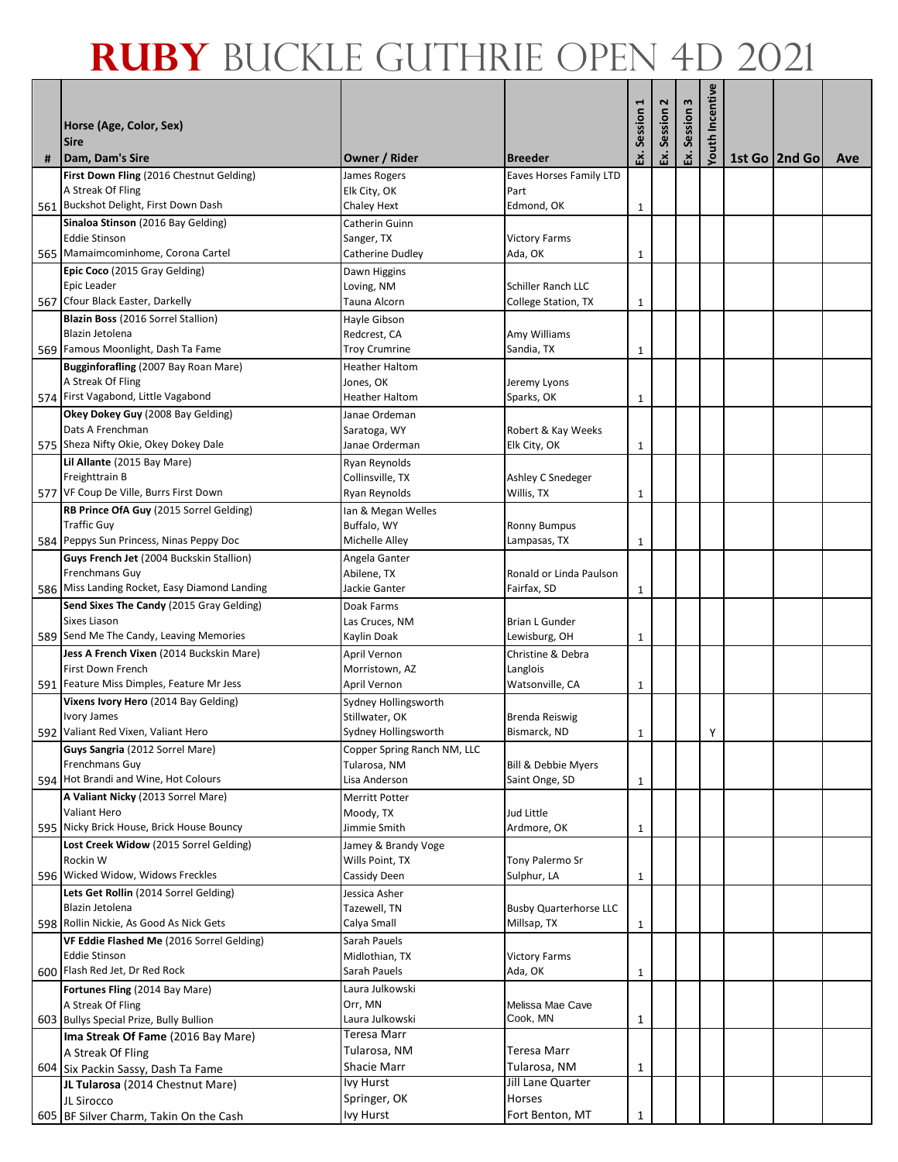|   | Horse (Age, Color, Sex)                                                |                                        |                                        | Session      | 2<br>Session | Session 3 | <b>Youth Incentive</b> |                 |     |
|---|------------------------------------------------------------------------|----------------------------------------|----------------------------------------|--------------|--------------|-----------|------------------------|-----------------|-----|
|   | <b>Sire</b>                                                            |                                        |                                        |              |              |           |                        |                 |     |
| # | Dam, Dam's Sire                                                        | Owner / Rider                          | <b>Breeder</b>                         | Ŀ.           | Ė.           | Š.        |                        | 1st Go   2nd Go | Ave |
|   | First Down Fling (2016 Chestnut Gelding)<br>A Streak Of Fling          | James Rogers<br>Elk City, OK           | Eaves Horses Family LTD<br>Part        |              |              |           |                        |                 |     |
|   | 561 Buckshot Delight, First Down Dash                                  | Chaley Hext                            | Edmond, OK                             | $\mathbf{1}$ |              |           |                        |                 |     |
|   | Sinaloa Stinson (2016 Bay Gelding)                                     | Catherin Guinn                         |                                        |              |              |           |                        |                 |     |
|   | <b>Eddie Stinson</b>                                                   | Sanger, TX                             | <b>Victory Farms</b>                   |              |              |           |                        |                 |     |
|   | 565 Mamaimcominhome, Corona Cartel                                     | Catherine Dudley                       | Ada, OK                                | 1            |              |           |                        |                 |     |
|   | Epic Coco (2015 Gray Gelding)                                          | Dawn Higgins                           |                                        |              |              |           |                        |                 |     |
|   | Epic Leader<br>567 Cfour Black Easter, Darkelly                        | Loving, NM                             | Schiller Ranch LLC                     |              |              |           |                        |                 |     |
|   | Blazin Boss (2016 Sorrel Stallion)                                     | Tauna Alcorn<br>Hayle Gibson           | <b>College Station, TX</b>             | 1            |              |           |                        |                 |     |
|   | Blazin Jetolena                                                        | Redcrest, CA                           | Amy Williams                           |              |              |           |                        |                 |     |
|   | 569 Famous Moonlight, Dash Ta Fame                                     | <b>Troy Crumrine</b>                   | Sandia, TX                             | 1            |              |           |                        |                 |     |
|   | Bugginforafling (2007 Bay Roan Mare)                                   | <b>Heather Haltom</b>                  |                                        |              |              |           |                        |                 |     |
|   | A Streak Of Fling                                                      | Jones, OK                              | Jeremy Lyons                           |              |              |           |                        |                 |     |
|   | 574 First Vagabond, Little Vagabond                                    | <b>Heather Haltom</b>                  | Sparks, OK                             | 1            |              |           |                        |                 |     |
|   | Okey Dokey Guy (2008 Bay Gelding)                                      | Janae Ordeman                          |                                        |              |              |           |                        |                 |     |
|   | Dats A Frenchman<br>575 Sheza Nifty Okie, Okey Dokey Dale              | Saratoga, WY<br>Janae Orderman         | Robert & Kay Weeks<br>Elk City, OK     |              |              |           |                        |                 |     |
|   | Lil Allante (2015 Bay Mare)                                            | Ryan Reynolds                          |                                        | 1            |              |           |                        |                 |     |
|   | Freighttrain B                                                         | Collinsville, TX                       | Ashley C Snedeger                      |              |              |           |                        |                 |     |
|   | 577 VF Coup De Ville, Burrs First Down                                 | Ryan Reynolds                          | Willis, TX                             | 1            |              |           |                        |                 |     |
|   | RB Prince OfA Guy (2015 Sorrel Gelding)                                | Ian & Megan Welles                     |                                        |              |              |           |                        |                 |     |
|   | <b>Traffic Guy</b>                                                     | Buffalo, WY                            | <b>Ronny Bumpus</b>                    |              |              |           |                        |                 |     |
|   | 584 Peppys Sun Princess, Ninas Peppy Doc                               | Michelle Alley                         | Lampasas, TX                           | 1            |              |           |                        |                 |     |
|   | Guys French Jet (2004 Buckskin Stallion)                               | Angela Ganter                          |                                        |              |              |           |                        |                 |     |
|   | <b>Frenchmans Guy</b><br>586 Miss Landing Rocket, Easy Diamond Landing | Abilene, TX<br>Jackie Ganter           | Ronald or Linda Paulson<br>Fairfax, SD |              |              |           |                        |                 |     |
|   | Send Sixes The Candy (2015 Gray Gelding)                               | Doak Farms                             |                                        | 1            |              |           |                        |                 |     |
|   | Sixes Liason                                                           | Las Cruces, NM                         | <b>Brian L Gunder</b>                  |              |              |           |                        |                 |     |
|   | 589 Send Me The Candy, Leaving Memories                                | Kaylin Doak                            | Lewisburg, OH                          | 1            |              |           |                        |                 |     |
|   | Jess A French Vixen (2014 Buckskin Mare)                               | April Vernon                           | Christine & Debra                      |              |              |           |                        |                 |     |
|   | First Down French                                                      | Morristown, AZ                         | Langlois                               |              |              |           |                        |                 |     |
|   | 591 Feature Miss Dimples, Feature Mr Jess                              | April Vernon                           | Watsonville, CA                        | 1            |              |           |                        |                 |     |
|   | Vixens Ivory Hero (2014 Bay Gelding)<br>Ivory James                    | Sydney Hollingsworth<br>Stillwater, OK | <b>Brenda Reiswig</b>                  |              |              |           |                        |                 |     |
|   | 592 Valiant Red Vixen, Valiant Hero                                    | Sydney Hollingsworth                   | Bismarck, ND                           | 1            |              |           | Y                      |                 |     |
|   | Guys Sangria (2012 Sorrel Mare)                                        | Copper Spring Ranch NM, LLC            |                                        |              |              |           |                        |                 |     |
|   | Frenchmans Guy                                                         | Tularosa, NM                           | Bill & Debbie Myers                    |              |              |           |                        |                 |     |
|   | 594 Hot Brandi and Wine, Hot Colours                                   | Lisa Anderson                          | Saint Onge, SD                         | $\mathbf{1}$ |              |           |                        |                 |     |
|   | A Valiant Nicky (2013 Sorrel Mare)                                     | Merritt Potter                         |                                        |              |              |           |                        |                 |     |
|   | Valiant Hero<br>595 Nicky Brick House, Brick House Bouncy              | Moody, TX<br>Jimmie Smith              | Jud Little<br>Ardmore, OK              |              |              |           |                        |                 |     |
|   | Lost Creek Widow (2015 Sorrel Gelding)                                 |                                        |                                        | 1            |              |           |                        |                 |     |
|   | Rockin W                                                               | Jamey & Brandy Voge<br>Wills Point, TX | Tony Palermo Sr                        |              |              |           |                        |                 |     |
|   | 596 Wicked Widow, Widows Freckles                                      | Cassidy Deen                           | Sulphur, LA                            | 1            |              |           |                        |                 |     |
|   | Lets Get Rollin (2014 Sorrel Gelding)                                  | Jessica Asher                          |                                        |              |              |           |                        |                 |     |
|   | Blazin Jetolena                                                        | Tazewell, TN                           | <b>Busby Quarterhorse LLC</b>          |              |              |           |                        |                 |     |
|   | 598 Rollin Nickie, As Good As Nick Gets                                | Calya Small                            | Millsap, TX                            | 1            |              |           |                        |                 |     |
|   | VF Eddie Flashed Me (2016 Sorrel Gelding)<br><b>Eddie Stinson</b>      | Sarah Pauels                           |                                        |              |              |           |                        |                 |     |
|   | 600 Flash Red Jet, Dr Red Rock                                         | Midlothian, TX<br>Sarah Pauels         | <b>Victory Farms</b><br>Ada, OK        | 1            |              |           |                        |                 |     |
|   | Fortunes Fling (2014 Bay Mare)                                         | Laura Julkowski                        |                                        |              |              |           |                        |                 |     |
|   | A Streak Of Fling                                                      | Orr, MN                                | Melissa Mae Cave                       |              |              |           |                        |                 |     |
|   | 603 Bullys Special Prize, Bully Bullion                                | Laura Julkowski                        | Cook, MN                               | 1            |              |           |                        |                 |     |
|   | Ima Streak Of Fame (2016 Bay Mare)                                     | Teresa Marr                            |                                        |              |              |           |                        |                 |     |
|   | A Streak Of Fling                                                      | Tularosa, NM                           | Teresa Marr                            |              |              |           |                        |                 |     |
|   | 604 Six Packin Sassy, Dash Ta Fame                                     | <b>Shacie Marr</b><br><b>Ivy Hurst</b> | Tularosa, NM<br>Jill Lane Quarter      | 1            |              |           |                        |                 |     |
|   | JL Tularosa (2014 Chestnut Mare)<br>JL Sirocco                         | Springer, OK                           | Horses                                 |              |              |           |                        |                 |     |
|   | 605 BF Silver Charm, Takin On the Cash                                 | <b>Ivy Hurst</b>                       | Fort Benton, MT                        | 1            |              |           |                        |                 |     |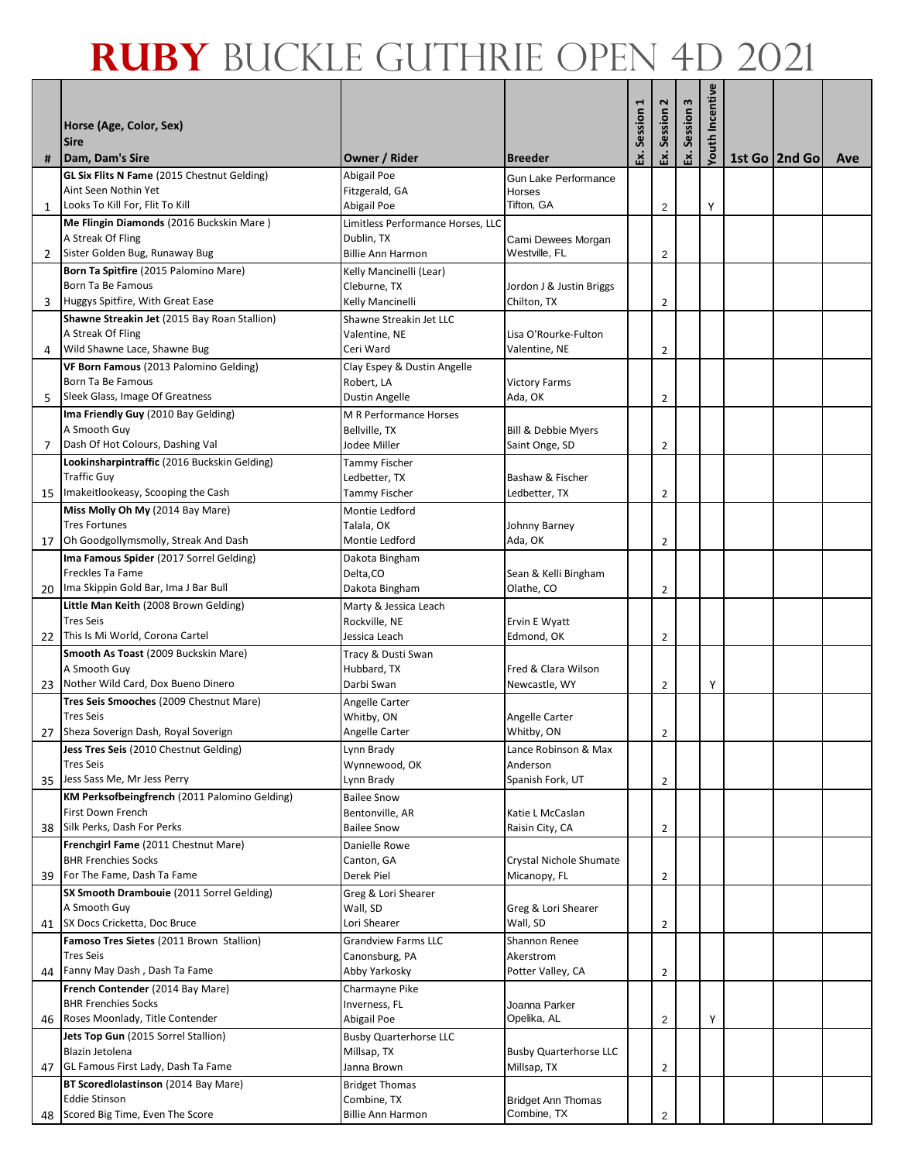|                | Horse (Age, Color, Sex)                                            |                                              |                                              |             | 2                       | Session 3 | <b>Youth Incentive</b> |                 |     |
|----------------|--------------------------------------------------------------------|----------------------------------------------|----------------------------------------------|-------------|-------------------------|-----------|------------------------|-----------------|-----|
|                | <b>Sire</b>                                                        |                                              |                                              | Ex. Session | Session                 |           |                        |                 |     |
| #              | Dam, Dam's Sire                                                    | Owner / Rider                                | <b>Breeder</b>                               |             | $\ddot{\mathbf{g}}$     | ă.        |                        | 1st Go   2nd Go | Ave |
|                | <b>GL Six Flits N Fame</b> (2015 Chestnut Gelding)                 | Abigail Poe                                  | <b>Gun Lake Performance</b>                  |             |                         |           |                        |                 |     |
| $\mathbf{1}$   | Aint Seen Nothin Yet<br>Looks To Kill For, Flit To Kill            | Fitzgerald, GA<br>Abigail Poe                | Horses<br>Tifton, GA                         |             | $\overline{\mathbf{c}}$ |           | Υ                      |                 |     |
|                | Me Flingin Diamonds (2016 Buckskin Mare)                           | Limitless Performance Horses, LLC            |                                              |             |                         |           |                        |                 |     |
|                | A Streak Of Fling                                                  | Dublin, TX                                   | Cami Dewees Morgan                           |             |                         |           |                        |                 |     |
| $\overline{2}$ | Sister Golden Bug, Runaway Bug                                     | <b>Billie Ann Harmon</b>                     | Westville, FL                                |             | $\overline{\mathbf{c}}$ |           |                        |                 |     |
|                | Born Ta Spitfire (2015 Palomino Mare)                              | Kelly Mancinelli (Lear)                      |                                              |             |                         |           |                        |                 |     |
|                | Born Ta Be Famous                                                  | Cleburne, TX                                 | Jordon J & Justin Briggs                     |             |                         |           |                        |                 |     |
| 3              | Huggys Spitfire, With Great Ease                                   | Kelly Mancinelli                             | Chilton, TX                                  |             | 2                       |           |                        |                 |     |
|                | Shawne Streakin Jet (2015 Bay Roan Stallion)<br>A Streak Of Fling  | Shawne Streakin Jet LLC<br>Valentine, NE     | Lisa O'Rourke-Fulton                         |             |                         |           |                        |                 |     |
| 4              | Wild Shawne Lace, Shawne Bug                                       | Ceri Ward                                    | Valentine, NE                                |             | 2                       |           |                        |                 |     |
|                | VF Born Famous (2013 Palomino Gelding)                             | Clay Espey & Dustin Angelle                  |                                              |             |                         |           |                        |                 |     |
|                | Born Ta Be Famous                                                  | Robert, LA                                   | <b>Victory Farms</b>                         |             |                         |           |                        |                 |     |
| 5              | Sleek Glass, Image Of Greatness                                    | Dustin Angelle                               | Ada, OK                                      |             | $\overline{2}$          |           |                        |                 |     |
|                | Ima Friendly Guy (2010 Bay Gelding)                                | M R Performance Horses                       |                                              |             |                         |           |                        |                 |     |
|                | A Smooth Guy                                                       | Bellville, TX                                | Bill & Debbie Myers                          |             |                         |           |                        |                 |     |
| $\overline{7}$ | Dash Of Hot Colours, Dashing Val                                   | Jodee Miller                                 | Saint Onge, SD                               |             | 2                       |           |                        |                 |     |
|                | Lookinsharpintraffic (2016 Buckskin Gelding)<br><b>Traffic Guy</b> | Tammy Fischer<br>Ledbetter, TX               | Bashaw & Fischer                             |             |                         |           |                        |                 |     |
|                | 15 Imakeitlookeasy, Scooping the Cash                              | Tammy Fischer                                | Ledbetter, TX                                |             | 2                       |           |                        |                 |     |
|                | Miss Molly Oh My (2014 Bay Mare)                                   | Montie Ledford                               |                                              |             |                         |           |                        |                 |     |
|                | <b>Tres Fortunes</b>                                               | Talala, OK                                   | Johnny Barney                                |             |                         |           |                        |                 |     |
| 17             | Oh Goodgollymsmolly, Streak And Dash                               | Montie Ledford                               | Ada, OK                                      |             | $\overline{2}$          |           |                        |                 |     |
|                | Ima Famous Spider (2017 Sorrel Gelding)                            | Dakota Bingham                               |                                              |             |                         |           |                        |                 |     |
|                | Freckles Ta Fame<br>20 Ima Skippin Gold Bar, Ima J Bar Bull        | Delta, CO                                    | Sean & Kelli Bingham<br>Olathe, CO           |             |                         |           |                        |                 |     |
|                | Little Man Keith (2008 Brown Gelding)                              | Dakota Bingham<br>Marty & Jessica Leach      |                                              |             | $\overline{2}$          |           |                        |                 |     |
|                | <b>Tres Seis</b>                                                   | Rockville, NE                                | Ervin E Wyatt                                |             |                         |           |                        |                 |     |
| 22             | This Is Mi World, Corona Cartel                                    | Jessica Leach                                | Edmond, OK                                   |             | 2                       |           |                        |                 |     |
|                | Smooth As Toast (2009 Buckskin Mare)                               | Tracy & Dusti Swan                           |                                              |             |                         |           |                        |                 |     |
|                | A Smooth Guy                                                       | Hubbard, TX                                  | Fred & Clara Wilson                          |             |                         |           |                        |                 |     |
|                | 23 Nother Wild Card, Dox Bueno Dinero                              | Darbi Swan                                   | Newcastle, WY                                |             | 2                       |           | Υ                      |                 |     |
|                | Tres Seis Smooches (2009 Chestnut Mare)<br><b>Tres Seis</b>        | Angelle Carter<br>Whitby, ON                 | Angelle Carter                               |             |                         |           |                        |                 |     |
|                | 27 Sheza Soverign Dash, Royal Soverign                             | Angelle Carter                               | Whitby, ON                                   |             | 2                       |           |                        |                 |     |
|                | Jess Tres Seis (2010 Chestnut Gelding)                             | Lynn Brady                                   | Lance Robinson & Max                         |             |                         |           |                        |                 |     |
|                | <b>Tres Seis</b>                                                   | Wynnewood, OK                                | Anderson                                     |             |                         |           |                        |                 |     |
|                | 35 Jess Sass Me, Mr Jess Perry                                     | Lynn Brady                                   | Spanish Fork, UT                             |             | $\overline{2}$          |           |                        |                 |     |
|                | KM Perksofbeingfrench (2011 Palomino Gelding)                      | <b>Bailee Snow</b>                           |                                              |             |                         |           |                        |                 |     |
|                | First Down French<br>38 Silk Perks, Dash For Perks                 | Bentonville, AR<br><b>Bailee Snow</b>        | Katie L McCaslan                             |             |                         |           |                        |                 |     |
|                | Frenchgirl Fame (2011 Chestnut Mare)                               | Danielle Rowe                                | Raisin City, CA                              |             | $\overline{2}$          |           |                        |                 |     |
|                | <b>BHR Frenchies Socks</b>                                         | Canton, GA                                   | Crystal Nichole Shumate                      |             |                         |           |                        |                 |     |
| 39             | For The Fame, Dash Ta Fame                                         | Derek Piel                                   | Micanopy, FL                                 |             | $\overline{2}$          |           |                        |                 |     |
|                | SX Smooth Drambouie (2011 Sorrel Gelding)                          | Greg & Lori Shearer                          |                                              |             |                         |           |                        |                 |     |
|                | A Smooth Guy                                                       | Wall, SD                                     | Greg & Lori Shearer                          |             |                         |           |                        |                 |     |
|                | 41 SX Docs Cricketta, Doc Bruce                                    | Lori Shearer                                 | Wall, SD                                     |             | $\overline{2}$          |           |                        |                 |     |
|                | Famoso Tres Sietes (2011 Brown Stallion)<br><b>Tres Seis</b>       | <b>Grandview Farms LLC</b><br>Canonsburg, PA | Shannon Renee<br>Akerstrom                   |             |                         |           |                        |                 |     |
| 44             | Fanny May Dash, Dash Ta Fame                                       | Abby Yarkosky                                | Potter Valley, CA                            |             | $\overline{2}$          |           |                        |                 |     |
|                | French Contender (2014 Bay Mare)                                   | Charmayne Pike                               |                                              |             |                         |           |                        |                 |     |
|                | <b>BHR Frenchies Socks</b>                                         | Inverness, FL                                | Joanna Parker                                |             |                         |           |                        |                 |     |
|                | 46 Roses Moonlady, Title Contender                                 | Abigail Poe                                  | Opelika, AL                                  |             | $\overline{2}$          |           | Υ                      |                 |     |
|                | Jets Top Gun (2015 Sorrel Stallion)                                | <b>Busby Quarterhorse LLC</b>                |                                              |             |                         |           |                        |                 |     |
|                | Blazin Jetolena<br>47 GL Famous First Lady, Dash Ta Fame           | Millsap, TX<br>Janna Brown                   | <b>Busby Quarterhorse LLC</b><br>Millsap, TX |             | 2                       |           |                        |                 |     |
|                | BT Scoredlolastinson (2014 Bay Mare)                               | <b>Bridget Thomas</b>                        |                                              |             |                         |           |                        |                 |     |
|                | <b>Eddie Stinson</b>                                               | Combine, TX                                  | <b>Bridget Ann Thomas</b>                    |             |                         |           |                        |                 |     |
|                | 48 Scored Big Time, Even The Score                                 | <b>Billie Ann Harmon</b>                     | Combine, TX                                  |             | $\overline{c}$          |           |                        |                 |     |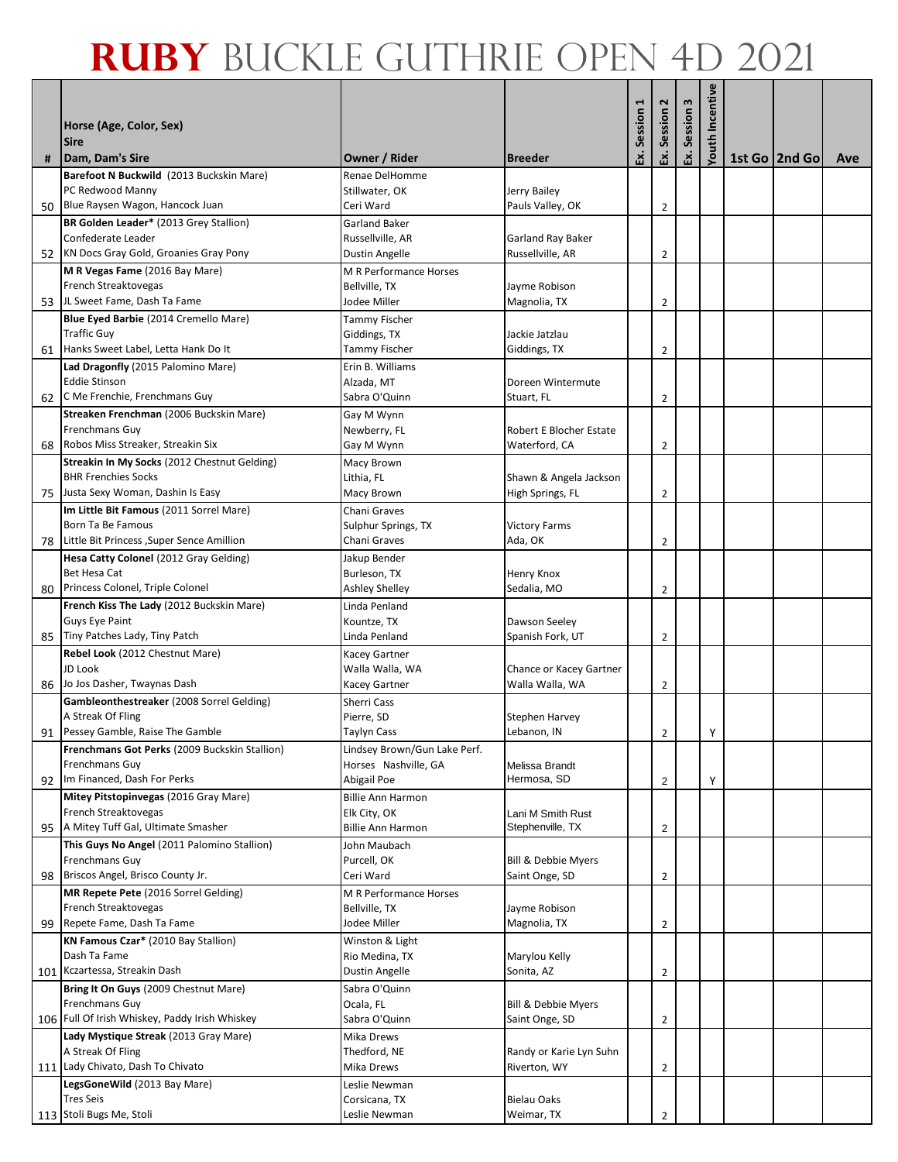| #  | Horse (Age, Color, Sex)<br><b>Sire</b><br>Dam, Dam's Sire   | Owner / Rider                | <b>Breeder</b>                    | Session<br>Ŀ. | 2<br>Session<br>Ŀ. | Session 3<br>ន<br> | <b>Youth Incentive</b> | 1st Go 2nd Go | Ave |
|----|-------------------------------------------------------------|------------------------------|-----------------------------------|---------------|--------------------|--------------------|------------------------|---------------|-----|
|    | Barefoot N Buckwild (2013 Buckskin Mare)                    | Renae DelHomme               |                                   |               |                    |                    |                        |               |     |
|    | PC Redwood Manny                                            | Stillwater, OK               | Jerry Bailey                      |               |                    |                    |                        |               |     |
| 50 | Blue Raysen Wagon, Hancock Juan                             | Ceri Ward                    | Pauls Valley, OK                  |               | 2                  |                    |                        |               |     |
|    | BR Golden Leader* (2013 Grey Stallion)                      | Garland Baker                |                                   |               |                    |                    |                        |               |     |
|    | Confederate Leader                                          | Russellville, AR             | Garland Ray Baker                 |               |                    |                    |                        |               |     |
| 52 | KN Docs Gray Gold, Groanies Gray Pony                       | Dustin Angelle               | Russellville, AR                  |               | 2                  |                    |                        |               |     |
|    | M R Vegas Fame (2016 Bay Mare)                              | M R Performance Horses       |                                   |               |                    |                    |                        |               |     |
|    | French Streaktovegas                                        | Bellville, TX                | Jayme Robison                     |               |                    |                    |                        |               |     |
|    | 53 JL Sweet Fame, Dash Ta Fame                              | Jodee Miller                 | Magnolia, TX                      |               | $\overline{2}$     |                    |                        |               |     |
|    | Blue Eyed Barbie (2014 Cremello Mare)                       | Tammy Fischer                |                                   |               |                    |                    |                        |               |     |
|    | <b>Traffic Guy</b>                                          | Giddings, TX                 | Jackie Jatzlau                    |               |                    |                    |                        |               |     |
| 61 | Hanks Sweet Label, Letta Hank Do It                         | <b>Tammy Fischer</b>         | Giddings, TX                      |               | 2                  |                    |                        |               |     |
|    | Lad Dragonfly (2015 Palomino Mare)                          | Erin B. Williams             |                                   |               |                    |                    |                        |               |     |
|    | <b>Eddie Stinson</b>                                        | Alzada, MT                   | Doreen Wintermute                 |               |                    |                    |                        |               |     |
|    | 62 C Me Frenchie, Frenchmans Guy                            | Sabra O'Quinn                | Stuart, FL                        |               | 2                  |                    |                        |               |     |
|    | Streaken Frenchman (2006 Buckskin Mare)                     | Gay M Wynn                   |                                   |               |                    |                    |                        |               |     |
|    | Frenchmans Guy                                              | Newberry, FL                 | <b>Robert E Blocher Estate</b>    |               |                    |                    |                        |               |     |
| 68 | Robos Miss Streaker, Streakin Six                           | Gay M Wynn                   | Waterford, CA                     |               | $\overline{2}$     |                    |                        |               |     |
|    | Streakin In My Socks (2012 Chestnut Gelding)                | Macy Brown                   |                                   |               |                    |                    |                        |               |     |
|    | <b>BHR Frenchies Socks</b>                                  | Lithia, FL                   | Shawn & Angela Jackson            |               |                    |                    |                        |               |     |
|    | 75 Justa Sexy Woman, Dashin Is Easy                         | Macy Brown                   | High Springs, FL                  |               | $\overline{2}$     |                    |                        |               |     |
|    | Im Little Bit Famous (2011 Sorrel Mare)                     | Chani Graves                 |                                   |               |                    |                    |                        |               |     |
|    | Born Ta Be Famous                                           | Sulphur Springs, TX          | <b>Victory Farms</b>              |               |                    |                    |                        |               |     |
| 78 | Little Bit Princess , Super Sence Amillion                  | Chani Graves                 | Ada, OK                           |               | $\overline{2}$     |                    |                        |               |     |
|    | Hesa Catty Colonel (2012 Gray Gelding)                      | Jakup Bender                 |                                   |               |                    |                    |                        |               |     |
|    | Bet Hesa Cat<br>Princess Colonel, Triple Colonel            | Burleson, TX                 | Henry Knox                        |               |                    |                    |                        |               |     |
| 80 |                                                             | Ashley Shelley               | Sedalia, MO                       |               | 2                  |                    |                        |               |     |
|    | French Kiss The Lady (2012 Buckskin Mare)<br>Guys Eye Paint | Linda Penland                |                                   |               |                    |                    |                        |               |     |
| 85 | Tiny Patches Lady, Tiny Patch                               | Kountze, TX<br>Linda Penland | Dawson Seeley<br>Spanish Fork, UT |               | 2                  |                    |                        |               |     |
|    | Rebel Look (2012 Chestnut Mare)                             | Kacey Gartner                |                                   |               |                    |                    |                        |               |     |
|    | JD Look                                                     | Walla Walla, WA              | Chance or Kacey Gartner           |               |                    |                    |                        |               |     |
| 86 | Jo Jos Dasher, Twaynas Dash                                 | Kacey Gartner                | Walla Walla, WA                   |               | $\overline{2}$     |                    |                        |               |     |
|    | Gambleonthestreaker (2008 Sorrel Gelding)                   | Sherri Cass                  |                                   |               |                    |                    |                        |               |     |
|    | A Streak Of Fling                                           | Pierre, SD                   | <b>Stephen Harvey</b>             |               |                    |                    |                        |               |     |
| 91 | Pessey Gamble, Raise The Gamble                             | <b>Taylyn Cass</b>           | Lebanon, IN                       |               | $\overline{2}$     |                    | Υ                      |               |     |
|    | Frenchmans Got Perks (2009 Buckskin Stallion)               | Lindsey Brown/Gun Lake Perf. |                                   |               |                    |                    |                        |               |     |
|    | Frenchmans Guy                                              | Horses Nashville, GA         | <b>Melissa Brandt</b>             |               |                    |                    |                        |               |     |
| 92 | Im Financed, Dash For Perks                                 | Abigail Poe                  | Hermosa, SD                       |               | $\overline{c}$     |                    | Υ                      |               |     |
|    | Mitey Pitstopinvegas (2016 Gray Mare)                       | <b>Billie Ann Harmon</b>     |                                   |               |                    |                    |                        |               |     |
|    | French Streaktovegas                                        | Elk City, OK                 | Lani M Smith Rust                 |               |                    |                    |                        |               |     |
|    | 95 A Mitey Tuff Gal, Ultimate Smasher                       | <b>Billie Ann Harmon</b>     | Stephenville, TX                  |               | $\overline{c}$     |                    |                        |               |     |
|    | This Guys No Angel (2011 Palomino Stallion)                 | John Maubach                 |                                   |               |                    |                    |                        |               |     |
|    | Frenchmans Guy                                              | Purcell, OK                  | Bill & Debbie Myers               |               |                    |                    |                        |               |     |
| 98 | Briscos Angel, Brisco County Jr.                            | Ceri Ward                    | Saint Onge, SD                    |               | $\overline{2}$     |                    |                        |               |     |
|    | MR Repete Pete (2016 Sorrel Gelding)                        | M R Performance Horses       |                                   |               |                    |                    |                        |               |     |
|    | French Streaktovegas                                        | Bellville, TX                | Jayme Robison                     |               |                    |                    |                        |               |     |
| 99 | Repete Fame, Dash Ta Fame                                   | Jodee Miller                 | Magnolia, TX                      |               | $\overline{2}$     |                    |                        |               |     |
|    | KN Famous Czar* (2010 Bay Stallion)<br>Dash Ta Fame         | Winston & Light              |                                   |               |                    |                    |                        |               |     |
|    | 101 Kczartessa, Streakin Dash                               | Rio Medina, TX               | Marylou Kelly                     |               |                    |                    |                        |               |     |
|    |                                                             | Dustin Angelle               | Sonita, AZ                        |               | 2                  |                    |                        |               |     |
|    | Bring It On Guys (2009 Chestnut Mare)<br>Frenchmans Guy     | Sabra O'Quinn<br>Ocala, FL   | Bill & Debbie Myers               |               |                    |                    |                        |               |     |
|    | 106 Full Of Irish Whiskey, Paddy Irish Whiskey              | Sabra O'Quinn                | Saint Onge, SD                    |               | $\overline{2}$     |                    |                        |               |     |
|    | Lady Mystique Streak (2013 Gray Mare)                       | Mika Drews                   |                                   |               |                    |                    |                        |               |     |
|    | A Streak Of Fling                                           | Thedford, NE                 | Randy or Karie Lyn Suhn           |               |                    |                    |                        |               |     |
|    | 111 Lady Chivato, Dash To Chivato                           | Mika Drews                   | Riverton, WY                      |               | 2                  |                    |                        |               |     |
|    | LegsGoneWild (2013 Bay Mare)                                | Leslie Newman                |                                   |               |                    |                    |                        |               |     |
|    | Tres Seis                                                   | Corsicana, TX                | <b>Bielau Oaks</b>                |               |                    |                    |                        |               |     |
|    | 113 Stoli Bugs Me, Stoli                                    | Leslie Newman                | Weimar, TX                        |               | 2                  |                    |                        |               |     |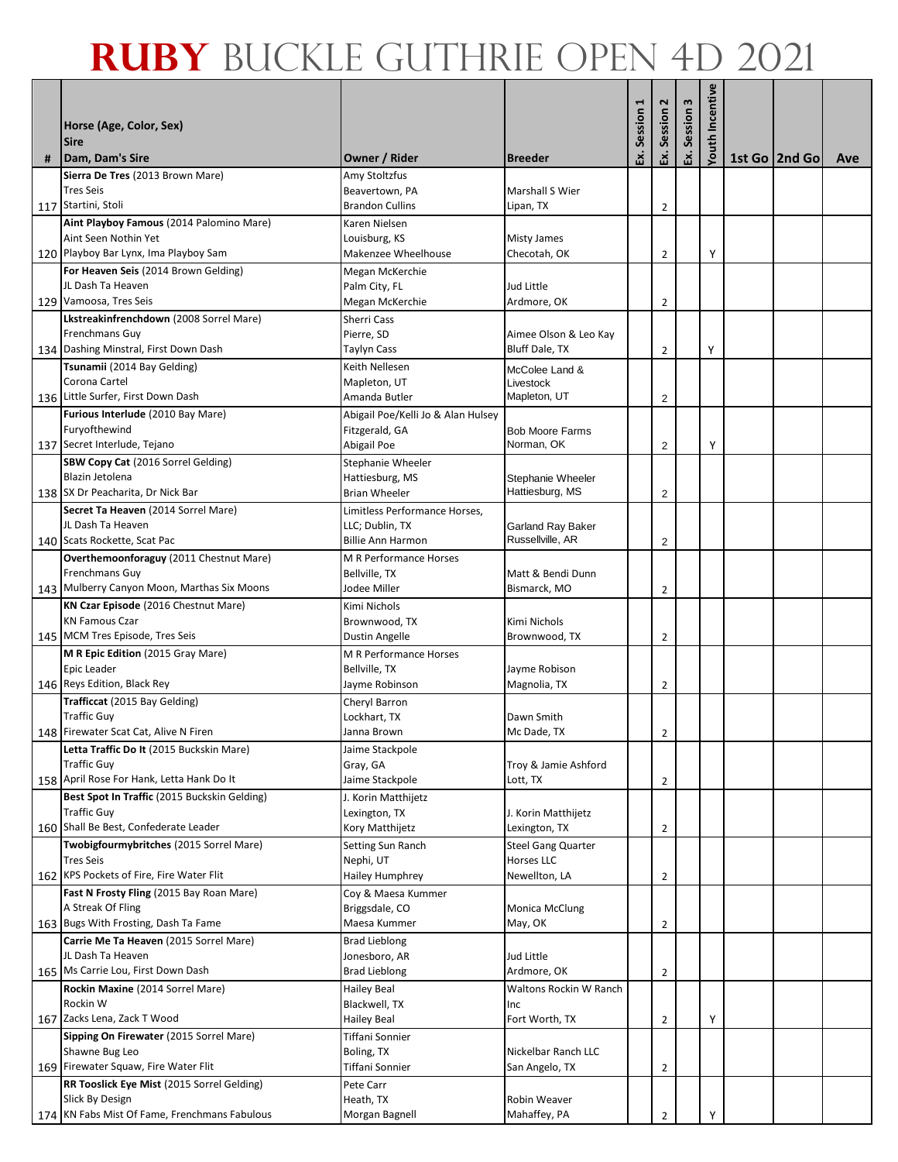| Horse (Age, Color, Sex)<br><b>Sire</b>                                  |                                                    |                                                | Session | 2<br>Session            | Session 3 | Youth Incentive |                 |     |
|-------------------------------------------------------------------------|----------------------------------------------------|------------------------------------------------|---------|-------------------------|-----------|-----------------|-----------------|-----|
| Dam, Dam's Sire                                                         | Owner / Rider                                      | <b>Breeder</b>                                 | Ŀ.      | Ŀ.                      | ន<br>     |                 | 1st Go   2nd Go | Ave |
| Sierra De Tres (2013 Brown Mare)                                        | Amy Stoltzfus                                      |                                                |         |                         |           |                 |                 |     |
| <b>Tres Seis</b>                                                        | Beavertown, PA                                     | <b>Marshall S Wier</b>                         |         |                         |           |                 |                 |     |
| 117 Startini, Stoli                                                     | <b>Brandon Cullins</b>                             | Lipan, TX                                      |         | $\overline{2}$          |           |                 |                 |     |
| Aint Playboy Famous (2014 Palomino Mare)<br>Aint Seen Nothin Yet        | Karen Nielsen<br>Louisburg, KS                     | <b>Misty James</b>                             |         |                         |           |                 |                 |     |
| 120 Playboy Bar Lynx, Ima Playboy Sam                                   | Makenzee Wheelhouse                                | Checotah, OK                                   |         | 2                       |           | Υ               |                 |     |
| For Heaven Seis (2014 Brown Gelding)                                    | Megan McKerchie                                    |                                                |         |                         |           |                 |                 |     |
| JL Dash Ta Heaven                                                       | Palm City, FL                                      | Jud Little                                     |         |                         |           |                 |                 |     |
| 129 Vamoosa, Tres Seis                                                  | Megan McKerchie                                    | Ardmore, OK                                    |         | 2                       |           |                 |                 |     |
| Lkstreakinfrenchdown (2008 Sorrel Mare)<br>Frenchmans Guy               | Sherri Cass<br>Pierre, SD                          | Aimee Olson & Leo Kay                          |         |                         |           |                 |                 |     |
| 134 Dashing Minstral, First Down Dash                                   | <b>Taylyn Cass</b>                                 | Bluff Dale, TX                                 |         | $\overline{2}$          |           | Υ               |                 |     |
| Tsunamii (2014 Bay Gelding)                                             | Keith Nellesen                                     | McColee Land &                                 |         |                         |           |                 |                 |     |
| Corona Cartel                                                           | Mapleton, UT                                       | Livestock                                      |         |                         |           |                 |                 |     |
| 136 Little Surfer, First Down Dash                                      | Amanda Butler                                      | Mapleton, UT                                   |         | $\overline{2}$          |           |                 |                 |     |
| Furious Interlude (2010 Bay Mare)                                       | Abigail Poe/Kelli Jo & Alan Hulsey                 |                                                |         |                         |           |                 |                 |     |
| Furyofthewind<br>137 Secret Interlude, Tejano                           | Fitzgerald, GA<br>Abigail Poe                      | <b>Bob Moore Farms</b><br>Norman, OK           |         | 2                       |           | Υ               |                 |     |
| <b>SBW Copy Cat (2016 Sorrel Gelding)</b>                               | Stephanie Wheeler                                  |                                                |         |                         |           |                 |                 |     |
| Blazin Jetolena                                                         | Hattiesburg, MS                                    | Stephanie Wheeler                              |         |                         |           |                 |                 |     |
| 138 SX Dr Peacharita, Dr Nick Bar                                       | <b>Brian Wheeler</b>                               | Hattiesburg, MS                                |         | $\overline{c}$          |           |                 |                 |     |
| Secret Ta Heaven (2014 Sorrel Mare)                                     | Limitless Performance Horses,                      |                                                |         |                         |           |                 |                 |     |
| JL Dash Ta Heaven                                                       | LLC; Dublin, TX                                    | <b>Garland Ray Baker</b><br>Russellville, AR   |         |                         |           |                 |                 |     |
| 140 Scats Rockette, Scat Pac<br>Overthemoonforaguy (2011 Chestnut Mare) | <b>Billie Ann Harmon</b><br>M R Performance Horses |                                                |         | $\overline{\mathbf{c}}$ |           |                 |                 |     |
| Frenchmans Guy                                                          | Bellville, TX                                      | Matt & Bendi Dunn                              |         |                         |           |                 |                 |     |
| 143 Mulberry Canyon Moon, Marthas Six Moons                             | Jodee Miller                                       | Bismarck, MO                                   |         | 2                       |           |                 |                 |     |
| KN Czar Episode (2016 Chestnut Mare)                                    | Kimi Nichols                                       |                                                |         |                         |           |                 |                 |     |
| <b>KN Famous Czar</b>                                                   | Brownwood, TX                                      | Kimi Nichols                                   |         |                         |           |                 |                 |     |
| 145 MCM Tres Episode, Tres Seis                                         | Dustin Angelle                                     | Brownwood, TX                                  |         | $\overline{2}$          |           |                 |                 |     |
| M R Epic Edition (2015 Gray Mare)<br>Epic Leader                        | M R Performance Horses<br>Bellville. TX            | Jayme Robison                                  |         |                         |           |                 |                 |     |
| 146 Reys Edition, Black Rey                                             | Jayme Robinson                                     | Magnolia, TX                                   |         | 2                       |           |                 |                 |     |
| Trafficcat (2015 Bay Gelding)                                           | Cheryl Barron                                      |                                                |         |                         |           |                 |                 |     |
| <b>Traffic Guy</b>                                                      | Lockhart, TX                                       | Dawn Smith                                     |         |                         |           |                 |                 |     |
| 148 Firewater Scat Cat, Alive N Firen                                   | Janna Brown                                        | Mc Dade, TX                                    |         | $\overline{2}$          |           |                 |                 |     |
| Letta Traffic Do It (2015 Buckskin Mare)<br>Traffic Guy                 | Jaime Stackpole<br>Gray, GA                        | Troy & Jamie Ashford                           |         |                         |           |                 |                 |     |
| 158 April Rose For Hank, Letta Hank Do It                               | Jaime Stackpole                                    | Lott, TX                                       |         | $\overline{2}$          |           |                 |                 |     |
| Best Spot In Traffic (2015 Buckskin Gelding)                            | J. Korin Matthijetz                                |                                                |         |                         |           |                 |                 |     |
| Traffic Guy                                                             | Lexington, TX                                      | J. Korin Matthijetz                            |         |                         |           |                 |                 |     |
| 160 Shall Be Best, Confederate Leader                                   | Kory Matthijetz                                    | Lexington, TX                                  |         | 2                       |           |                 |                 |     |
| Twobigfourmybritches (2015 Sorrel Mare)<br><b>Tres Seis</b>             | Setting Sun Ranch<br>Nephi, UT                     | <b>Steel Gang Quarter</b><br><b>Horses LLC</b> |         |                         |           |                 |                 |     |
| 162 KPS Pockets of Fire, Fire Water Flit                                | Hailey Humphrey                                    | Newellton, LA                                  |         | $\overline{2}$          |           |                 |                 |     |
| Fast N Frosty Fling (2015 Bay Roan Mare)                                | Coy & Maesa Kummer                                 |                                                |         |                         |           |                 |                 |     |
| A Streak Of Fling                                                       | Briggsdale, CO                                     | <b>Monica McClung</b>                          |         |                         |           |                 |                 |     |
| 163 Bugs With Frosting, Dash Ta Fame                                    | Maesa Kummer                                       | May, OK                                        |         | 2                       |           |                 |                 |     |
| Carrie Me Ta Heaven (2015 Sorrel Mare)<br>JL Dash Ta Heaven             | <b>Brad Lieblong</b><br>Jonesboro, AR              | Jud Little                                     |         |                         |           |                 |                 |     |
| 165 Ms Carrie Lou, First Down Dash                                      | <b>Brad Lieblong</b>                               | Ardmore, OK                                    |         | $\overline{2}$          |           |                 |                 |     |
| Rockin Maxine (2014 Sorrel Mare)                                        | Hailey Beal                                        | Waltons Rockin W Ranch                         |         |                         |           |                 |                 |     |
| Rockin W                                                                | Blackwell, TX                                      | Inc                                            |         |                         |           |                 |                 |     |
| 167 Zacks Lena, Zack T Wood                                             | Hailey Beal                                        | Fort Worth, TX                                 |         | 2                       |           | Υ               |                 |     |
| Sipping On Firewater (2015 Sorrel Mare)                                 | Tiffani Sonnier                                    |                                                |         |                         |           |                 |                 |     |
| Shawne Bug Leo<br>169 Firewater Squaw, Fire Water Flit                  | Boling, TX<br>Tiffani Sonnier                      | Nickelbar Ranch LLC<br>San Angelo, TX          |         | $\overline{2}$          |           |                 |                 |     |
| RR Tooslick Eye Mist (2015 Sorrel Gelding)                              | Pete Carr                                          |                                                |         |                         |           |                 |                 |     |
| Slick By Design                                                         | Heath, TX                                          | Robin Weaver                                   |         |                         |           |                 |                 |     |
| 174 KN Fabs Mist Of Fame, Frenchmans Fabulous                           | Morgan Bagnell                                     | Mahaffey, PA                                   |         |                         |           |                 |                 |     |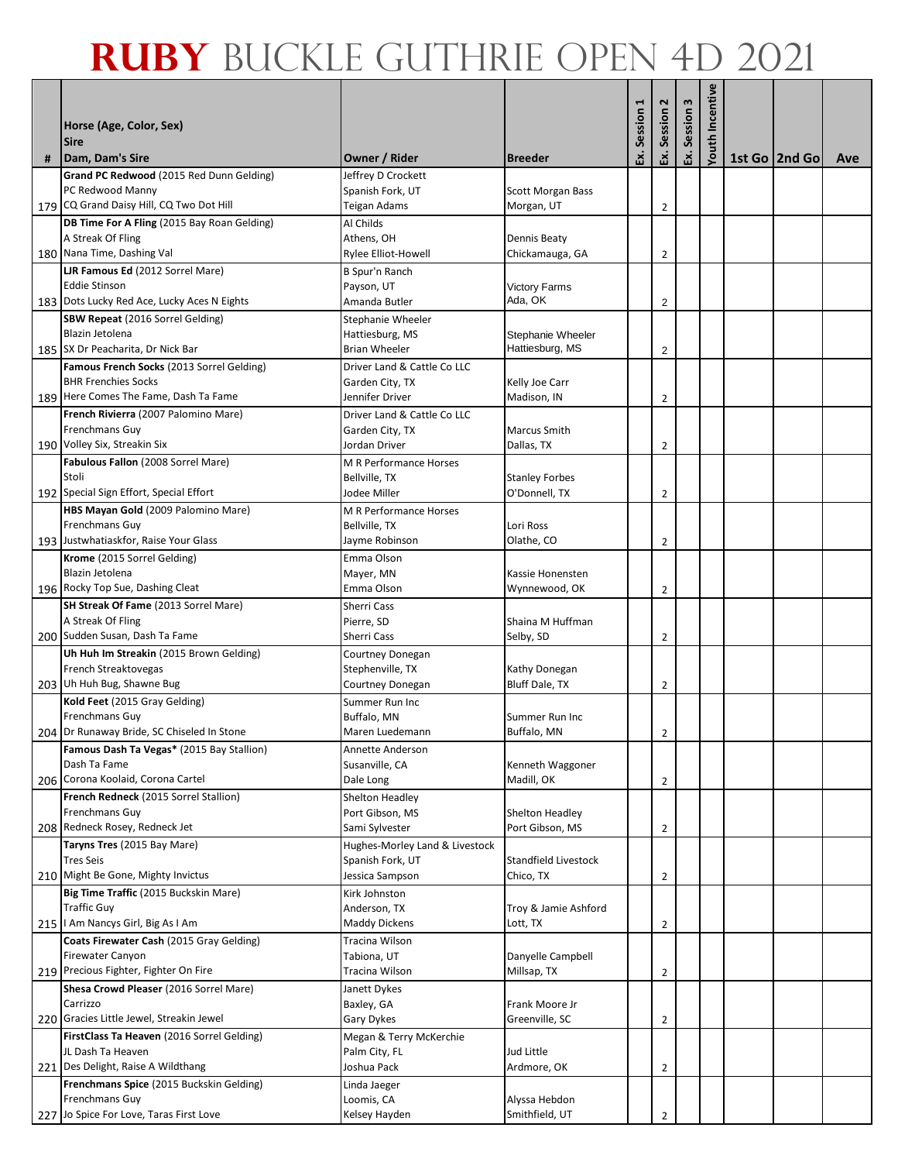|   | Horse (Age, Color, Sex)<br><b>Sire</b>                                                                   |                                                        |                                        | Session | 2<br>Session   | Session 3 | Youth Incentive |                 |     |
|---|----------------------------------------------------------------------------------------------------------|--------------------------------------------------------|----------------------------------------|---------|----------------|-----------|-----------------|-----------------|-----|
| # | Dam, Dam's Sire                                                                                          | <b>Owner / Rider</b>                                   | <b>Breeder</b>                         | Ŀ.      | Ŀ.             | ន<br>     |                 | 1st Go   2nd Go | Ave |
|   | Grand PC Redwood (2015 Red Dunn Gelding)<br>PC Redwood Manny<br>179 CQ Grand Daisy Hill, CQ Two Dot Hill | Jeffrey D Crockett<br>Spanish Fork, UT<br>Teigan Adams | <b>Scott Morgan Bass</b><br>Morgan, UT |         | 2              |           |                 |                 |     |
|   | DB Time For A Fling (2015 Bay Roan Gelding)                                                              | Al Childs                                              |                                        |         |                |           |                 |                 |     |
|   | A Streak Of Fling                                                                                        | Athens, OH                                             | Dennis Beaty                           |         |                |           |                 |                 |     |
|   | 180 Nana Time, Dashing Val                                                                               | Rylee Elliot-Howell                                    | Chickamauga, GA                        |         | 2              |           |                 |                 |     |
|   | <b>LJR Famous Ed (2012 Sorrel Mare)</b><br><b>Eddie Stinson</b>                                          | B Spur'n Ranch<br>Payson, UT                           | <b>Victory Farms</b>                   |         |                |           |                 |                 |     |
|   | 183 Dots Lucky Red Ace, Lucky Aces N Eights                                                              | Amanda Butler                                          | Ada, OK                                |         | $\overline{2}$ |           |                 |                 |     |
|   | <b>SBW Repeat</b> (2016 Sorrel Gelding)                                                                  | Stephanie Wheeler                                      |                                        |         |                |           |                 |                 |     |
|   | Blazin Jetolena                                                                                          | Hattiesburg, MS                                        | Stephanie Wheeler                      |         |                |           |                 |                 |     |
|   | 185 SX Dr Peacharita, Dr Nick Bar                                                                        | <b>Brian Wheeler</b>                                   | Hattiesburg, MS                        |         | $\overline{c}$ |           |                 |                 |     |
|   | Famous French Socks (2013 Sorrel Gelding)<br><b>BHR Frenchies Socks</b>                                  | Driver Land & Cattle Co LLC                            |                                        |         |                |           |                 |                 |     |
|   | 189 Here Comes The Fame, Dash Ta Fame                                                                    | Garden City, TX<br>Jennifer Driver                     | Kelly Joe Carr<br>Madison, IN          |         | 2              |           |                 |                 |     |
|   | French Rivierra (2007 Palomino Mare)                                                                     | Driver Land & Cattle Co LLC                            |                                        |         |                |           |                 |                 |     |
|   | Frenchmans Guy                                                                                           | Garden City, TX                                        | Marcus Smith                           |         |                |           |                 |                 |     |
|   | 190 Volley Six, Streakin Six                                                                             | Jordan Driver                                          | Dallas, TX                             |         | 2              |           |                 |                 |     |
|   | Fabulous Fallon (2008 Sorrel Mare)                                                                       | <b>M R Performance Horses</b>                          |                                        |         |                |           |                 |                 |     |
|   | Stoli                                                                                                    | Bellville, TX<br>Jodee Miller                          | <b>Stanley Forbes</b><br>O'Donnell, TX |         |                |           |                 |                 |     |
|   | 192 Special Sign Effort, Special Effort<br>HBS Mayan Gold (2009 Palomino Mare)                           | <b>M R Performance Horses</b>                          |                                        |         | $\overline{2}$ |           |                 |                 |     |
|   | Frenchmans Guy                                                                                           | Bellville, TX                                          | Lori Ross                              |         |                |           |                 |                 |     |
|   | 193 Justwhatiaskfor, Raise Your Glass                                                                    | Jayme Robinson                                         | Olathe, CO                             |         | $\overline{2}$ |           |                 |                 |     |
|   | Krome (2015 Sorrel Gelding)                                                                              | Emma Olson                                             |                                        |         |                |           |                 |                 |     |
|   | Blazin Jetolena                                                                                          | Mayer, MN                                              | Kassie Honensten                       |         |                |           |                 |                 |     |
|   | 196 Rocky Top Sue, Dashing Cleat                                                                         | Emma Olson                                             | Wynnewood, OK                          |         | 2              |           |                 |                 |     |
|   | SH Streak Of Fame (2013 Sorrel Mare)<br>A Streak Of Fling                                                | Sherri Cass<br>Pierre, SD                              | Shaina M Huffman                       |         |                |           |                 |                 |     |
|   | 200 Sudden Susan, Dash Ta Fame                                                                           | Sherri Cass                                            | Selby, SD                              |         | $\overline{2}$ |           |                 |                 |     |
|   | Uh Huh Im Streakin (2015 Brown Gelding)                                                                  | Courtney Donegan                                       |                                        |         |                |           |                 |                 |     |
|   | French Streaktovegas                                                                                     | Stephenville, TX                                       | Kathy Donegan                          |         |                |           |                 |                 |     |
|   | 203 Uh Huh Bug, Shawne Bug                                                                               | Courtney Donegan                                       | Bluff Dale, TX                         |         | 2              |           |                 |                 |     |
|   | Kold Feet (2015 Gray Gelding)<br><b>Frenchmans Guy</b>                                                   | Summer Run Inc<br>Buffalo, MN                          | Summer Run Inc                         |         |                |           |                 |                 |     |
|   | 204 Dr Runaway Bride, SC Chiseled In Stone                                                               | Maren Luedemann                                        | Buffalo, MN                            |         | $\overline{2}$ |           |                 |                 |     |
|   | Famous Dash Ta Vegas* (2015 Bay Stallion)                                                                | Annette Anderson                                       |                                        |         |                |           |                 |                 |     |
|   | Dash Ta Fame                                                                                             | Susanville, CA                                         | Kenneth Waggoner                       |         |                |           |                 |                 |     |
|   | 206 Corona Koolaid, Corona Cartel                                                                        | Dale Long                                              | Madill, OK                             |         | $\overline{2}$ |           |                 |                 |     |
|   | French Redneck (2015 Sorrel Stallion)<br>Frenchmans Guy                                                  | Shelton Headley<br>Port Gibson, MS                     | Shelton Headley                        |         |                |           |                 |                 |     |
|   | 208 Redneck Rosey, Redneck Jet                                                                           | Sami Sylvester                                         | Port Gibson, MS                        |         | 2              |           |                 |                 |     |
|   | Taryns Tres (2015 Bay Mare)                                                                              | Hughes-Morley Land & Livestock                         |                                        |         |                |           |                 |                 |     |
|   | <b>Tres Seis</b>                                                                                         | Spanish Fork, UT                                       | <b>Standfield Livestock</b>            |         |                |           |                 |                 |     |
|   | 210 Might Be Gone, Mighty Invictus                                                                       | Jessica Sampson                                        | Chico, TX                              |         | $\overline{2}$ |           |                 |                 |     |
|   | Big Time Traffic (2015 Buckskin Mare)                                                                    | Kirk Johnston                                          |                                        |         |                |           |                 |                 |     |
|   | Traffic Guy<br>215   Am Nancys Girl, Big As I Am                                                         | Anderson, TX<br><b>Maddy Dickens</b>                   | Troy & Jamie Ashford<br>Lott, TX       |         | 2              |           |                 |                 |     |
|   | Coats Firewater Cash (2015 Gray Gelding)                                                                 | Tracina Wilson                                         |                                        |         |                |           |                 |                 |     |
|   | <b>Firewater Canyon</b>                                                                                  | Tabiona, UT                                            | Danyelle Campbell                      |         |                |           |                 |                 |     |
|   | 219 Precious Fighter, Fighter On Fire                                                                    | Tracina Wilson                                         | Millsap, TX                            |         | $\overline{2}$ |           |                 |                 |     |
|   | Shesa Crowd Pleaser (2016 Sorrel Mare)                                                                   | Janett Dykes                                           |                                        |         |                |           |                 |                 |     |
|   | Carrizzo<br>220 Gracies Little Jewel, Streakin Jewel                                                     | Baxley, GA                                             | Frank Moore Jr                         |         |                |           |                 |                 |     |
|   | FirstClass Ta Heaven (2016 Sorrel Gelding)                                                               | Gary Dykes<br>Megan & Terry McKerchie                  | Greenville, SC                         |         | 2              |           |                 |                 |     |
|   | JL Dash Ta Heaven                                                                                        | Palm City, FL                                          | Jud Little                             |         |                |           |                 |                 |     |
|   | 221 Des Delight, Raise A Wildthang                                                                       | Joshua Pack                                            | Ardmore, OK                            |         | $\overline{2}$ |           |                 |                 |     |
|   | Frenchmans Spice (2015 Buckskin Gelding)                                                                 | Linda Jaeger                                           |                                        |         |                |           |                 |                 |     |
|   | Frenchmans Guy                                                                                           | Loomis, CA                                             | Alyssa Hebdon                          |         |                |           |                 |                 |     |
|   | 227 Jo Spice For Love, Taras First Love                                                                  | Kelsey Hayden                                          | Smithfield, UT                         |         |                |           |                 |                 |     |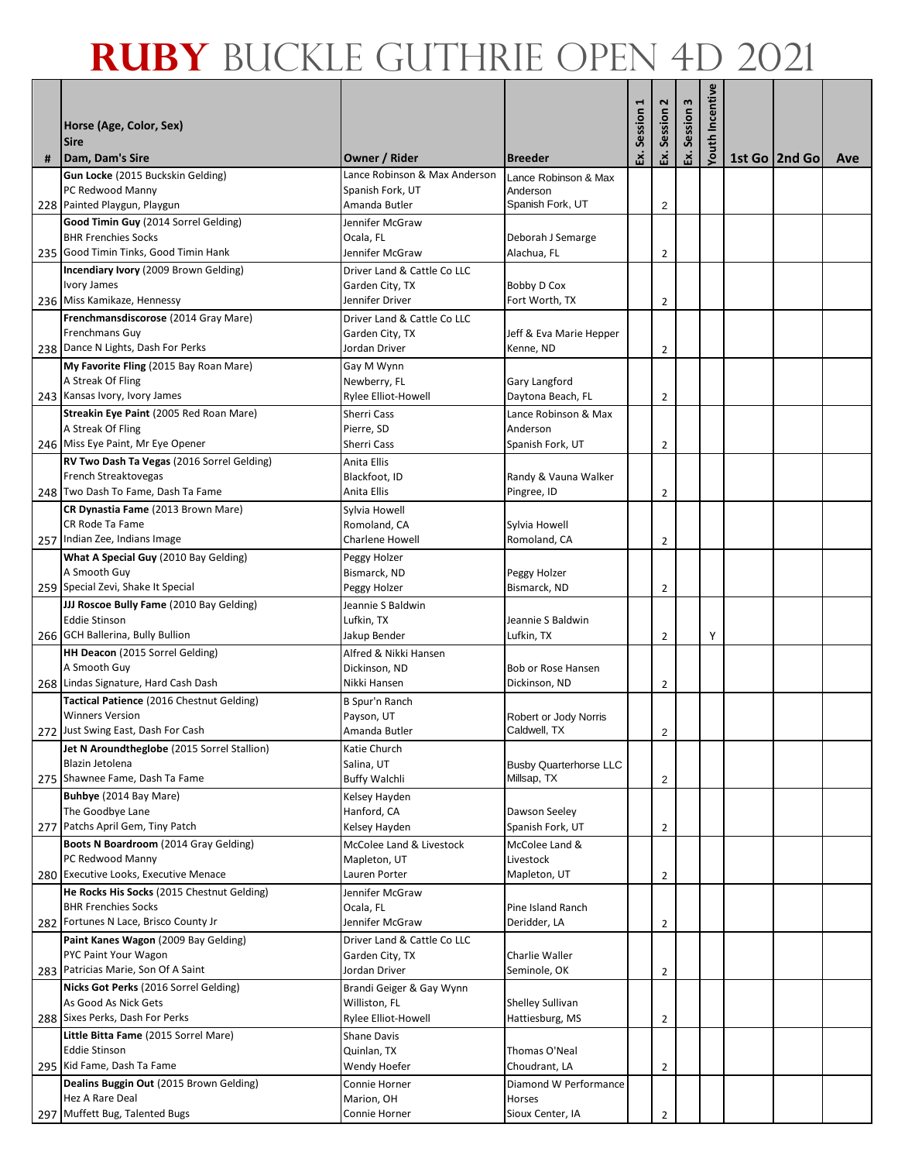|   | Horse (Age, Color, Sex)<br><b>Sire</b>                                       |                                                   |                                        | Session | $\mathbf{r}$<br>Session | Session 3 | <b>Youth Incentive</b> |               |     |
|---|------------------------------------------------------------------------------|---------------------------------------------------|----------------------------------------|---------|-------------------------|-----------|------------------------|---------------|-----|
| # | Dam, Dam's Sire                                                              | <b>Owner / Rider</b>                              | <b>Breeder</b>                         | Ŀ.      | Ŀ.                      | ន<br>     |                        | 1st Go 2nd Go | Ave |
|   | Gun Locke (2015 Buckskin Gelding)<br>PC Redwood Manny                        | Lance Robinson & Max Anderson<br>Spanish Fork, UT | Lance Robinson & Max<br>Anderson       |         |                         |           |                        |               |     |
|   | 228 Painted Playgun, Playgun                                                 | Amanda Butler                                     | Spanish Fork, UT                       |         | $\overline{c}$          |           |                        |               |     |
|   | Good Timin Guy (2014 Sorrel Gelding)                                         | Jennifer McGraw                                   |                                        |         |                         |           |                        |               |     |
|   | <b>BHR Frenchies Socks</b>                                                   | Ocala, FL                                         | Deborah J Semarge                      |         |                         |           |                        |               |     |
|   | 235 Good Timin Tinks, Good Timin Hank                                        | Jennifer McGraw                                   | Alachua, FL                            |         | 2                       |           |                        |               |     |
|   | Incendiary Ivory (2009 Brown Gelding)                                        | Driver Land & Cattle Co LLC                       |                                        |         |                         |           |                        |               |     |
|   | Ivory James<br>236 Miss Kamikaze, Hennessy                                   | Garden City, TX<br>Jennifer Driver                | <b>Bobby D Cox</b><br>Fort Worth, TX   |         | 2                       |           |                        |               |     |
|   | Frenchmansdiscorose (2014 Gray Mare)                                         | Driver Land & Cattle Co LLC                       |                                        |         |                         |           |                        |               |     |
|   | Frenchmans Guy                                                               | Garden City, TX                                   | Jeff & Eva Marie Hepper                |         |                         |           |                        |               |     |
|   | 238 Dance N Lights, Dash For Perks                                           | Jordan Driver                                     | Kenne, ND                              |         | $\overline{2}$          |           |                        |               |     |
|   | My Favorite Fling (2015 Bay Roan Mare)                                       | Gay M Wynn                                        |                                        |         |                         |           |                        |               |     |
|   | A Streak Of Fling                                                            | Newberry, FL                                      | Gary Langford                          |         |                         |           |                        |               |     |
|   | 243 Kansas Ivory, Ivory James                                                | Rylee Elliot-Howell                               | Daytona Beach, FL                      |         | $\overline{2}$          |           |                        |               |     |
|   | Streakin Eye Paint (2005 Red Roan Mare)<br>A Streak Of Fling                 | Sherri Cass<br>Pierre, SD                         | Lance Robinson & Max<br>Anderson       |         |                         |           |                        |               |     |
|   | 246 Miss Eye Paint, Mr Eye Opener                                            | Sherri Cass                                       | Spanish Fork, UT                       |         | 2                       |           |                        |               |     |
|   | RV Two Dash Ta Vegas (2016 Sorrel Gelding)                                   | Anita Ellis                                       |                                        |         |                         |           |                        |               |     |
|   | French Streaktovegas                                                         | Blackfoot, ID                                     | Randy & Vauna Walker                   |         |                         |           |                        |               |     |
|   | 248 Two Dash To Fame, Dash Ta Fame                                           | Anita Ellis                                       | Pingree, ID                            |         | 2                       |           |                        |               |     |
|   | CR Dynastia Fame (2013 Brown Mare)                                           | Sylvia Howell                                     |                                        |         |                         |           |                        |               |     |
|   | CR Rode Ta Fame<br>257 Indian Zee, Indians Image                             | Romoland, CA<br>Charlene Howell                   | Sylvia Howell<br>Romoland, CA          |         | 2                       |           |                        |               |     |
|   | What A Special Guy (2010 Bay Gelding)                                        | Peggy Holzer                                      |                                        |         |                         |           |                        |               |     |
|   | A Smooth Guy                                                                 | Bismarck, ND                                      | Peggy Holzer                           |         |                         |           |                        |               |     |
|   | 259 Special Zevi, Shake It Special                                           | Peggy Holzer                                      | Bismarck, ND                           |         | $\overline{2}$          |           |                        |               |     |
|   | JJJ Roscoe Bully Fame (2010 Bay Gelding)                                     | Jeannie S Baldwin                                 |                                        |         |                         |           |                        |               |     |
|   | <b>Eddie Stinson</b>                                                         | Lufkin, TX                                        | Jeannie S Baldwin                      |         |                         |           |                        |               |     |
|   | 266 GCH Ballerina, Bully Bullion<br>HH Deacon (2015 Sorrel Gelding)          | Jakup Bender<br>Alfred & Nikki Hansen             | Lufkin, TX                             |         | 2                       |           | Υ                      |               |     |
|   | A Smooth Guy                                                                 | Dickinson, ND                                     | <b>Bob or Rose Hansen</b>              |         |                         |           |                        |               |     |
|   | 268 Lindas Signature, Hard Cash Dash                                         | Nikki Hansen                                      | Dickinson, ND                          |         | $\overline{2}$          |           |                        |               |     |
|   | Tactical Patience (2016 Chestnut Gelding)                                    | B Spur'n Ranch                                    |                                        |         |                         |           |                        |               |     |
|   | <b>Winners Version</b>                                                       | Payson, UT                                        | Robert or Jody Norris                  |         |                         |           |                        |               |     |
|   | 272 Just Swing East, Dash For Cash                                           | Amanda Butler                                     | Caldwell, TX                           |         | $\overline{2}$          |           |                        |               |     |
|   | Jet N Aroundtheglobe (2015 Sorrel Stallion)<br>Blazin Jetolena               | Katie Church<br>Salina, UT                        | <b>Busby Quarterhorse LLC</b>          |         |                         |           |                        |               |     |
|   | 275 Shawnee Fame, Dash Ta Fame                                               | <b>Buffy Walchli</b>                              | Millsap, TX                            |         | $\overline{c}$          |           |                        |               |     |
|   | Buhbye (2014 Bay Mare)                                                       | Kelsey Hayden                                     |                                        |         |                         |           |                        |               |     |
|   | The Goodbye Lane                                                             | Hanford, CA                                       | Dawson Seeley                          |         |                         |           |                        |               |     |
|   | 277 Patchs April Gem, Tiny Patch                                             | Kelsey Hayden                                     | Spanish Fork, UT                       |         | $\overline{2}$          |           |                        |               |     |
|   | <b>Boots N Boardroom</b> (2014 Gray Gelding)                                 | McColee Land & Livestock                          | McColee Land &                         |         |                         |           |                        |               |     |
|   | PC Redwood Manny<br>280 Executive Looks, Executive Menace                    | Mapleton, UT<br>Lauren Porter                     | Livestock<br>Mapleton, UT              |         | 2                       |           |                        |               |     |
|   | He Rocks His Socks (2015 Chestnut Gelding)                                   | Jennifer McGraw                                   |                                        |         |                         |           |                        |               |     |
|   | <b>BHR Frenchies Socks</b>                                                   | Ocala, FL                                         | Pine Island Ranch                      |         |                         |           |                        |               |     |
|   | 282 Fortunes N Lace, Brisco County Jr                                        | Jennifer McGraw                                   | Deridder, LA                           |         | 2                       |           |                        |               |     |
|   | Paint Kanes Wagon (2009 Bay Gelding)                                         | Driver Land & Cattle Co LLC                       |                                        |         |                         |           |                        |               |     |
|   | PYC Paint Your Wagon                                                         | Garden City, TX                                   | Charlie Waller                         |         |                         |           |                        |               |     |
|   | 283 Patricias Marie, Son Of A Saint<br>Nicks Got Perks (2016 Sorrel Gelding) | Jordan Driver<br>Brandi Geiger & Gay Wynn         | Seminole, OK                           |         | $\overline{2}$          |           |                        |               |     |
|   | As Good As Nick Gets                                                         | Williston, FL                                     | Shelley Sullivan                       |         |                         |           |                        |               |     |
|   | 288 Sixes Perks, Dash For Perks                                              | Rylee Elliot-Howell                               | Hattiesburg, MS                        |         | $\overline{2}$          |           |                        |               |     |
|   | Little Bitta Fame (2015 Sorrel Mare)                                         | Shane Davis                                       |                                        |         |                         |           |                        |               |     |
|   | <b>Eddie Stinson</b>                                                         | Quinlan, TX                                       | Thomas O'Neal                          |         |                         |           |                        |               |     |
|   | 295 Kid Fame, Dash Ta Fame                                                   | Wendy Hoefer                                      | Choudrant, LA                          |         | 2                       |           |                        |               |     |
|   | Dealins Buggin Out (2015 Brown Gelding)<br>Hez A Rare Deal                   | Connie Horner<br>Marion, OH                       | Diamond W Performance<br><b>Horses</b> |         |                         |           |                        |               |     |
|   | 297 Muffett Bug, Talented Bugs                                               | Connie Horner                                     | Sioux Center, IA                       |         |                         |           |                        |               |     |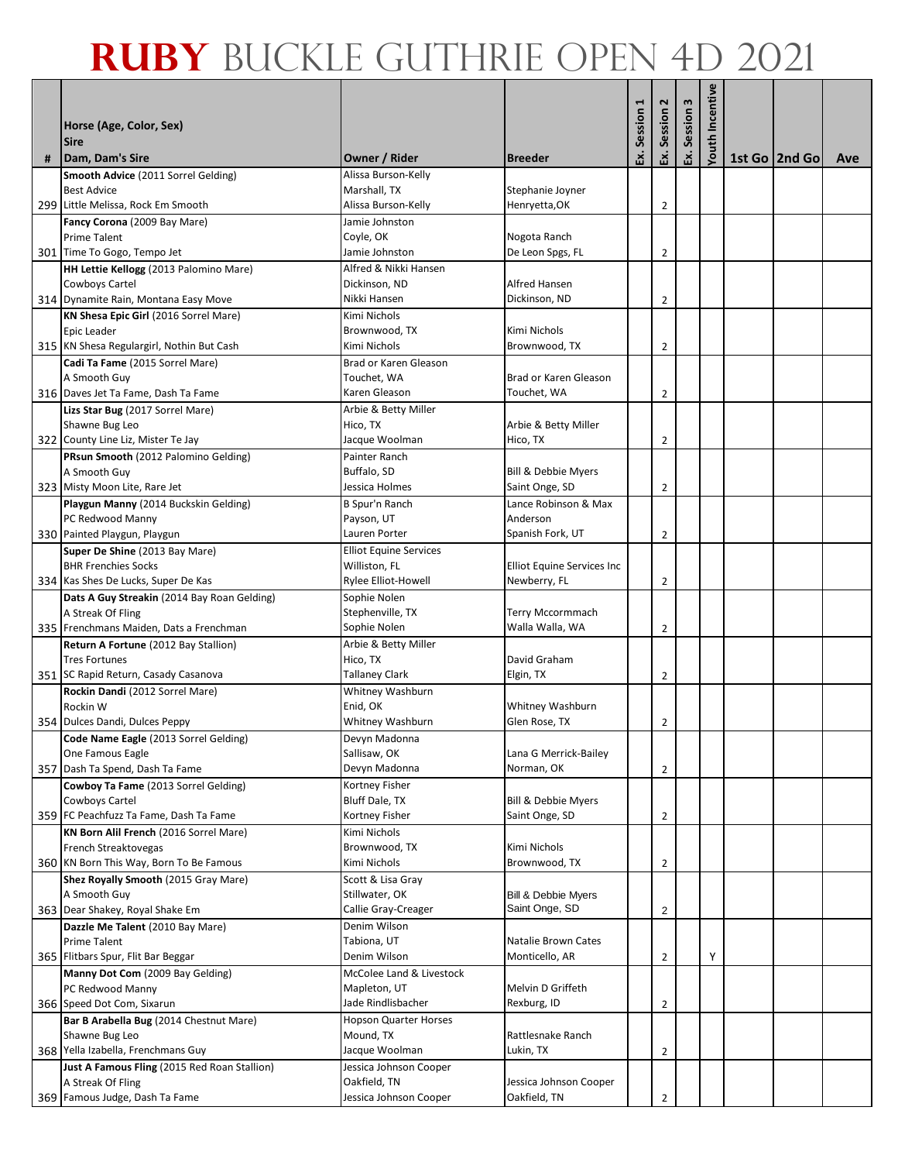|   |                                                                                    |                                          |                                                  |         | 2              |           | Youth Incentive |                 |     |
|---|------------------------------------------------------------------------------------|------------------------------------------|--------------------------------------------------|---------|----------------|-----------|-----------------|-----------------|-----|
|   | Horse (Age, Color, Sex)<br><b>Sire</b>                                             |                                          |                                                  | Session | Session        | Session 3 |                 |                 |     |
| # | Dam, Dam's Sire                                                                    | Owner / Rider                            | <b>Breeder</b>                                   | Ŀ.      | Εx.            | Š.        |                 | 1st Go   2nd Go | Ave |
|   | Smooth Advice (2011 Sorrel Gelding)                                                | Alissa Burson-Kelly                      |                                                  |         |                |           |                 |                 |     |
|   | <b>Best Advice</b><br>299 Little Melissa, Rock Em Smooth                           | Marshall, TX<br>Alissa Burson-Kelly      | Stephanie Joyner<br>Henryetta, OK                |         | 2              |           |                 |                 |     |
|   | Fancy Corona (2009 Bay Mare)                                                       | Jamie Johnston                           |                                                  |         |                |           |                 |                 |     |
|   | <b>Prime Talent</b>                                                                | Coyle, OK                                | Nogota Ranch                                     |         |                |           |                 |                 |     |
|   | 301 Time To Gogo, Tempo Jet                                                        | Jamie Johnston                           | De Leon Spgs, FL                                 |         | 2              |           |                 |                 |     |
|   | HH Lettie Kellogg (2013 Palomino Mare)<br>Cowboys Cartel                           | Alfred & Nikki Hansen                    | Alfred Hansen                                    |         |                |           |                 |                 |     |
|   | 314 Dynamite Rain, Montana Easy Move                                               | Dickinson, ND<br>Nikki Hansen            | Dickinson, ND                                    |         | $\overline{2}$ |           |                 |                 |     |
|   | KN Shesa Epic Girl (2016 Sorrel Mare)                                              | Kimi Nichols                             |                                                  |         |                |           |                 |                 |     |
|   | Epic Leader                                                                        | Brownwood, TX                            | Kimi Nichols                                     |         |                |           |                 |                 |     |
|   | 315 KN Shesa Regulargirl, Nothin But Cash                                          | Kimi Nichols                             | Brownwood, TX                                    |         | $\overline{2}$ |           |                 |                 |     |
|   | Cadi Ta Fame (2015 Sorrel Mare)                                                    | Brad or Karen Gleason                    |                                                  |         |                |           |                 |                 |     |
|   | A Smooth Guy<br>316 Daves Jet Ta Fame, Dash Ta Fame                                | Touchet, WA<br>Karen Gleason             | Brad or Karen Gleason<br>Touchet, WA             |         | 2              |           |                 |                 |     |
|   | Lizs Star Bug (2017 Sorrel Mare)                                                   | Arbie & Betty Miller                     |                                                  |         |                |           |                 |                 |     |
|   | Shawne Bug Leo                                                                     | Hico, TX                                 | Arbie & Betty Miller                             |         |                |           |                 |                 |     |
|   | 322 County Line Liz, Mister Te Jay                                                 | Jacque Woolman                           | Hico, TX                                         |         | $\overline{2}$ |           |                 |                 |     |
|   | PRsun Smooth (2012 Palomino Gelding)                                               | Painter Ranch                            |                                                  |         |                |           |                 |                 |     |
|   | A Smooth Guy<br>323 Misty Moon Lite, Rare Jet                                      | Buffalo, SD<br>lessica Holmes            | <b>Bill &amp; Debbie Myers</b><br>Saint Onge, SD |         | $\overline{2}$ |           |                 |                 |     |
|   | Playgun Manny (2014 Buckskin Gelding)                                              | B Spur'n Ranch                           | Lance Robinson & Max                             |         |                |           |                 |                 |     |
|   | PC Redwood Manny                                                                   | Payson, UT                               | Anderson                                         |         |                |           |                 |                 |     |
|   | 330 Painted Playgun, Playgun                                                       | Lauren Porter                            | Spanish Fork, UT                                 |         | 2              |           |                 |                 |     |
|   | Super De Shine (2013 Bay Mare)                                                     | <b>Elliot Equine Services</b>            |                                                  |         |                |           |                 |                 |     |
|   | <b>BHR Frenchies Socks</b>                                                         | Williston, FL                            | <b>Elliot Equine Services Inc</b>                |         |                |           |                 |                 |     |
|   | 334 Kas Shes De Lucks, Super De Kas<br>Dats A Guy Streakin (2014 Bay Roan Gelding) | Rylee Elliot-Howell<br>Sophie Nolen      | Newberry, FL                                     |         | $\overline{2}$ |           |                 |                 |     |
|   | A Streak Of Fling                                                                  | Stephenville, TX                         | Terry Mccormmach                                 |         |                |           |                 |                 |     |
|   | 335 Frenchmans Maiden, Dats a Frenchman                                            | Sophie Nolen                             | Walla Walla, WA                                  |         | $\overline{2}$ |           |                 |                 |     |
|   | Return A Fortune (2012 Bay Stallion)                                               | Arbie & Betty Miller                     |                                                  |         |                |           |                 |                 |     |
|   | <b>Tres Fortunes</b>                                                               | Hico, TX                                 | David Graham                                     |         |                |           |                 |                 |     |
|   | 351 SC Rapid Return, Casady Casanova<br>Rockin Dandi (2012 Sorrel Mare)            | Tallaney Clark<br>Whitney Washburn       | Elgin, TX                                        |         | $\overline{2}$ |           |                 |                 |     |
|   | Rockin W                                                                           | Enid, OK                                 | Whitney Washburn                                 |         |                |           |                 |                 |     |
|   | 354 Dulces Dandi, Dulces Peppy                                                     | Whitney Washburn                         | Glen Rose, TX                                    |         | 2              |           |                 |                 |     |
|   | Code Name Eagle (2013 Sorrel Gelding)                                              | Devyn Madonna                            |                                                  |         |                |           |                 |                 |     |
|   | One Famous Eagle                                                                   | Sallisaw, OK                             | Lana G Merrick-Bailey                            |         |                |           |                 |                 |     |
|   | 357 Dash Ta Spend, Dash Ta Fame<br>Cowboy Ta Fame (2013 Sorrel Gelding)            | Devyn Madonna<br>Kortney Fisher          | Norman, OK                                       |         | $\overline{2}$ |           |                 |                 |     |
|   | Cowboys Cartel                                                                     | Bluff Dale, TX                           | Bill & Debbie Myers                              |         |                |           |                 |                 |     |
|   | 359 FC Peachfuzz Ta Fame, Dash Ta Fame                                             | Kortney Fisher                           | Saint Onge, SD                                   |         | $\overline{2}$ |           |                 |                 |     |
|   | KN Born Alil French (2016 Sorrel Mare)                                             | Kimi Nichols                             |                                                  |         |                |           |                 |                 |     |
|   | French Streaktovegas                                                               | Brownwood, TX<br>Kimi Nichols            | Kimi Nichols<br>Brownwood, TX                    |         |                |           |                 |                 |     |
|   | 360 KN Born This Way, Born To Be Famous<br>Shez Royally Smooth (2015 Gray Mare)    | Scott & Lisa Gray                        |                                                  |         | 2              |           |                 |                 |     |
|   | A Smooth Guy                                                                       | Stillwater, OK                           | <b>Bill &amp; Debbie Myers</b>                   |         |                |           |                 |                 |     |
|   | 363 Dear Shakey, Royal Shake Em                                                    | Callie Gray-Creager                      | Saint Onge, SD                                   |         | $\overline{2}$ |           |                 |                 |     |
|   | Dazzle Me Talent (2010 Bay Mare)                                                   | Denim Wilson                             |                                                  |         |                |           |                 |                 |     |
|   | <b>Prime Talent</b>                                                                | Tabiona, UT                              | Natalie Brown Cates                              |         |                |           |                 |                 |     |
|   | 365 Flitbars Spur, Flit Bar Beggar<br>Manny Dot Com (2009 Bay Gelding)             | Denim Wilson<br>McColee Land & Livestock | Monticello, AR                                   |         | $\overline{2}$ |           | Υ               |                 |     |
|   | PC Redwood Manny                                                                   | Mapleton, UT                             | Melvin D Griffeth                                |         |                |           |                 |                 |     |
|   | 366 Speed Dot Com, Sixarun                                                         | Jade Rindlisbacher                       | Rexburg, ID                                      |         | $\overline{2}$ |           |                 |                 |     |
|   | Bar B Arabella Bug (2014 Chestnut Mare)                                            | <b>Hopson Quarter Horses</b>             |                                                  |         |                |           |                 |                 |     |
|   | Shawne Bug Leo                                                                     | Mound, TX                                | Rattlesnake Ranch                                |         |                |           |                 |                 |     |
|   | 368 Yella Izabella, Frenchmans Guy<br>Just A Famous Fling (2015 Red Roan Stallion) | Jacque Woolman<br>Jessica Johnson Cooper | Lukin, TX                                        |         | 2              |           |                 |                 |     |
|   | A Streak Of Fling                                                                  | Oakfield, TN                             | Jessica Johnson Cooper                           |         |                |           |                 |                 |     |
|   | 369 Famous Judge, Dash Ta Fame                                                     | Jessica Johnson Cooper                   | Oakfield, TN                                     |         | 2              |           |                 |                 |     |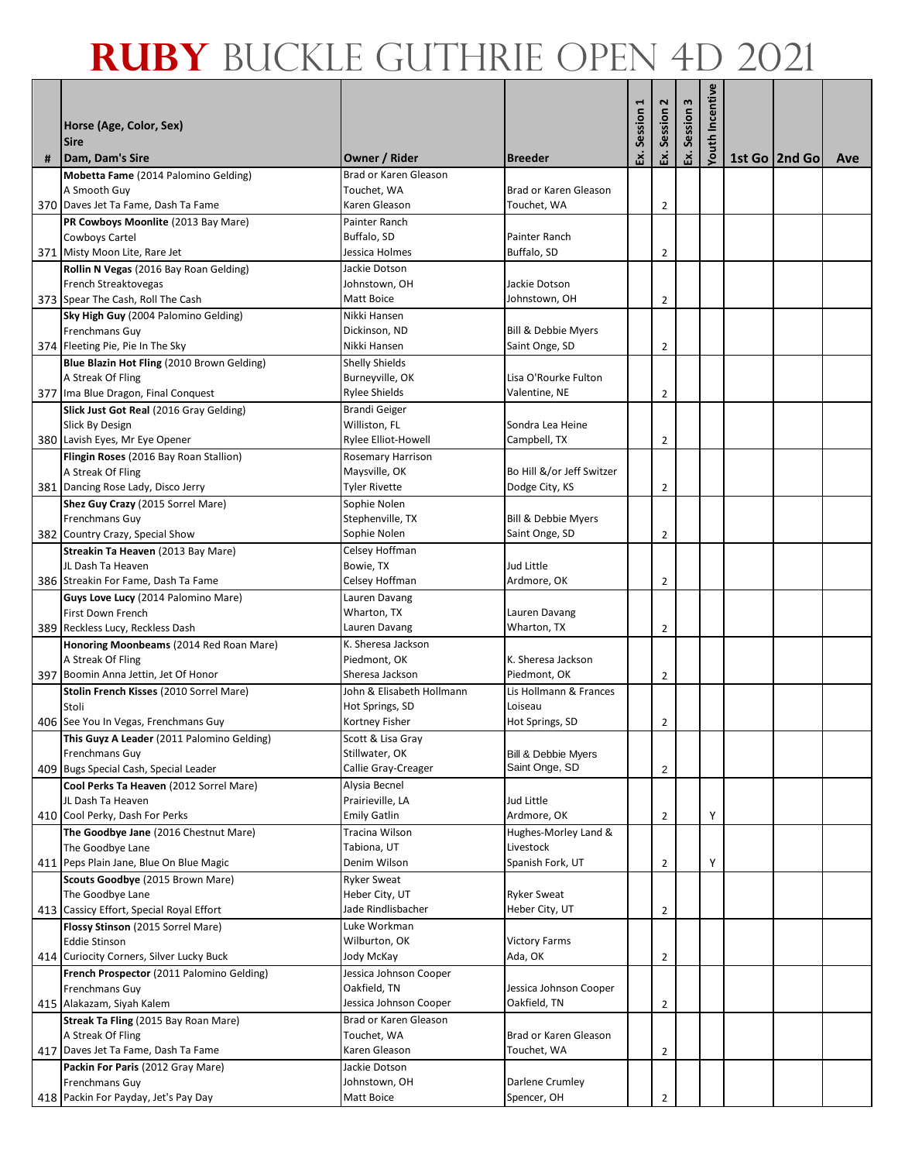|   | Horse (Age, Color, Sex)                                                                     |                                                       |                                                  | Session | 2<br>Session   | Session 3 | Youth Incentive |                 |     |
|---|---------------------------------------------------------------------------------------------|-------------------------------------------------------|--------------------------------------------------|---------|----------------|-----------|-----------------|-----------------|-----|
| # | <b>Sire</b><br>Dam, Dam's Sire                                                              | Owner / Rider                                         | <b>Breeder</b>                                   | Ŀ.      | Ė.             | Š.        |                 | 1st Go   2nd Go | Ave |
|   | Mobetta Fame (2014 Palomino Gelding)<br>A Smooth Guy<br>370 Daves Jet Ta Fame, Dash Ta Fame | Brad or Karen Gleason<br>Touchet, WA<br>Karen Gleason | Brad or Karen Gleason<br>Touchet, WA             |         | 2              |           |                 |                 |     |
|   | PR Cowboys Moonlite (2013 Bay Mare)                                                         | Painter Ranch                                         |                                                  |         |                |           |                 |                 |     |
|   | Cowboys Cartel                                                                              | Buffalo, SD                                           | Painter Ranch                                    |         |                |           |                 |                 |     |
|   | 371 Misty Moon Lite, Rare Jet                                                               | Jessica Holmes                                        | Buffalo, SD                                      |         | $\overline{2}$ |           |                 |                 |     |
|   | Rollin N Vegas (2016 Bay Roan Gelding)                                                      | Jackie Dotson                                         |                                                  |         |                |           |                 |                 |     |
|   | French Streaktovegas                                                                        | Johnstown, OH                                         | Jackie Dotson                                    |         |                |           |                 |                 |     |
|   | 373 Spear The Cash, Roll The Cash                                                           | Matt Boice                                            | Johnstown, OH                                    |         | $\overline{2}$ |           |                 |                 |     |
|   | Sky High Guy (2004 Palomino Gelding)                                                        | Nikki Hansen                                          |                                                  |         |                |           |                 |                 |     |
|   | Frenchmans Guy<br>374 Fleeting Pie, Pie In The Sky                                          | Dickinson, ND<br>Nikki Hansen                         | <b>Bill &amp; Debbie Myers</b><br>Saint Onge, SD |         | $\overline{2}$ |           |                 |                 |     |
|   | Blue Blazin Hot Fling (2010 Brown Gelding)                                                  | <b>Shelly Shields</b>                                 |                                                  |         |                |           |                 |                 |     |
|   | A Streak Of Fling                                                                           | Burneyville, OK                                       | Lisa O'Rourke Fulton                             |         |                |           |                 |                 |     |
|   | 377 Ima Blue Dragon, Final Conquest                                                         | <b>Rylee Shields</b>                                  | Valentine, NE                                    |         | 2              |           |                 |                 |     |
|   | Slick Just Got Real (2016 Gray Gelding)                                                     | <b>Brandi Geiger</b>                                  |                                                  |         |                |           |                 |                 |     |
|   | Slick By Design                                                                             | Williston, FL                                         | Sondra Lea Heine                                 |         |                |           |                 |                 |     |
|   | 380 Lavish Eyes, Mr Eye Opener                                                              | Rylee Elliot-Howell                                   | Campbell, TX                                     |         | $\overline{2}$ |           |                 |                 |     |
|   | Flingin Roses (2016 Bay Roan Stallion)                                                      | Rosemary Harrison                                     |                                                  |         |                |           |                 |                 |     |
|   | A Streak Of Fling                                                                           | Maysville, OK                                         | Bo Hill &/or Jeff Switzer                        |         |                |           |                 |                 |     |
|   | 381 Dancing Rose Lady, Disco Jerry                                                          | <b>Tyler Rivette</b>                                  | Dodge City, KS                                   |         | $\overline{2}$ |           |                 |                 |     |
|   | Shez Guy Crazy (2015 Sorrel Mare)<br>Frenchmans Guy                                         | Sophie Nolen<br>Stephenville, TX                      | Bill & Debbie Myers                              |         |                |           |                 |                 |     |
|   | 382 Country Crazy, Special Show                                                             | Sophie Nolen                                          | Saint Onge, SD                                   |         | 2              |           |                 |                 |     |
|   | Streakin Ta Heaven (2013 Bay Mare)                                                          | Celsey Hoffman                                        |                                                  |         |                |           |                 |                 |     |
|   | JL Dash Ta Heaven                                                                           | Bowie, TX                                             | Jud Little                                       |         |                |           |                 |                 |     |
|   | 386 Streakin For Fame, Dash Ta Fame                                                         | Celsey Hoffman                                        | Ardmore, OK                                      |         | $\overline{2}$ |           |                 |                 |     |
|   | Guys Love Lucy (2014 Palomino Mare)                                                         | Lauren Davang                                         |                                                  |         |                |           |                 |                 |     |
|   | First Down French                                                                           | Wharton, TX                                           | Lauren Davang                                    |         |                |           |                 |                 |     |
|   | 389 Reckless Lucy, Reckless Dash                                                            | Lauren Davang                                         | Wharton, TX                                      |         | $\overline{2}$ |           |                 |                 |     |
|   | Honoring Moonbeams (2014 Red Roan Mare)<br>A Streak Of Fling                                | K. Sheresa Jackson                                    | K. Sheresa Jackson                               |         |                |           |                 |                 |     |
|   | 397 Boomin Anna Jettin, Jet Of Honor                                                        | Piedmont, OK<br>Sheresa Jackson                       | Piedmont, OK                                     |         | $\overline{2}$ |           |                 |                 |     |
|   | Stolin French Kisses (2010 Sorrel Mare)                                                     | John & Elisabeth Hollmann                             | Lis Hollmann & Frances                           |         |                |           |                 |                 |     |
|   | Stoli                                                                                       | Hot Springs, SD                                       | Loiseau                                          |         |                |           |                 |                 |     |
|   | 406 See You In Vegas, Frenchmans Guy                                                        | Kortney Fisher                                        | Hot Springs, SD                                  |         | $\overline{2}$ |           |                 |                 |     |
|   | This Guyz A Leader (2011 Palomino Gelding)                                                  | Scott & Lisa Gray                                     |                                                  |         |                |           |                 |                 |     |
|   | Frenchmans Guy                                                                              | Stillwater, OK                                        | Bill & Debbie Myers                              |         |                |           |                 |                 |     |
|   | 409 Bugs Special Cash, Special Leader                                                       | Callie Gray-Creager                                   | Saint Onge, SD                                   |         | $\overline{c}$ |           |                 |                 |     |
|   | Cool Perks Ta Heaven (2012 Sorrel Mare)                                                     | Alysia Becnel                                         |                                                  |         |                |           |                 |                 |     |
|   | JL Dash Ta Heaven<br>410 Cool Perky, Dash For Perks                                         | Prairieville, LA<br><b>Emily Gatlin</b>               | Jud Little<br>Ardmore, OK                        |         | $\overline{2}$ |           | Υ               |                 |     |
|   | The Goodbye Jane (2016 Chestnut Mare)                                                       | Tracina Wilson                                        | Hughes-Morley Land &                             |         |                |           |                 |                 |     |
|   | The Goodbye Lane                                                                            | Tabiona, UT                                           | Livestock                                        |         |                |           |                 |                 |     |
|   | 411 Peps Plain Jane, Blue On Blue Magic                                                     | Denim Wilson                                          | Spanish Fork, UT                                 |         | $\overline{2}$ |           | Υ               |                 |     |
|   | Scouts Goodbye (2015 Brown Mare)                                                            | <b>Ryker Sweat</b>                                    |                                                  |         |                |           |                 |                 |     |
|   | The Goodbye Lane                                                                            | Heber City, UT                                        | <b>Ryker Sweat</b>                               |         |                |           |                 |                 |     |
|   | 413 Cassicy Effort, Special Royal Effort                                                    | Jade Rindlisbacher                                    | Heber City, UT                                   |         | $\overline{2}$ |           |                 |                 |     |
|   | Flossy Stinson (2015 Sorrel Mare)                                                           | Luke Workman                                          |                                                  |         |                |           |                 |                 |     |
|   | <b>Eddie Stinson</b><br>414 Curiocity Corners, Silver Lucky Buck                            | Wilburton, OK<br>Jody McKay                           | <b>Victory Farms</b><br>Ada, OK                  |         | $\overline{2}$ |           |                 |                 |     |
|   | French Prospector (2011 Palomino Gelding)                                                   | Jessica Johnson Cooper                                |                                                  |         |                |           |                 |                 |     |
|   | Frenchmans Guy                                                                              | Oakfield, TN                                          | Jessica Johnson Cooper                           |         |                |           |                 |                 |     |
|   | 415 Alakazam, Siyah Kalem                                                                   | Jessica Johnson Cooper                                | Oakfield, TN                                     |         | $\overline{2}$ |           |                 |                 |     |
|   | Streak Ta Fling (2015 Bay Roan Mare)                                                        | Brad or Karen Gleason                                 |                                                  |         |                |           |                 |                 |     |
|   | A Streak Of Fling                                                                           | Touchet, WA                                           | Brad or Karen Gleason                            |         |                |           |                 |                 |     |
|   | 417 Daves Jet Ta Fame, Dash Ta Fame                                                         | Karen Gleason                                         | Touchet, WA                                      |         | 2              |           |                 |                 |     |
|   | Packin For Paris (2012 Gray Mare)                                                           | Jackie Dotson                                         |                                                  |         |                |           |                 |                 |     |
|   | Frenchmans Guy<br>418 Packin For Payday, Jet's Pay Day                                      | Johnstown, OH<br>Matt Boice                           | Darlene Crumley<br>Spencer, OH                   |         | $\overline{2}$ |           |                 |                 |     |
|   |                                                                                             |                                                       |                                                  |         |                |           |                 |                 |     |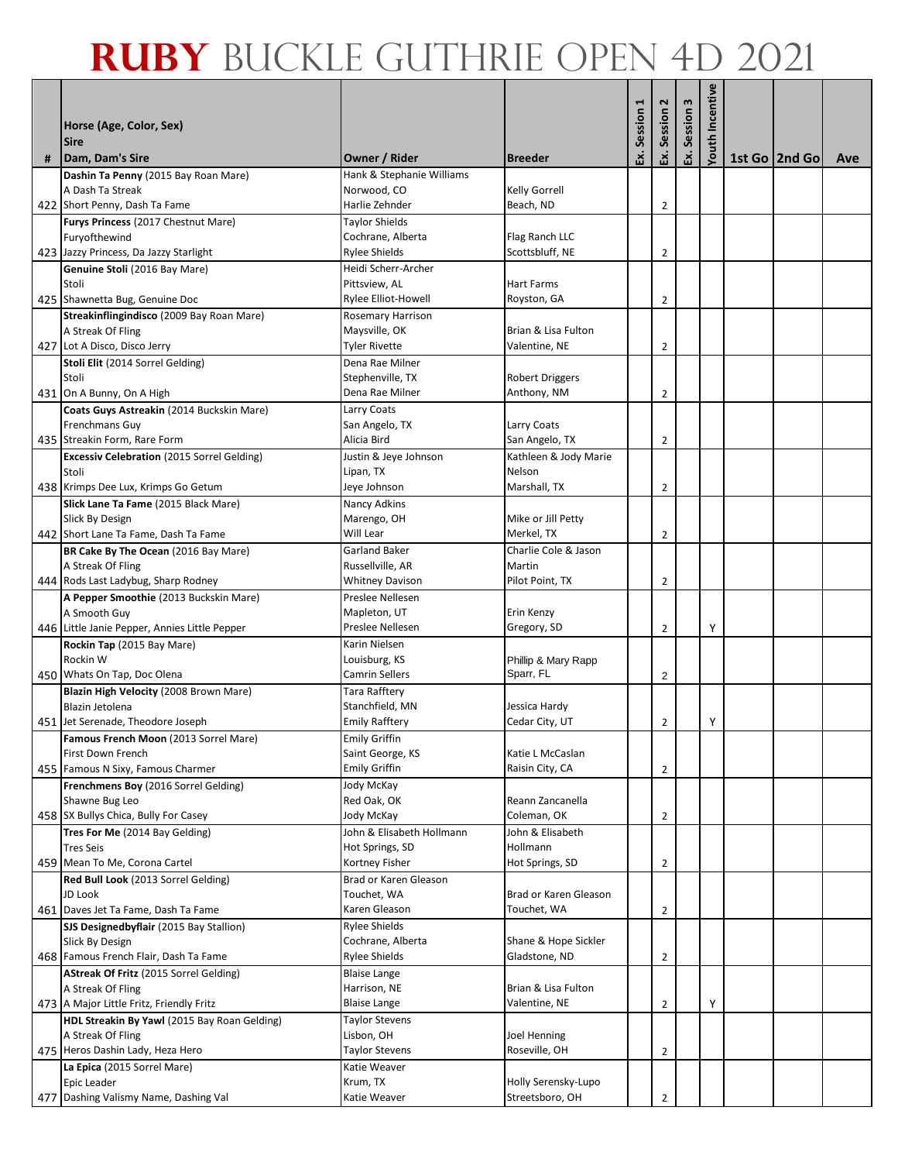|   |                                                                   |                                              |                                      |             | 2              |           | Youth Incentive |                 |     |
|---|-------------------------------------------------------------------|----------------------------------------------|--------------------------------------|-------------|----------------|-----------|-----------------|-----------------|-----|
|   | Horse (Age, Color, Sex)<br><b>Sire</b>                            |                                              |                                      | Ex. Session | Session        | Session 3 |                 |                 |     |
| # | Dam, Dam's Sire                                                   | Owner / Rider                                | <b>Breeder</b>                       |             | Ė.             | Š.        |                 | 1st Go   2nd Go | Ave |
|   | Dashin Ta Penny (2015 Bay Roan Mare)                              | Hank & Stephanie Williams                    |                                      |             |                |           |                 |                 |     |
|   | A Dash Ta Streak                                                  | Norwood, CO                                  | Kelly Gorrell                        |             |                |           |                 |                 |     |
|   | 422 Short Penny, Dash Ta Fame                                     | Harlie Zehnder<br>Taylor Shields             | Beach, ND                            |             | 2              |           |                 |                 |     |
|   | Furys Princess (2017 Chestnut Mare)<br>Furyofthewind              | Cochrane, Alberta                            | Flag Ranch LLC                       |             |                |           |                 |                 |     |
|   | 423 Jazzy Princess, Da Jazzy Starlight                            | <b>Rylee Shields</b>                         | Scottsbluff, NE                      |             | $\overline{2}$ |           |                 |                 |     |
|   | Genuine Stoli (2016 Bay Mare)                                     | Heidi Scherr-Archer                          |                                      |             |                |           |                 |                 |     |
|   | Stoli                                                             | Pittsview, AL                                | <b>Hart Farms</b>                    |             |                |           |                 |                 |     |
|   | 425 Shawnetta Bug, Genuine Doc                                    | Rylee Elliot-Howell                          | Royston, GA                          |             | $\overline{2}$ |           |                 |                 |     |
|   | Streakinflingindisco (2009 Bay Roan Mare)                         | Rosemary Harrison                            |                                      |             |                |           |                 |                 |     |
|   | A Streak Of Fling<br>427 Lot A Disco, Disco Jerry                 | Maysville, OK<br>Tyler Rivette               | Brian & Lisa Fulton<br>Valentine, NE |             | $\overline{2}$ |           |                 |                 |     |
|   | Stoli Elit (2014 Sorrel Gelding)                                  | Dena Rae Milner                              |                                      |             |                |           |                 |                 |     |
|   | Stoli                                                             | Stephenville, TX                             | <b>Robert Driggers</b>               |             |                |           |                 |                 |     |
|   | 431 On A Bunny, On A High                                         | Dena Rae Milner                              | Anthony, NM                          |             | 2              |           |                 |                 |     |
|   | Coats Guys Astreakin (2014 Buckskin Mare)                         | Larry Coats                                  |                                      |             |                |           |                 |                 |     |
|   | Frenchmans Guy                                                    | San Angelo, TX                               | Larry Coats                          |             |                |           |                 |                 |     |
|   | 435 Streakin Form, Rare Form                                      | Alicia Bird                                  | San Angelo, TX                       |             | $\overline{2}$ |           |                 |                 |     |
|   | <b>Excessiv Celebration</b> (2015 Sorrel Gelding)                 | Justin & Jeye Johnson                        | Kathleen & Jody Marie                |             |                |           |                 |                 |     |
|   | Stoli<br>438 Krimps Dee Lux, Krimps Go Getum                      | Lipan, TX<br>Jeye Johnson                    | Nelson<br>Marshall, TX               |             | $\overline{2}$ |           |                 |                 |     |
|   | Slick Lane Ta Fame (2015 Black Mare)                              | Nancy Adkins                                 |                                      |             |                |           |                 |                 |     |
|   | Slick By Design                                                   | Marengo, OH                                  | Mike or Jill Petty                   |             |                |           |                 |                 |     |
|   | 442 Short Lane Ta Fame, Dash Ta Fame                              | Will Lear                                    | Merkel, TX                           |             | 2              |           |                 |                 |     |
|   | BR Cake By The Ocean (2016 Bay Mare)                              | Garland Baker                                | Charlie Cole & Jason                 |             |                |           |                 |                 |     |
|   | A Streak Of Fling                                                 | Russellville, AR                             | Martin                               |             |                |           |                 |                 |     |
|   | 444 Rods Last Ladybug, Sharp Rodney                               | <b>Whitney Davison</b>                       | Pilot Point, TX                      |             | $\overline{2}$ |           |                 |                 |     |
|   | A Pepper Smoothie (2013 Buckskin Mare)                            | Preslee Nellesen                             |                                      |             |                |           |                 |                 |     |
|   | A Smooth Guy<br>446 Little Janie Pepper, Annies Little Pepper     | Mapleton, UT<br>Preslee Nellesen             | Erin Kenzy<br>Gregory, SD            |             | $\overline{2}$ |           | Υ               |                 |     |
|   | Rockin Tap (2015 Bay Mare)                                        | Karin Nielsen                                |                                      |             |                |           |                 |                 |     |
|   | Rockin W                                                          | Louisburg, KS                                | Phillip & Mary Rapp                  |             |                |           |                 |                 |     |
|   | 450 Whats On Tap, Doc Olena                                       | Camrin Sellers                               | Sparr, FL                            |             | $\overline{2}$ |           |                 |                 |     |
|   | Blazin High Velocity (2008 Brown Mare)                            | <b>Tara Rafftery</b>                         |                                      |             |                |           |                 |                 |     |
|   | Blazin Jetolena                                                   | Stanchfield, MN                              | Jessica Hardy                        |             |                |           |                 |                 |     |
|   | 451 Jet Serenade, Theodore Joseph                                 | <b>Emily Rafftery</b>                        | Cedar City, UT                       |             | 2              |           | Υ               |                 |     |
|   | Famous French Moon (2013 Sorrel Mare)                             | <b>Emily Griffin</b><br>Saint George, KS     | Katie L McCaslan                     |             |                |           |                 |                 |     |
|   | First Down French<br>455 Famous N Sixy, Famous Charmer            | <b>Emily Griffin</b>                         | Raisin City, CA                      |             | $\overline{2}$ |           |                 |                 |     |
|   | Frenchmens Boy (2016 Sorrel Gelding)                              | Jody McKay                                   |                                      |             |                |           |                 |                 |     |
|   | Shawne Bug Leo                                                    | Red Oak, OK                                  | Reann Zancanella                     |             |                |           |                 |                 |     |
|   | 458 SX Bullys Chica, Bully For Casey                              | Jody McKay                                   | Coleman, OK                          |             | $\overline{2}$ |           |                 |                 |     |
|   | Tres For Me (2014 Bay Gelding)                                    | John & Elisabeth Hollmann                    | John & Elisabeth                     |             |                |           |                 |                 |     |
|   | <b>Tres Seis</b>                                                  | Hot Springs, SD                              | Hollmann                             |             |                |           |                 |                 |     |
|   | 459 Mean To Me, Corona Cartel                                     | Kortney Fisher                               | Hot Springs, SD                      |             | $\overline{2}$ |           |                 |                 |     |
|   | Red Bull Look (2013 Sorrel Gelding)<br>JD Look                    | Brad or Karen Gleason<br>Touchet, WA         | Brad or Karen Gleason                |             |                |           |                 |                 |     |
|   | 461 Daves Jet Ta Fame, Dash Ta Fame                               | Karen Gleason                                | Touchet, WA                          |             | $\overline{2}$ |           |                 |                 |     |
|   | SJS Designedbyflair (2015 Bay Stallion)                           | <b>Rylee Shields</b>                         |                                      |             |                |           |                 |                 |     |
|   | Slick By Design                                                   | Cochrane, Alberta                            | Shane & Hope Sickler                 |             |                |           |                 |                 |     |
|   | 468 Famous French Flair, Dash Ta Fame                             | <b>Rylee Shields</b>                         | Gladstone, ND                        |             | 2              |           |                 |                 |     |
|   | AStreak Of Fritz (2015 Sorrel Gelding)                            | <b>Blaise Lange</b>                          |                                      |             |                |           |                 |                 |     |
|   | A Streak Of Fling                                                 | Harrison, NE                                 | Brian & Lisa Fulton                  |             |                |           |                 |                 |     |
|   | 473 A Major Little Fritz, Friendly Fritz                          | <b>Blaise Lange</b><br><b>Taylor Stevens</b> | Valentine, NE                        |             | $\overline{2}$ |           | Υ               |                 |     |
|   | HDL Streakin By Yawl (2015 Bay Roan Gelding)<br>A Streak Of Fling | Lisbon, OH                                   | Joel Henning                         |             |                |           |                 |                 |     |
|   | 475 Heros Dashin Lady, Heza Hero                                  | Taylor Stevens                               | Roseville, OH                        |             | 2              |           |                 |                 |     |
|   | La Epica (2015 Sorrel Mare)                                       | Katie Weaver                                 |                                      |             |                |           |                 |                 |     |
|   | Epic Leader                                                       | Krum, TX                                     | Holly Serensky-Lupo                  |             |                |           |                 |                 |     |
|   | 477 Dashing Valismy Name, Dashing Val                             | Katie Weaver                                 | Streetsboro, OH                      |             | 2              |           |                 |                 |     |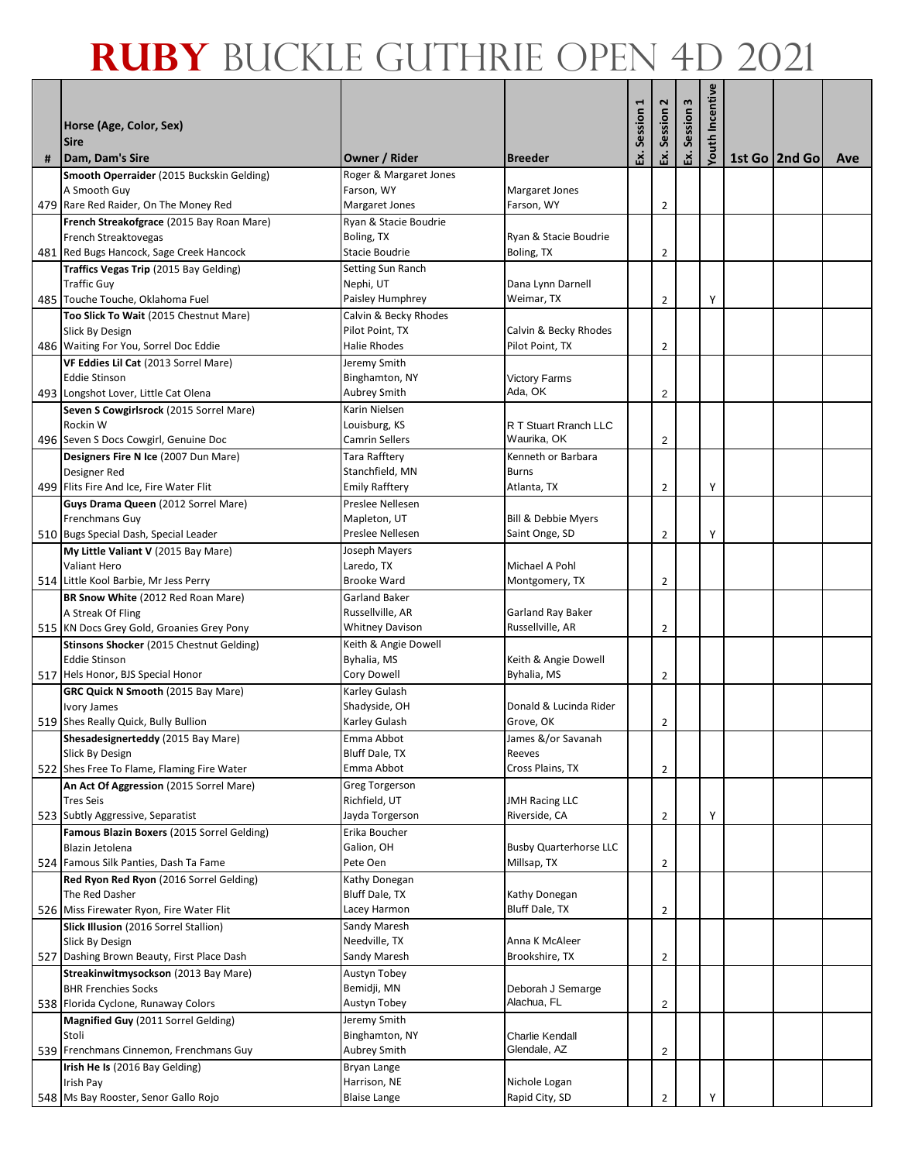|   | Horse (Age, Color, Sex)                                                               |                                           |                                 | Session | 2<br>Session   | Session 3 | Youth Incentive |                 |     |
|---|---------------------------------------------------------------------------------------|-------------------------------------------|---------------------------------|---------|----------------|-----------|-----------------|-----------------|-----|
| # | <b>Sire</b><br>Dam, Dam's Sire                                                        | Owner / Rider                             | <b>Breeder</b>                  | Ŀ.      | 덧.             | Š.        |                 | 1st Go   2nd Go | Ave |
|   | Smooth Operraider (2015 Buckskin Gelding)                                             | Roger & Margaret Jones                    |                                 |         |                |           |                 |                 |     |
|   | A Smooth Guy                                                                          | Farson, WY                                | Margaret Jones                  |         |                |           |                 |                 |     |
|   | 479 Rare Red Raider, On The Money Red<br>French Streakofgrace (2015 Bay Roan Mare)    | Margaret Jones<br>Ryan & Stacie Boudrie   | Farson, WY                      |         | $\overline{2}$ |           |                 |                 |     |
|   | French Streaktovegas                                                                  | Boling, TX                                | Ryan & Stacie Boudrie           |         |                |           |                 |                 |     |
|   | 481 Red Bugs Hancock, Sage Creek Hancock                                              | Stacie Boudrie                            | Boling, TX                      |         | 2              |           |                 |                 |     |
|   | Traffics Vegas Trip (2015 Bay Gelding)                                                | Setting Sun Ranch                         |                                 |         |                |           |                 |                 |     |
|   | <b>Traffic Guy</b>                                                                    | Nephi, UT                                 | Dana Lynn Darnell               |         |                |           |                 |                 |     |
|   | 485 Touche Touche, Oklahoma Fuel<br>Too Slick To Wait (2015 Chestnut Mare)            | Paisley Humphrey<br>Calvin & Becky Rhodes | Weimar, TX                      |         | 2              |           | Υ               |                 |     |
|   | Slick By Design                                                                       | Pilot Point, TX                           | Calvin & Becky Rhodes           |         |                |           |                 |                 |     |
|   | 486 Waiting For You, Sorrel Doc Eddie                                                 | <b>Halie Rhodes</b>                       | Pilot Point, TX                 |         | 2              |           |                 |                 |     |
|   | VF Eddies Lil Cat (2013 Sorrel Mare)                                                  | Jeremy Smith                              |                                 |         |                |           |                 |                 |     |
|   | <b>Eddie Stinson</b>                                                                  | Binghamton, NY                            | <b>Victory Farms</b>            |         |                |           |                 |                 |     |
|   | 493 Longshot Lover, Little Cat Olena<br>Seven S Cowgirlsrock (2015 Sorrel Mare)       | Aubrey Smith<br>Karin Nielsen             | Ada, OK                         |         | 2              |           |                 |                 |     |
|   | Rockin W                                                                              | Louisburg, KS                             | R T Stuart Rranch LLC           |         |                |           |                 |                 |     |
|   | 496 Seven S Docs Cowgirl, Genuine Doc                                                 | Camrin Sellers                            | Waurika, OK                     |         | $\overline{2}$ |           |                 |                 |     |
|   | Designers Fire N Ice (2007 Dun Mare)                                                  | Tara Rafftery                             | Kenneth or Barbara              |         |                |           |                 |                 |     |
|   | Designer Red                                                                          | Stanchfield, MN                           | <b>Burns</b>                    |         |                |           |                 |                 |     |
|   | 499 Flits Fire And Ice, Fire Water Flit<br>Guys Drama Queen (2012 Sorrel Mare)        | <b>Emily Rafftery</b><br>Preslee Nellesen | Atlanta, TX                     |         | $\overline{2}$ |           | Υ               |                 |     |
|   | Frenchmans Guy                                                                        | Mapleton, UT                              | <b>Bill &amp; Debbie Myers</b>  |         |                |           |                 |                 |     |
|   | 510 Bugs Special Dash, Special Leader                                                 | Preslee Nellesen                          | Saint Onge, SD                  |         | 2              |           | Υ               |                 |     |
|   | My Little Valiant V (2015 Bay Mare)                                                   | Joseph Mayers                             |                                 |         |                |           |                 |                 |     |
|   | Valiant Hero                                                                          | Laredo, TX                                | Michael A Pohl                  |         |                |           |                 |                 |     |
|   | 514 Little Kool Barbie, Mr Jess Perry                                                 | <b>Brooke Ward</b>                        | Montgomery, TX                  |         | 2              |           |                 |                 |     |
|   | BR Snow White (2012 Red Roan Mare)<br>A Streak Of Fling                               | Garland Baker<br>Russellville, AR         | Garland Ray Baker               |         |                |           |                 |                 |     |
|   | 515 KN Docs Grey Gold, Groanies Grey Pony                                             | <b>Whitney Davison</b>                    | Russellville, AR                |         | $\overline{2}$ |           |                 |                 |     |
|   | Stinsons Shocker (2015 Chestnut Gelding)                                              | Keith & Angie Dowell                      |                                 |         |                |           |                 |                 |     |
|   | <b>Eddie Stinson</b>                                                                  | Byhalia, MS                               | Keith & Angie Dowell            |         |                |           |                 |                 |     |
|   | 517 Hels Honor, BJS Special Honor<br>GRC Quick N Smooth (2015 Bay Mare)               | Cory Dowell<br>Karley Gulash              | Byhalia, MS                     |         | 2              |           |                 |                 |     |
|   | Ivory James                                                                           | Shadyside, OH                             | Donald & Lucinda Rider          |         |                |           |                 |                 |     |
|   | 519 Shes Really Quick, Bully Bullion                                                  | Karley Gulash                             | Grove, OK                       |         | 2              |           |                 |                 |     |
|   | Shesadesignerteddy (2015 Bay Mare)                                                    | Emma Abbot                                | James &/or Savanah              |         |                |           |                 |                 |     |
|   | Slick By Design                                                                       | Bluff Dale, TX                            | Reeves                          |         |                |           |                 |                 |     |
|   | 522 Shes Free To Flame, Flaming Fire Water<br>An Act Of Aggression (2015 Sorrel Mare) | Emma Abbot<br>Greg Torgerson              | Cross Plains, TX                |         | $\overline{2}$ |           |                 |                 |     |
|   | <b>Tres Seis</b>                                                                      | Richfield, UT                             | <b>JMH Racing LLC</b>           |         |                |           |                 |                 |     |
|   | 523 Subtly Aggressive, Separatist                                                     | Jayda Torgerson                           | Riverside, CA                   |         | $\overline{2}$ |           | Υ               |                 |     |
|   | Famous Blazin Boxers (2015 Sorrel Gelding)                                            | Erika Boucher                             |                                 |         |                |           |                 |                 |     |
|   | Blazin Jetolena                                                                       | Galion, OH<br>Pete Oen                    | <b>Busby Quarterhorse LLC</b>   |         |                |           |                 |                 |     |
|   | 524 Famous Silk Panties, Dash Ta Fame<br>Red Ryon Red Ryon (2016 Sorrel Gelding)      | Kathy Donegan                             | Millsap, TX                     |         | $\overline{2}$ |           |                 |                 |     |
|   | The Red Dasher                                                                        | Bluff Dale, TX                            | Kathy Donegan                   |         |                |           |                 |                 |     |
|   | 526 Miss Firewater Ryon, Fire Water Flit                                              | Lacey Harmon                              | Bluff Dale, TX                  |         | 2              |           |                 |                 |     |
|   | Slick Illusion (2016 Sorrel Stallion)                                                 | Sandy Maresh                              |                                 |         |                |           |                 |                 |     |
|   | Slick By Design                                                                       | Needville, TX                             | Anna K McAleer                  |         |                |           |                 |                 |     |
|   | 527 Dashing Brown Beauty, First Place Dash<br>Streakinwitmysockson (2013 Bay Mare)    | Sandy Maresh<br>Austyn Tobey              | Brookshire, TX                  |         | $\overline{2}$ |           |                 |                 |     |
|   | <b>BHR Frenchies Socks</b>                                                            | Bemidji, MN                               | Deborah J Semarge               |         |                |           |                 |                 |     |
|   | 538 Florida Cyclone, Runaway Colors                                                   | Austyn Tobey                              | Alachua, FL                     |         | 2              |           |                 |                 |     |
|   | Magnified Guy (2011 Sorrel Gelding)                                                   | Jeremy Smith                              |                                 |         |                |           |                 |                 |     |
|   | Stoli                                                                                 | Binghamton, NY                            | Charlie Kendall<br>Glendale, AZ |         |                |           |                 |                 |     |
|   | 539 Frenchmans Cinnemon, Frenchmans Guy<br>Irish He Is (2016 Bay Gelding)             | Aubrey Smith<br>Bryan Lange               |                                 |         | $\overline{c}$ |           |                 |                 |     |
|   | Irish Pay                                                                             | Harrison, NE                              | Nichole Logan                   |         |                |           |                 |                 |     |
|   | 548 Ms Bay Rooster, Senor Gallo Rojo                                                  | <b>Blaise Lange</b>                       | Rapid City, SD                  |         | $\overline{2}$ |           | Υ               |                 |     |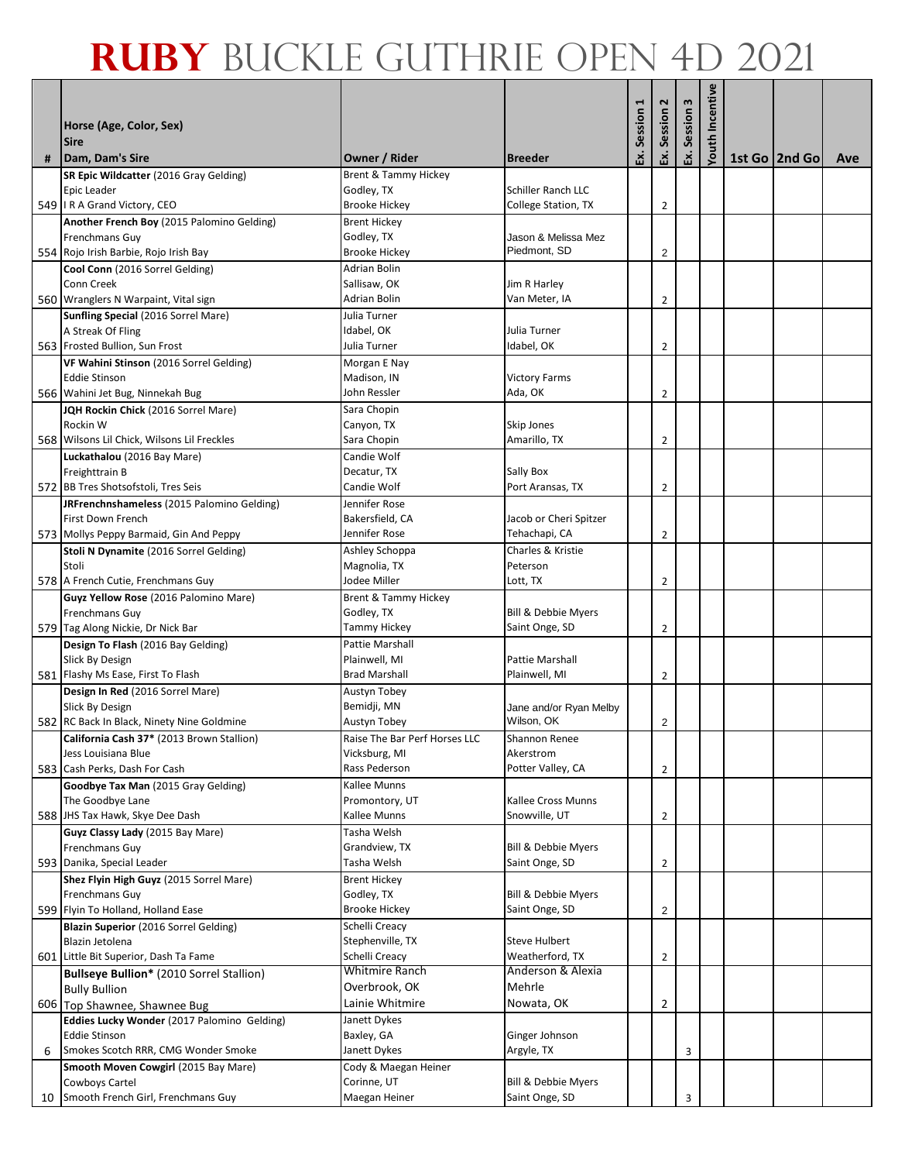|    |                                                                             |                                             |                                           |         | 2                       |           | Youth Incentive |                 |     |
|----|-----------------------------------------------------------------------------|---------------------------------------------|-------------------------------------------|---------|-------------------------|-----------|-----------------|-----------------|-----|
|    | Horse (Age, Color, Sex)<br><b>Sire</b>                                      |                                             |                                           | Session | Session                 | Session 3 |                 |                 |     |
| #  | Dam, Dam's Sire                                                             | Owner / Rider                               | <b>Breeder</b>                            | Ŀ.      | 덧.                      | Š.        |                 | 1st Go   2nd Go | Ave |
|    | SR Epic Wildcatter (2016 Gray Gelding)                                      | Brent & Tammy Hickey                        |                                           |         |                         |           |                 |                 |     |
|    | Epic Leader<br>549   I R A Grand Victory, CEO                               | Godley, TX<br><b>Brooke Hickey</b>          | Schiller Ranch LLC<br>College Station, TX |         | 2                       |           |                 |                 |     |
|    | Another French Boy (2015 Palomino Gelding)                                  | <b>Brent Hickey</b>                         |                                           |         |                         |           |                 |                 |     |
|    | Frenchmans Guy                                                              | Godley, TX                                  | Jason & Melissa Mez                       |         |                         |           |                 |                 |     |
|    | 554 Rojo Irish Barbie, Rojo Irish Bay                                       | <b>Brooke Hickey</b>                        | Piedmont, SD                              |         | $\overline{2}$          |           |                 |                 |     |
|    | Cool Conn (2016 Sorrel Gelding)<br>Conn Creek                               | <b>Adrian Bolin</b>                         |                                           |         |                         |           |                 |                 |     |
|    | 560 Wranglers N Warpaint, Vital sign                                        | Sallisaw, OK<br>Adrian Bolin                | Jim R Harley<br>Van Meter, IA             |         | $\overline{2}$          |           |                 |                 |     |
|    | <b>Sunfling Special (2016 Sorrel Mare)</b>                                  | Julia Turner                                |                                           |         |                         |           |                 |                 |     |
|    | A Streak Of Fling                                                           | Idabel, OK                                  | Julia Turner                              |         |                         |           |                 |                 |     |
|    | 563 Frosted Bullion, Sun Frost                                              | Julia Turner                                | Idabel, OK                                |         | $\overline{2}$          |           |                 |                 |     |
|    | VF Wahini Stinson (2016 Sorrel Gelding)                                     | Morgan E Nay                                |                                           |         |                         |           |                 |                 |     |
|    | <b>Eddie Stinson</b><br>566 Wahini Jet Bug, Ninnekah Bug                    | Madison, IN<br>John Ressler                 | <b>Victory Farms</b><br>Ada, OK           |         | 2                       |           |                 |                 |     |
|    | JQH Rockin Chick (2016 Sorrel Mare)                                         | Sara Chopin                                 |                                           |         |                         |           |                 |                 |     |
|    | Rockin W                                                                    | Canyon, TX                                  | Skip Jones                                |         |                         |           |                 |                 |     |
|    | 568 Wilsons Lil Chick, Wilsons Lil Freckles                                 | Sara Chopin                                 | Amarillo, TX                              |         | $\overline{2}$          |           |                 |                 |     |
|    | Luckathalou (2016 Bay Mare)                                                 | Candie Wolf                                 |                                           |         |                         |           |                 |                 |     |
|    | Freighttrain B<br>572 BB Tres Shotsofstoli, Tres Seis                       | Decatur, TX<br>Candie Wolf                  | <b>Sally Box</b><br>Port Aransas, TX      |         | $\overline{2}$          |           |                 |                 |     |
|    | JRFrenchnshameless (2015 Palomino Gelding)                                  | Jennifer Rose                               |                                           |         |                         |           |                 |                 |     |
|    | First Down French                                                           | Bakersfield, CA                             | Jacob or Cheri Spitzer                    |         |                         |           |                 |                 |     |
|    | 573 Mollys Peppy Barmaid, Gin And Peppy                                     | Jennifer Rose                               | Tehachapi, CA                             |         | 2                       |           |                 |                 |     |
|    | Stoli N Dynamite (2016 Sorrel Gelding)                                      | Ashley Schoppa                              | Charles & Kristie                         |         |                         |           |                 |                 |     |
|    | Stoli                                                                       | Magnolia, TX                                | Peterson                                  |         |                         |           |                 |                 |     |
|    | 578 A French Cutie, Frenchmans Guy<br>Guyz Yellow Rose (2016 Palomino Mare) | Jodee Miller<br>Brent & Tammy Hickey        | Lott, TX                                  |         | $\overline{2}$          |           |                 |                 |     |
|    | Frenchmans Guy                                                              | Godley, TX                                  | <b>Bill &amp; Debbie Myers</b>            |         |                         |           |                 |                 |     |
|    | 579 Tag Along Nickie, Dr Nick Bar                                           | Tammy Hickey                                | Saint Onge, SD                            |         | $\overline{2}$          |           |                 |                 |     |
|    | Design To Flash (2016 Bay Gelding)                                          | Pattie Marshall                             |                                           |         |                         |           |                 |                 |     |
|    | Slick By Design                                                             | Plainwell, MI                               | Pattie Marshall                           |         |                         |           |                 |                 |     |
|    | 581 Flashy Ms Ease, First To Flash<br>Design In Red (2016 Sorrel Mare)      | <b>Brad Marshall</b><br><b>Austyn Tobey</b> | Plainwell, MI                             |         | $\overline{2}$          |           |                 |                 |     |
|    | Slick By Design                                                             | Bemidji, MN                                 | Jane and/or Ryan Melby                    |         |                         |           |                 |                 |     |
|    | 582 RC Back In Black, Ninety Nine Goldmine                                  | Austyn Tobey                                | Wilson, OK                                |         | $\overline{\mathbf{c}}$ |           |                 |                 |     |
|    | California Cash 37* (2013 Brown Stallion)                                   | Raise The Bar Perf Horses LLC               | Shannon Renee                             |         |                         |           |                 |                 |     |
|    | Jess Louisiana Blue                                                         | Vicksburg, MI                               | Akerstrom                                 |         |                         |           |                 |                 |     |
|    | 583 Cash Perks, Dash For Cash                                               | Rass Pederson<br>Kallee Munns               | Potter Valley, CA                         |         | $\overline{2}$          |           |                 |                 |     |
|    | Goodbye Tax Man (2015 Gray Gelding)<br>The Goodbye Lane                     | Promontory, UT                              | Kallee Cross Munns                        |         |                         |           |                 |                 |     |
|    | 588 JHS Tax Hawk, Skye Dee Dash                                             | Kallee Munns                                | Snowville, UT                             |         | $\overline{2}$          |           |                 |                 |     |
|    | Guyz Classy Lady (2015 Bay Mare)                                            | Tasha Welsh                                 |                                           |         |                         |           |                 |                 |     |
|    | Frenchmans Guy                                                              | Grandview, TX                               | <b>Bill &amp; Debbie Myers</b>            |         |                         |           |                 |                 |     |
|    | 593 Danika, Special Leader                                                  | Tasha Welsh                                 | Saint Onge, SD                            |         | $\overline{2}$          |           |                 |                 |     |
|    | Shez Flyin High Guyz (2015 Sorrel Mare)<br>Frenchmans Guy                   | <b>Brent Hickey</b><br>Godley, TX           | <b>Bill &amp; Debbie Myers</b>            |         |                         |           |                 |                 |     |
|    | 599 Flyin To Holland, Holland Ease                                          | <b>Brooke Hickey</b>                        | Saint Onge, SD                            |         | $\overline{2}$          |           |                 |                 |     |
|    | Blazin Superior (2016 Sorrel Gelding)                                       | Schelli Creacy                              |                                           |         |                         |           |                 |                 |     |
|    | Blazin Jetolena                                                             | Stephenville, TX                            | <b>Steve Hulbert</b>                      |         |                         |           |                 |                 |     |
|    | 601 Little Bit Superior, Dash Ta Fame                                       | Schelli Creacy<br>Whitmire Ranch            | Weatherford, TX<br>Anderson & Alexia      |         | $\overline{2}$          |           |                 |                 |     |
|    | Bullseye Bullion* (2010 Sorrel Stallion)<br><b>Bully Bullion</b>            | Overbrook, OK                               | Mehrle                                    |         |                         |           |                 |                 |     |
|    | 606 Top Shawnee, Shawnee Bug                                                | Lainie Whitmire                             | Nowata, OK                                |         | 2                       |           |                 |                 |     |
|    | Eddies Lucky Wonder (2017 Palomino Gelding)                                 | Janett Dykes                                |                                           |         |                         |           |                 |                 |     |
|    | <b>Eddie Stinson</b>                                                        | Baxley, GA                                  | Ginger Johnson                            |         |                         |           |                 |                 |     |
| 6  | Smokes Scotch RRR, CMG Wonder Smoke                                         | Janett Dykes                                | Argyle, TX                                |         |                         | 3         |                 |                 |     |
|    | Smooth Moven Cowgirl (2015 Bay Mare)<br>Cowboys Cartel                      | Cody & Maegan Heiner<br>Corinne, UT         | Bill & Debbie Myers                       |         |                         |           |                 |                 |     |
| 10 | Smooth French Girl, Frenchmans Guy                                          | Maegan Heiner                               | Saint Onge, SD                            |         |                         | 3         |                 |                 |     |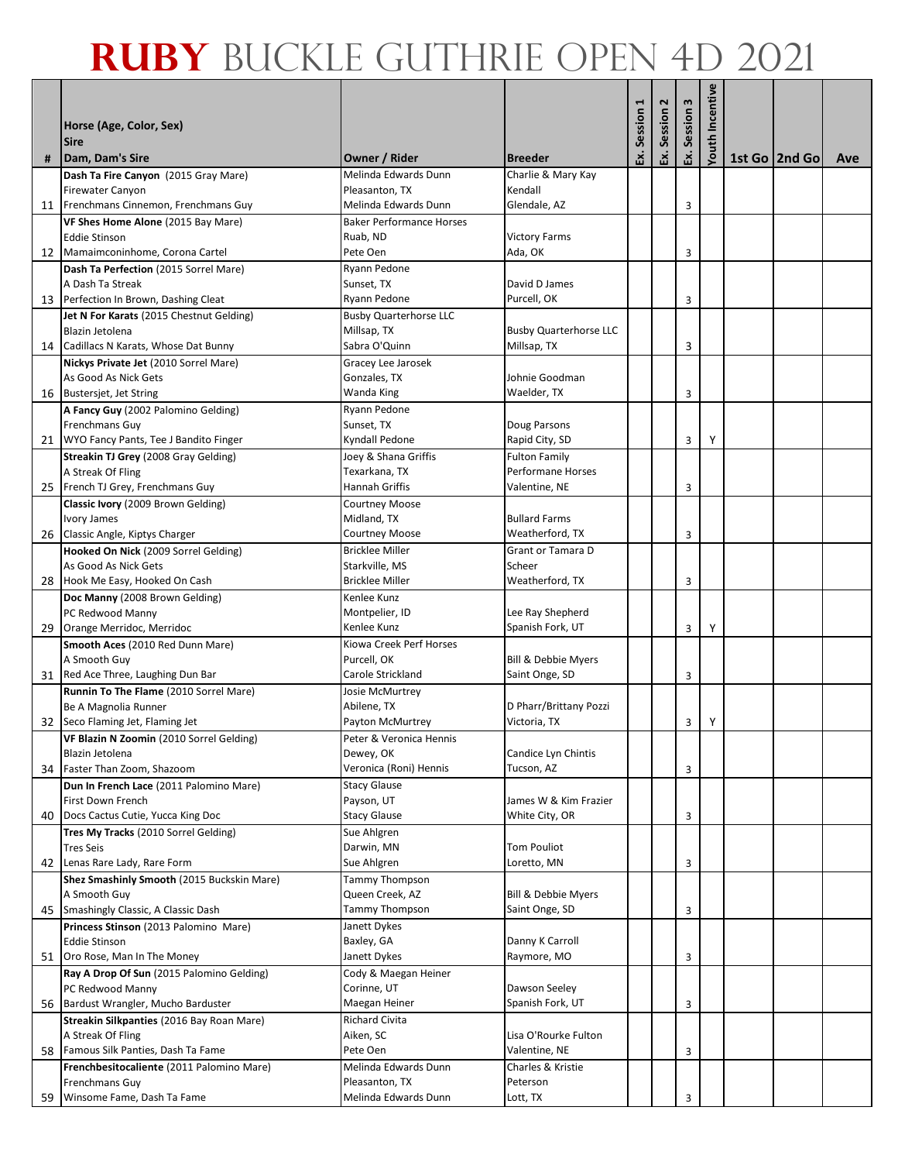|    |                                                                |                                             |                                                  |         | $\mathbf{z}$ | Session 3 | Incentive |                 |     |
|----|----------------------------------------------------------------|---------------------------------------------|--------------------------------------------------|---------|--------------|-----------|-----------|-----------------|-----|
|    | Horse (Age, Color, Sex)<br><b>Sire</b>                         |                                             |                                                  | Session | Session      |           |           |                 |     |
| #  | Dam, Dam's Sire                                                | Owner / Rider                               | <b>Breeder</b>                                   | Ŀ.      | Ŀ.           | Σś.       | Youth     | 1st Go   2nd Go | Ave |
|    | Dash Ta Fire Canyon (2015 Gray Mare)                           | Melinda Edwards Dunn                        | Charlie & Mary Kay                               |         |              |           |           |                 |     |
|    | <b>Firewater Canyon</b>                                        | Pleasanton, TX                              | Kendall                                          |         |              |           |           |                 |     |
|    | 11 Frenchmans Cinnemon, Frenchmans Guy                         | Melinda Edwards Dunn                        | Glendale, AZ                                     |         |              | 3         |           |                 |     |
|    | VF Shes Home Alone (2015 Bay Mare)<br><b>Eddie Stinson</b>     | <b>Baker Performance Horses</b><br>Ruab, ND | <b>Victory Farms</b>                             |         |              |           |           |                 |     |
|    | 12 Mamaimconinhome, Corona Cartel                              | Pete Oen                                    | Ada, OK                                          |         |              | 3         |           |                 |     |
|    | Dash Ta Perfection (2015 Sorrel Mare)                          | Ryann Pedone                                |                                                  |         |              |           |           |                 |     |
|    | A Dash Ta Streak                                               | Sunset, TX                                  | David D James                                    |         |              |           |           |                 |     |
|    | 13 Perfection In Brown, Dashing Cleat                          | Ryann Pedone                                | Purcell, OK                                      |         |              | 3         |           |                 |     |
|    | Jet N For Karats (2015 Chestnut Gelding)                       | <b>Busby Quarterhorse LLC</b>               |                                                  |         |              |           |           |                 |     |
|    | Blazin Jetolena<br>14 Cadillacs N Karats, Whose Dat Bunny      | Millsap, TX<br>Sabra O'Quinn                | <b>Busby Quarterhorse LLC</b><br>Millsap, TX     |         |              | 3         |           |                 |     |
|    | Nickys Private Jet (2010 Sorrel Mare)                          | Gracey Lee Jarosek                          |                                                  |         |              |           |           |                 |     |
|    | As Good As Nick Gets                                           | Gonzales, TX                                | Johnie Goodman                                   |         |              |           |           |                 |     |
|    | 16 Bustersjet, Jet String                                      | Wanda King                                  | Waelder, TX                                      |         |              | 3         |           |                 |     |
|    | A Fancy Guy (2002 Palomino Gelding)                            | Ryann Pedone                                |                                                  |         |              |           |           |                 |     |
|    | Frenchmans Guy                                                 | Sunset, TX                                  | Doug Parsons                                     |         |              |           |           |                 |     |
|    | 21 WYO Fancy Pants, Tee J Bandito Finger                       | Kyndall Pedone                              | Rapid City, SD                                   |         |              | 3         | Υ         |                 |     |
|    | Streakin TJ Grey (2008 Gray Gelding)                           | Joey & Shana Griffis<br>Texarkana, TX       | <b>Fulton Family</b><br><b>Performane Horses</b> |         |              |           |           |                 |     |
|    | A Streak Of Fling<br>25 French TJ Grey, Frenchmans Guy         | Hannah Griffis                              | Valentine, NE                                    |         |              | 3         |           |                 |     |
|    | Classic Ivory (2009 Brown Gelding)                             | <b>Courtney Moose</b>                       |                                                  |         |              |           |           |                 |     |
|    | Ivory James                                                    | Midland, TX                                 | <b>Bullard Farms</b>                             |         |              |           |           |                 |     |
|    | 26 Classic Angle, Kiptys Charger                               | <b>Courtney Moose</b>                       | Weatherford, TX                                  |         |              | 3         |           |                 |     |
|    | Hooked On Nick (2009 Sorrel Gelding)                           | <b>Bricklee Miller</b>                      | Grant or Tamara D                                |         |              |           |           |                 |     |
|    | As Good As Nick Gets                                           | Starkville, MS                              | Scheer                                           |         |              |           |           |                 |     |
|    | 28 Hook Me Easy, Hooked On Cash                                | <b>Bricklee Miller</b>                      | Weatherford, TX                                  |         |              | 3         |           |                 |     |
|    | Doc Manny (2008 Brown Gelding)                                 | Kenlee Kunz                                 |                                                  |         |              |           |           |                 |     |
| 29 | PC Redwood Manny<br>Orange Merridoc, Merridoc                  | Montpelier, ID<br>Kenlee Kunz               | Lee Ray Shepherd<br>Spanish Fork, UT             |         |              | 3         | Y         |                 |     |
|    | Smooth Aces (2010 Red Dunn Mare)                               | Kiowa Creek Perf Horses                     |                                                  |         |              |           |           |                 |     |
|    | A Smooth Guy                                                   | Purcell, OK                                 | <b>Bill &amp; Debbie Myers</b>                   |         |              |           |           |                 |     |
| 31 | Red Ace Three, Laughing Dun Bar                                | Carole Strickland                           | Saint Onge, SD                                   |         |              | 3         |           |                 |     |
|    | Runnin To The Flame (2010 Sorrel Mare)                         | Josie McMurtrey                             |                                                  |         |              |           |           |                 |     |
|    | Be A Magnolia Runner                                           | Abilene, TX                                 | D Pharr/Brittany Pozzi                           |         |              |           |           |                 |     |
| 32 | Seco Flaming Jet, Flaming Jet                                  | Payton McMurtrey                            | Victoria, TX                                     |         |              | 3         | Y         |                 |     |
|    | VF Blazin N Zoomin (2010 Sorrel Gelding)                       | Peter & Veronica Hennis<br>Dewey, OK        | Candice Lyn Chintis                              |         |              |           |           |                 |     |
| 34 | Blazin Jetolena<br>Faster Than Zoom, Shazoom                   | Veronica (Roni) Hennis                      | Tucson, AZ                                       |         |              | 3         |           |                 |     |
|    | Dun In French Lace (2011 Palomino Mare)                        | <b>Stacy Glause</b>                         |                                                  |         |              |           |           |                 |     |
|    | First Down French                                              | Payson, UT                                  | James W & Kim Frazier                            |         |              |           |           |                 |     |
|    | 40 Docs Cactus Cutie, Yucca King Doc                           | <b>Stacy Glause</b>                         | White City, OR                                   |         |              | 3         |           |                 |     |
|    | Tres My Tracks (2010 Sorrel Gelding)                           | Sue Ahlgren                                 |                                                  |         |              |           |           |                 |     |
|    | <b>Tres Seis</b>                                               | Darwin, MN                                  | <b>Tom Pouliot</b>                               |         |              |           |           |                 |     |
| 42 | Lenas Rare Lady, Rare Form                                     | Sue Ahlgren                                 | Loretto, MN                                      |         |              | 3         |           |                 |     |
|    | Shez Smashinly Smooth (2015 Buckskin Mare)<br>A Smooth Guy     | <b>Tammy Thompson</b><br>Queen Creek, AZ    | <b>Bill &amp; Debbie Myers</b>                   |         |              |           |           |                 |     |
|    | 45 Smashingly Classic, A Classic Dash                          | Tammy Thompson                              | Saint Onge, SD                                   |         |              | 3         |           |                 |     |
|    | Princess Stinson (2013 Palomino Mare)                          | Janett Dykes                                |                                                  |         |              |           |           |                 |     |
|    | <b>Eddie Stinson</b>                                           | Baxley, GA                                  | Danny K Carroll                                  |         |              |           |           |                 |     |
| 51 | Oro Rose, Man In The Money                                     | Janett Dykes                                | Raymore, MO                                      |         |              | 3         |           |                 |     |
|    | Ray A Drop Of Sun (2015 Palomino Gelding)                      | Cody & Maegan Heiner                        |                                                  |         |              |           |           |                 |     |
|    | PC Redwood Manny                                               | Corinne, UT                                 | Dawson Seeley                                    |         |              |           |           |                 |     |
|    | 56 Bardust Wrangler, Mucho Barduster                           | Maegan Heiner<br>Richard Civita             | Spanish Fork, UT                                 |         |              | 3         |           |                 |     |
|    | Streakin Silkpanties (2016 Bay Roan Mare)<br>A Streak Of Fling | Aiken, SC                                   | Lisa O'Rourke Fulton                             |         |              |           |           |                 |     |
| 58 | Famous Silk Panties, Dash Ta Fame                              | Pete Oen                                    | Valentine, NE                                    |         |              | 3         |           |                 |     |
|    | Frenchbesitocaliente (2011 Palomino Mare)                      | Melinda Edwards Dunn                        | Charles & Kristie                                |         |              |           |           |                 |     |
|    | Frenchmans Guy                                                 | Pleasanton, TX                              | Peterson                                         |         |              |           |           |                 |     |
|    | 59 Winsome Fame, Dash Ta Fame                                  | Melinda Edwards Dunn                        | Lott, TX                                         |         |              | 3         |           |                 |     |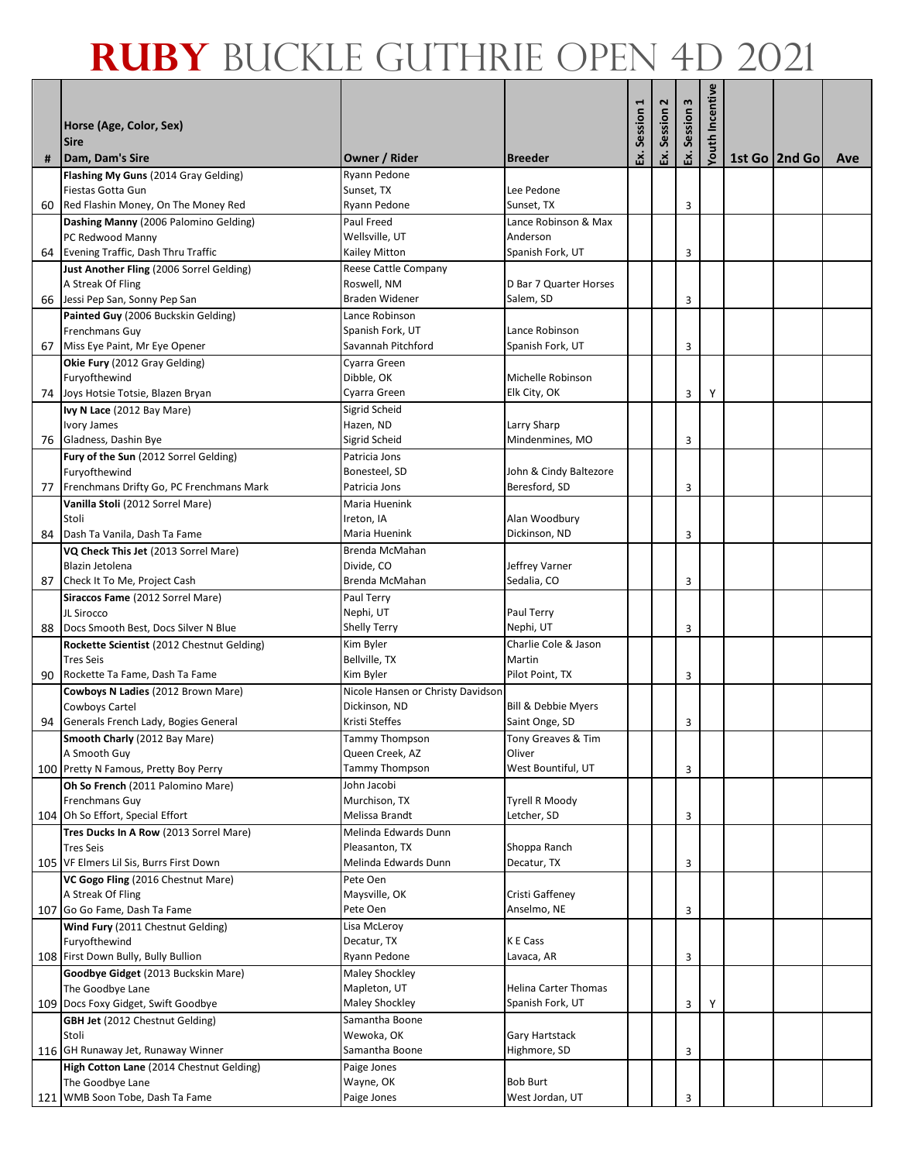|    |                                                              |                                        |                                          |             | 2       |           | <b>Youth Incentive</b> |                 |     |
|----|--------------------------------------------------------------|----------------------------------------|------------------------------------------|-------------|---------|-----------|------------------------|-----------------|-----|
|    | Horse (Age, Color, Sex)<br><b>Sire</b>                       |                                        |                                          | Ex. Session | Session | Session 3 |                        |                 |     |
| #  | Dam, Dam's Sire                                              | Owner / Rider                          | <b>Breeder</b>                           |             | š.      | Š.        |                        | 1st Go   2nd Go | Ave |
|    | Flashing My Guns (2014 Gray Gelding)                         | Ryann Pedone                           |                                          |             |         |           |                        |                 |     |
| 60 | Fiestas Gotta Gun<br>Red Flashin Money, On The Money Red     | Sunset, TX<br>Ryann Pedone             | Lee Pedone<br>Sunset, TX                 |             |         | 3         |                        |                 |     |
|    | Dashing Manny (2006 Palomino Gelding)                        | Paul Freed                             | Lance Robinson & Max                     |             |         |           |                        |                 |     |
|    | PC Redwood Manny                                             | Wellsville, UT                         | Anderson                                 |             |         |           |                        |                 |     |
|    | 64 Evening Traffic, Dash Thru Traffic                        | Kailey Mitton                          | Spanish Fork, UT                         |             |         | 3         |                        |                 |     |
|    | Just Another Fling (2006 Sorrel Gelding)                     | Reese Cattle Company                   |                                          |             |         |           |                        |                 |     |
|    | A Streak Of Fling                                            | Roswell, NM                            | D Bar 7 Quarter Horses                   |             |         |           |                        |                 |     |
|    | 66 Jessi Pep San, Sonny Pep San                              | Braden Widener                         | Salem, SD                                |             |         | 3         |                        |                 |     |
|    | Painted Guy (2006 Buckskin Gelding)                          | Lance Robinson                         |                                          |             |         |           |                        |                 |     |
| 67 | Frenchmans Guy<br>Miss Eye Paint, Mr Eye Opener              | Spanish Fork, UT<br>Savannah Pitchford | Lance Robinson<br>Spanish Fork, UT       |             |         | 3         |                        |                 |     |
|    | Okie Fury (2012 Gray Gelding)                                | Cyarra Green                           |                                          |             |         |           |                        |                 |     |
|    | Furyofthewind                                                | Dibble, OK                             | Michelle Robinson                        |             |         |           |                        |                 |     |
| 74 | Joys Hotsie Totsie, Blazen Bryan                             | Cyarra Green                           | Elk City, OK                             |             |         | 3         | Y                      |                 |     |
|    | Ivy N Lace (2012 Bay Mare)                                   | Sigrid Scheid                          |                                          |             |         |           |                        |                 |     |
|    | Ivory James                                                  | Hazen, ND                              | Larry Sharp                              |             |         |           |                        |                 |     |
|    | 76 Gladness, Dashin Bye                                      | Sigrid Scheid                          | Mindenmines, MO                          |             |         | 3         |                        |                 |     |
|    | Fury of the Sun (2012 Sorrel Gelding)                        | Patricia Jons                          |                                          |             |         |           |                        |                 |     |
|    | Furyofthewind<br>77 Frenchmans Drifty Go, PC Frenchmans Mark | Bonesteel, SD<br>Patricia Jons         | John & Cindy Baltezore<br>Beresford, SD  |             |         | 3         |                        |                 |     |
|    | Vanilla Stoli (2012 Sorrel Mare)                             | Maria Huenink                          |                                          |             |         |           |                        |                 |     |
|    | Stoli                                                        | Ireton, IA                             | Alan Woodbury                            |             |         |           |                        |                 |     |
| 84 | Dash Ta Vanila, Dash Ta Fame                                 | Maria Huenink                          | Dickinson, ND                            |             |         | 3         |                        |                 |     |
|    | VQ Check This Jet (2013 Sorrel Mare)                         | Brenda McMahan                         |                                          |             |         |           |                        |                 |     |
|    | Blazin Jetolena                                              | Divide, CO                             | Jeffrey Varner                           |             |         |           |                        |                 |     |
| 87 | Check It To Me, Project Cash                                 | Brenda McMahan                         | Sedalia, CO                              |             |         | 3         |                        |                 |     |
|    | Siraccos Fame (2012 Sorrel Mare)                             | Paul Terry                             |                                          |             |         |           |                        |                 |     |
| 88 | JL Sirocco<br>Docs Smooth Best, Docs Silver N Blue           | Nephi, UT<br><b>Shelly Terry</b>       | Paul Terry<br>Nephi, UT                  |             |         | 3         |                        |                 |     |
|    | Rockette Scientist (2012 Chestnut Gelding)                   | Kim Byler                              | Charlie Cole & Jason                     |             |         |           |                        |                 |     |
|    | <b>Tres Seis</b>                                             | Bellville, TX                          | Martin                                   |             |         |           |                        |                 |     |
|    | 90 Rockette Ta Fame, Dash Ta Fame                            | Kim Byler                              | Pilot Point, TX                          |             |         | 3         |                        |                 |     |
|    | Cowboys N Ladies (2012 Brown Mare)                           | Nicole Hansen or Christy Davidson      |                                          |             |         |           |                        |                 |     |
|    | Cowboys Cartel                                               | Dickinson, ND                          | <b>Bill &amp; Debbie Myers</b>           |             |         |           |                        |                 |     |
|    | 94 Generals French Lady, Bogies General                      | Kristi Steffes                         | Saint Onge, SD                           |             |         | 3         |                        |                 |     |
|    | Smooth Charly (2012 Bay Mare)<br>A Smooth Guy                | Tammy Thompson<br>Queen Creek, AZ      | Tony Greaves & Tim<br>Oliver             |             |         |           |                        |                 |     |
|    | 100 Pretty N Famous, Pretty Boy Perry                        | Tammy Thompson                         | West Bountiful, UT                       |             |         | 3         |                        |                 |     |
|    | Oh So French (2011 Palomino Mare)                            | John Jacobi                            |                                          |             |         |           |                        |                 |     |
|    | Frenchmans Guy                                               | Murchison, TX                          | <b>Tyrell R Moody</b>                    |             |         |           |                        |                 |     |
|    | 104 Oh So Effort, Special Effort                             | Melissa Brandt                         | Letcher, SD                              |             |         | 3         |                        |                 |     |
|    | Tres Ducks In A Row (2013 Sorrel Mare)                       | Melinda Edwards Dunn                   |                                          |             |         |           |                        |                 |     |
|    | <b>Tres Seis</b>                                             | Pleasanton, TX                         | Shoppa Ranch                             |             |         |           |                        |                 |     |
|    | 105 VF Elmers Lil Sis, Burrs First Down                      | Melinda Edwards Dunn<br>Pete Oen       | Decatur, TX                              |             |         | 3         |                        |                 |     |
|    | VC Gogo Fling (2016 Chestnut Mare)<br>A Streak Of Fling      | Maysville, OK                          | Cristi Gaffeney                          |             |         |           |                        |                 |     |
|    | 107 Go Go Fame, Dash Ta Fame                                 | Pete Oen                               | Anselmo, NE                              |             |         | 3         |                        |                 |     |
|    | Wind Fury (2011 Chestnut Gelding)                            | Lisa McLeroy                           |                                          |             |         |           |                        |                 |     |
|    | Furyofthewind                                                | Decatur, TX                            | K E Cass                                 |             |         |           |                        |                 |     |
|    | 108 First Down Bully, Bully Bullion                          | Ryann Pedone                           | Lavaca, AR                               |             |         | 3         |                        |                 |     |
|    | Goodbye Gidget (2013 Buckskin Mare)                          | Maley Shockley                         |                                          |             |         |           |                        |                 |     |
|    | The Goodbye Lane<br>109 Docs Foxy Gidget, Swift Goodbye      | Mapleton, UT<br>Maley Shockley         | Helina Carter Thomas<br>Spanish Fork, UT |             |         | 3         | Y                      |                 |     |
|    | <b>GBH Jet</b> (2012 Chestnut Gelding)                       | Samantha Boone                         |                                          |             |         |           |                        |                 |     |
|    | Stoli                                                        | Wewoka, OK                             | Gary Hartstack                           |             |         |           |                        |                 |     |
|    | 116 GH Runaway Jet, Runaway Winner                           | Samantha Boone                         | Highmore, SD                             |             |         | 3         |                        |                 |     |
|    | High Cotton Lane (2014 Chestnut Gelding)                     | Paige Jones                            |                                          |             |         |           |                        |                 |     |
|    | The Goodbye Lane                                             | Wayne, OK                              | <b>Bob Burt</b>                          |             |         |           |                        |                 |     |
|    | 121 WMB Soon Tobe, Dash Ta Fame                              | Paige Jones                            | West Jordan, UT                          |             |         | 3         |                        |                 |     |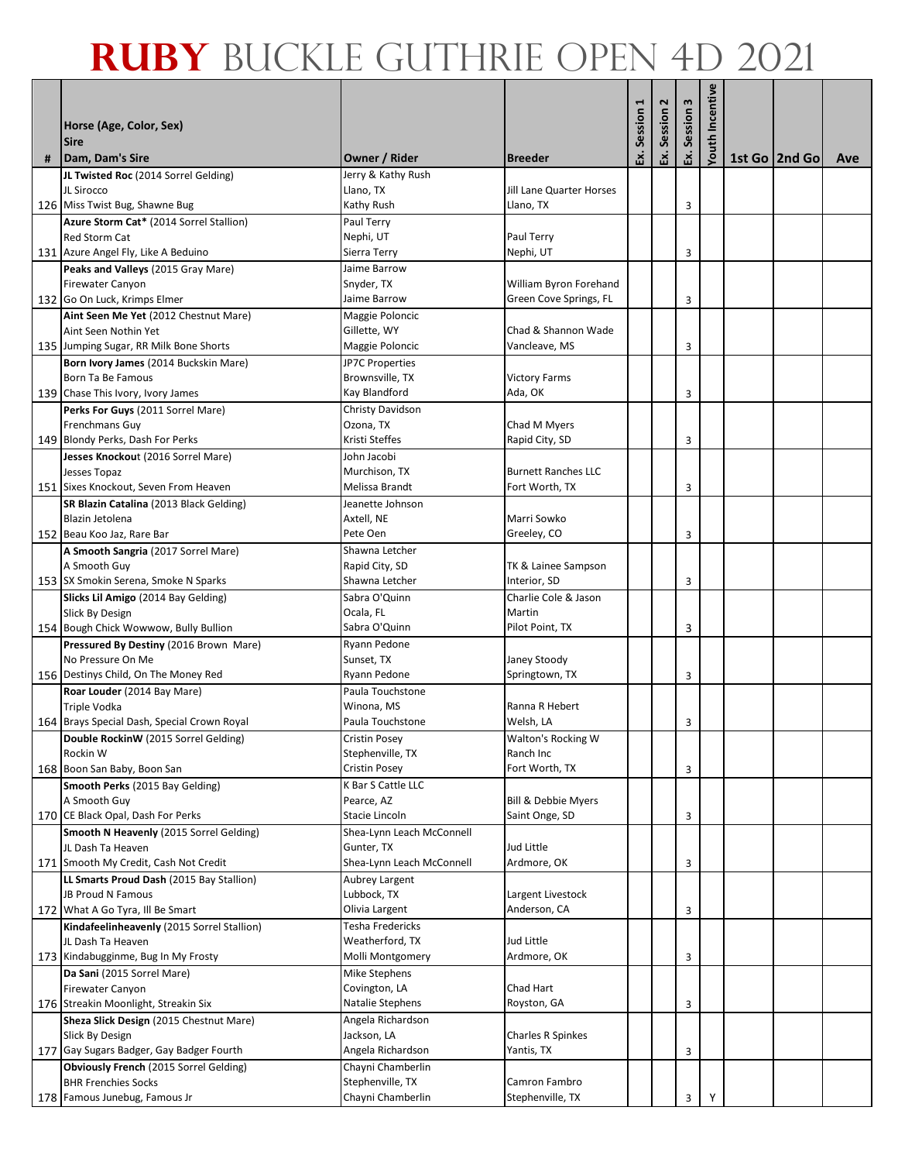|   |                                                                           |                                     |                                |         | 2       | Session 3 | <b>Youth Incentive</b> |                 |     |
|---|---------------------------------------------------------------------------|-------------------------------------|--------------------------------|---------|---------|-----------|------------------------|-----------------|-----|
|   | Horse (Age, Color, Sex)<br><b>Sire</b>                                    |                                     |                                | Session | Session |           |                        |                 |     |
| # | Dam, Dam's Sire                                                           | Owner / Rider                       | <b>Breeder</b>                 | Ŀ.      | Ŀ.      | Š.        |                        | 1st Go   2nd Go | Ave |
|   | JL Twisted Roc (2014 Sorrel Gelding)                                      | Jerry & Kathy Rush                  |                                |         |         |           |                        |                 |     |
|   | JL Sirocco                                                                | Llano, TX<br>Kathy Rush             | Jill Lane Quarter Horses       |         |         |           |                        |                 |     |
|   | 126 Miss Twist Bug, Shawne Bug<br>Azure Storm Cat* (2014 Sorrel Stallion) | Paul Terry                          | Llano, TX                      |         |         | 3         |                        |                 |     |
|   | Red Storm Cat                                                             | Nephi, UT                           | Paul Terry                     |         |         |           |                        |                 |     |
|   | 131 Azure Angel Fly, Like A Beduino                                       | Sierra Terry                        | Nephi, UT                      |         |         | 3         |                        |                 |     |
|   | Peaks and Valleys (2015 Gray Mare)                                        | Jaime Barrow                        |                                |         |         |           |                        |                 |     |
|   | <b>Firewater Canyon</b>                                                   | Snyder, TX                          | William Byron Forehand         |         |         |           |                        |                 |     |
|   | 132 Go On Luck, Krimps Elmer                                              | Jaime Barrow                        | Green Cove Springs, FL         |         |         | 3         |                        |                 |     |
|   | Aint Seen Me Yet (2012 Chestnut Mare)<br>Aint Seen Nothin Yet             | Maggie Poloncic<br>Gillette, WY     | Chad & Shannon Wade            |         |         |           |                        |                 |     |
|   | 135 Jumping Sugar, RR Milk Bone Shorts                                    | Maggie Poloncic                     | Vancleave, MS                  |         |         | 3         |                        |                 |     |
|   | Born Ivory James (2014 Buckskin Mare)                                     | JP7C Properties                     |                                |         |         |           |                        |                 |     |
|   | Born Ta Be Famous                                                         | Brownsville, TX                     | <b>Victory Farms</b>           |         |         |           |                        |                 |     |
|   | 139 Chase This Ivory, Ivory James                                         | Kay Blandford                       | Ada, OK                        |         |         | 3         |                        |                 |     |
|   | Perks For Guys (2011 Sorrel Mare)                                         | Christy Davidson                    |                                |         |         |           |                        |                 |     |
|   | Frenchmans Guy<br>149 Blondy Perks, Dash For Perks                        | Ozona, TX<br>Kristi Steffes         | Chad M Myers<br>Rapid City, SD |         |         | 3         |                        |                 |     |
|   | Jesses Knockout (2016 Sorrel Mare)                                        | John Jacobi                         |                                |         |         |           |                        |                 |     |
|   | Jesses Topaz                                                              | Murchison, TX                       | <b>Burnett Ranches LLC</b>     |         |         |           |                        |                 |     |
|   | 151 Sixes Knockout, Seven From Heaven                                     | Melissa Brandt                      | Fort Worth, TX                 |         |         | 3         |                        |                 |     |
|   | SR Blazin Catalina (2013 Black Gelding)                                   | Jeanette Johnson                    |                                |         |         |           |                        |                 |     |
|   | Blazin Jetolena                                                           | Axtell, NE                          | Marri Sowko                    |         |         |           |                        |                 |     |
|   | 152 Beau Koo Jaz, Rare Bar                                                | Pete Oen                            | Greeley, CO                    |         |         | 3         |                        |                 |     |
|   | A Smooth Sangria (2017 Sorrel Mare)<br>A Smooth Guy                       | Shawna Letcher<br>Rapid City, SD    | TK & Lainee Sampson            |         |         |           |                        |                 |     |
|   | 153 SX Smokin Serena, Smoke N Sparks                                      | Shawna Letcher                      | Interior, SD                   |         |         | 3         |                        |                 |     |
|   | Slicks Lil Amigo (2014 Bay Gelding)                                       | Sabra O'Quinn                       | Charlie Cole & Jason           |         |         |           |                        |                 |     |
|   | Slick By Design                                                           | Ocala, FL                           | Martin                         |         |         |           |                        |                 |     |
|   | 154 Bough Chick Wowwow, Bully Bullion                                     | Sabra O'Quinn                       | Pilot Point, TX                |         |         | 3         |                        |                 |     |
|   | Pressured By Destiny (2016 Brown Mare)<br>No Pressure On Me               | Ryann Pedone                        | Janey Stoody                   |         |         |           |                        |                 |     |
|   | 156 Destinys Child, On The Money Red                                      | Sunset, TX<br>Ryann Pedone          | Springtown, TX                 |         |         | 3         |                        |                 |     |
|   | Roar Louder (2014 Bay Mare)                                               | Paula Touchstone                    |                                |         |         |           |                        |                 |     |
|   | Triple Vodka                                                              | Winona, MS                          | Ranna R Hebert                 |         |         |           |                        |                 |     |
|   | 164 Brays Special Dash, Special Crown Royal                               | Paula Touchstone                    | Welsh, LA                      |         |         | 3         |                        |                 |     |
|   | Double RockinW (2015 Sorrel Gelding)                                      | Cristin Posey                       | Walton's Rocking W             |         |         |           |                        |                 |     |
|   | Rockin W                                                                  | Stephenville, TX                    | Ranch Inc                      |         |         |           |                        |                 |     |
|   | 168 Boon San Baby, Boon San<br>Smooth Perks (2015 Bay Gelding)            | Cristin Posey<br>K Bar S Cattle LLC | Fort Worth, TX                 |         |         | 3         |                        |                 |     |
|   | A Smooth Guy                                                              | Pearce, AZ                          | Bill & Debbie Myers            |         |         |           |                        |                 |     |
|   | 170 CE Black Opal, Dash For Perks                                         | Stacie Lincoln                      | Saint Onge, SD                 |         |         | 3         |                        |                 |     |
|   | Smooth N Heavenly (2015 Sorrel Gelding)                                   | Shea-Lynn Leach McConnell           |                                |         |         |           |                        |                 |     |
|   | JL Dash Ta Heaven                                                         | Gunter, TX                          | Jud Little                     |         |         |           |                        |                 |     |
|   | 171 Smooth My Credit, Cash Not Credit                                     | Shea-Lynn Leach McConnell           | Ardmore, OK                    |         |         | 3         |                        |                 |     |
|   | LL Smarts Proud Dash (2015 Bay Stallion)<br>JB Proud N Famous             | Aubrey Largent<br>Lubbock, TX       | Largent Livestock              |         |         |           |                        |                 |     |
|   | 172 What A Go Tyra, Ill Be Smart                                          | Olivia Largent                      | Anderson, CA                   |         |         | 3         |                        |                 |     |
|   | Kindafeelinheavenly (2015 Sorrel Stallion)                                | Tesha Fredericks                    |                                |         |         |           |                        |                 |     |
|   | JL Dash Ta Heaven                                                         | Weatherford, TX                     | Jud Little                     |         |         |           |                        |                 |     |
|   | 173 Kindabugginme, Bug In My Frosty                                       | Molli Montgomery                    | Ardmore, OK                    |         |         | 3         |                        |                 |     |
|   | Da Sani (2015 Sorrel Mare)                                                | Mike Stephens                       |                                |         |         |           |                        |                 |     |
|   | <b>Firewater Canyon</b><br>176 Streakin Moonlight, Streakin Six           | Covington, LA<br>Natalie Stephens   | Chad Hart<br>Royston, GA       |         |         | 3         |                        |                 |     |
|   | Sheza Slick Design (2015 Chestnut Mare)                                   | Angela Richardson                   |                                |         |         |           |                        |                 |     |
|   | Slick By Design                                                           | Jackson, LA                         | Charles R Spinkes              |         |         |           |                        |                 |     |
|   | 177 Gay Sugars Badger, Gay Badger Fourth                                  | Angela Richardson                   | Yantis, TX                     |         |         | 3         |                        |                 |     |
|   | <b>Obviously French (2015 Sorrel Gelding)</b>                             | Chayni Chamberlin                   |                                |         |         |           |                        |                 |     |
|   | <b>BHR Frenchies Socks</b>                                                | Stephenville, TX                    | Camron Fambro                  |         |         |           |                        |                 |     |
|   | 178 Famous Junebug, Famous Jr                                             | Chayni Chamberlin                   | Stephenville, TX               |         |         | 3         | Y                      |                 |     |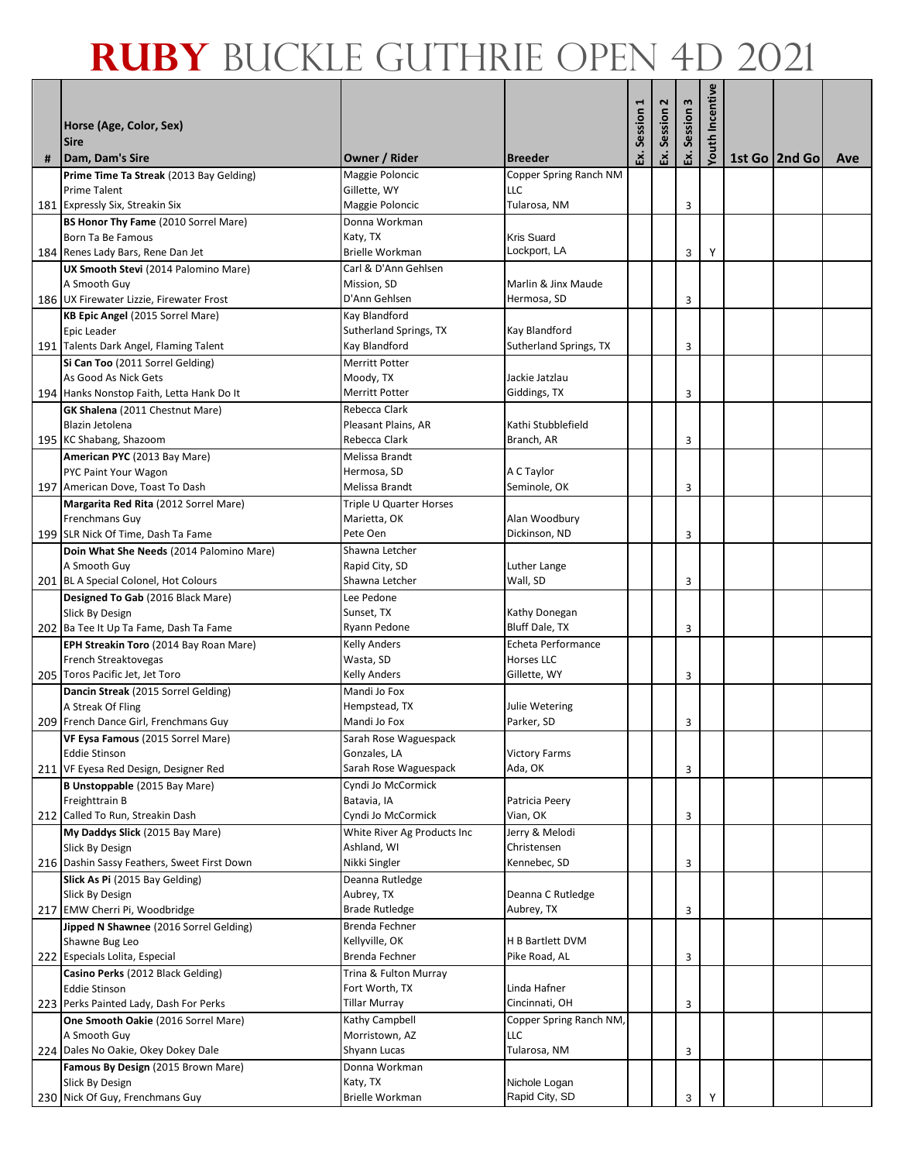|   |                                                                               |                                         |                                           |         | $\mathbf{r}$ | Session 3 | Incentive |                 |     |
|---|-------------------------------------------------------------------------------|-----------------------------------------|-------------------------------------------|---------|--------------|-----------|-----------|-----------------|-----|
|   | Horse (Age, Color, Sex)<br><b>Sire</b>                                        |                                         |                                           | Session | Session      |           |           |                 |     |
| # | Dam, Dam's Sire                                                               | Owner / Rider                           | <b>Breeder</b>                            | Š.      | <u>ន</u> ័   | Σś.       | Youth     | 1st Go   2nd Go | Ave |
|   | Prime Time Ta Streak (2013 Bay Gelding)                                       | Maggie Poloncic                         | Copper Spring Ranch NM                    |         |              |           |           |                 |     |
|   | <b>Prime Talent</b>                                                           | Gillette, WY                            | LLC                                       |         |              |           |           |                 |     |
|   | 181 Expressly Six, Streakin Six<br>BS Honor Thy Fame (2010 Sorrel Mare)       | Maggie Poloncic<br>Donna Workman        | Tularosa, NM                              |         |              | 3         |           |                 |     |
|   | Born Ta Be Famous                                                             | Katy, TX                                | <b>Kris Suard</b>                         |         |              |           |           |                 |     |
|   | 184 Renes Lady Bars, Rene Dan Jet                                             | <b>Brielle Workman</b>                  | Lockport, LA                              |         |              | 3         | Υ         |                 |     |
|   | UX Smooth Stevi (2014 Palomino Mare)                                          | Carl & D'Ann Gehlsen                    |                                           |         |              |           |           |                 |     |
|   | A Smooth Guy                                                                  | Mission, SD                             | Marlin & Jinx Maude                       |         |              |           |           |                 |     |
|   | 186 UX Firewater Lizzie, Firewater Frost                                      | D'Ann Gehlsen                           | Hermosa, SD                               |         |              | 3         |           |                 |     |
|   | KB Epic Angel (2015 Sorrel Mare)<br><b>Epic Leader</b>                        | Kay Blandford<br>Sutherland Springs, TX | Kay Blandford                             |         |              |           |           |                 |     |
|   | 191 Talents Dark Angel, Flaming Talent                                        | Kay Blandford                           | Sutherland Springs, TX                    |         |              | 3         |           |                 |     |
|   | Si Can Too (2011 Sorrel Gelding)                                              | <b>Merritt Potter</b>                   |                                           |         |              |           |           |                 |     |
|   | As Good As Nick Gets                                                          | Moody, TX                               | Jackie Jatzlau                            |         |              |           |           |                 |     |
|   | 194 Hanks Nonstop Faith, Letta Hank Do It                                     | <b>Merritt Potter</b>                   | Giddings, TX                              |         |              | 3         |           |                 |     |
|   | GK Shalena (2011 Chestnut Mare)                                               | Rebecca Clark                           |                                           |         |              |           |           |                 |     |
|   | Blazin Jetolena                                                               | Pleasant Plains, AR                     | Kathi Stubblefield                        |         |              |           |           |                 |     |
|   | 195 KC Shabang, Shazoom                                                       | Rebecca Clark                           | Branch, AR                                |         |              | 3         |           |                 |     |
|   | American PYC (2013 Bay Mare)<br>PYC Paint Your Wagon                          | Melissa Brandt<br>Hermosa, SD           | A C Taylor                                |         |              |           |           |                 |     |
|   | 197 American Dove, Toast To Dash                                              | Melissa Brandt                          | Seminole, OK                              |         |              | 3         |           |                 |     |
|   | Margarita Red Rita (2012 Sorrel Mare)                                         | Triple U Quarter Horses                 |                                           |         |              |           |           |                 |     |
|   | Frenchmans Guy                                                                | Marietta, OK                            | Alan Woodbury                             |         |              |           |           |                 |     |
|   | 199 SLR Nick Of Time, Dash Ta Fame                                            | Pete Oen                                | Dickinson, ND                             |         |              | 3         |           |                 |     |
|   | Doin What She Needs (2014 Palomino Mare)                                      | Shawna Letcher                          |                                           |         |              |           |           |                 |     |
|   | A Smooth Guy                                                                  | Rapid City, SD                          | Luther Lange                              |         |              |           |           |                 |     |
|   | 201 BL A Special Colonel, Hot Colours                                         | Shawna Letcher                          | Wall, SD                                  |         |              | 3         |           |                 |     |
|   | Designed To Gab (2016 Black Mare)                                             | Lee Pedone<br>Sunset, TX                | Kathy Donegan                             |         |              |           |           |                 |     |
|   | Slick By Design<br>202 Ba Tee It Up Ta Fame, Dash Ta Fame                     | Ryann Pedone                            | Bluff Dale, TX                            |         |              | 3         |           |                 |     |
|   | EPH Streakin Toro (2014 Bay Roan Mare)                                        | Kelly Anders                            | Echeta Performance                        |         |              |           |           |                 |     |
|   | French Streaktovegas                                                          | Wasta, SD                               | Horses LLC                                |         |              |           |           |                 |     |
|   | 205 Toros Pacific Jet, Jet Toro                                               | <b>Kelly Anders</b>                     | Gillette, WY                              |         |              | 3         |           |                 |     |
|   | Dancin Streak (2015 Sorrel Gelding)                                           | Mandi Jo Fox                            |                                           |         |              |           |           |                 |     |
|   | A Streak Of Fling                                                             | Hempstead, TX                           | Julie Wetering                            |         |              |           |           |                 |     |
|   | 209 French Dance Girl, Frenchmans Guy                                         | Mandi Jo Fox                            | Parker, SD                                |         |              | 3         |           |                 |     |
|   | VF Eysa Famous (2015 Sorrel Mare)<br><b>Eddie Stinson</b>                     | Sarah Rose Waguespack<br>Gonzales, LA   | <b>Victory Farms</b>                      |         |              |           |           |                 |     |
|   | 211 VF Eyesa Red Design, Designer Red                                         | Sarah Rose Waguespack                   | Ada, OK                                   |         |              | 3         |           |                 |     |
|   | B Unstoppable (2015 Bay Mare)                                                 | Cyndi Jo McCormick                      |                                           |         |              |           |           |                 |     |
|   | Freighttrain B                                                                | Batavia, IA                             | Patricia Peery                            |         |              |           |           |                 |     |
|   | 212 Called To Run, Streakin Dash                                              | Cyndi Jo McCormick                      | Vian, OK                                  |         |              | 3         |           |                 |     |
|   | My Daddys Slick (2015 Bay Mare)                                               | White River Ag Products Inc             | Jerry & Melodi                            |         |              |           |           |                 |     |
|   | Slick By Design                                                               | Ashland, WI<br>Nikki Singler            | Christensen<br>Kennebec, SD               |         |              |           |           |                 |     |
|   | 216 Dashin Sassy Feathers, Sweet First Down<br>Slick As Pi (2015 Bay Gelding) | Deanna Rutledge                         |                                           |         |              | 3         |           |                 |     |
|   | Slick By Design                                                               | Aubrey, TX                              | Deanna C Rutledge                         |         |              |           |           |                 |     |
|   | 217 EMW Cherri Pi, Woodbridge                                                 | <b>Brade Rutledge</b>                   | Aubrey, TX                                |         |              | 3         |           |                 |     |
|   | Jipped N Shawnee (2016 Sorrel Gelding)                                        | Brenda Fechner                          |                                           |         |              |           |           |                 |     |
|   | Shawne Bug Leo                                                                | Kellyville, OK                          | H B Bartlett DVM                          |         |              |           |           |                 |     |
|   | 222 Especials Lolita, Especial                                                | Brenda Fechner                          | Pike Road, AL                             |         |              | 3         |           |                 |     |
|   | Casino Perks (2012 Black Gelding)                                             | Trina & Fulton Murray                   |                                           |         |              |           |           |                 |     |
|   | <b>Eddie Stinson</b>                                                          | Fort Worth, TX                          | Linda Hafner                              |         |              |           |           |                 |     |
|   | 223 Perks Painted Lady, Dash For Perks<br>One Smooth Oakie (2016 Sorrel Mare) | <b>Tillar Murray</b><br>Kathy Campbell  | Cincinnati, OH<br>Copper Spring Ranch NM, |         |              | 3         |           |                 |     |
|   | A Smooth Guy                                                                  | Morristown, AZ                          | <b>LLC</b>                                |         |              |           |           |                 |     |
|   | 224 Dales No Oakie, Okey Dokey Dale                                           | Shyann Lucas                            | Tularosa, NM                              |         |              | 3         |           |                 |     |
|   | Famous By Design (2015 Brown Mare)                                            | Donna Workman                           |                                           |         |              |           |           |                 |     |
|   | Slick By Design                                                               | Katy, TX                                | Nichole Logan                             |         |              |           |           |                 |     |
|   | 230 Nick Of Guy, Frenchmans Guy                                               | Brielle Workman                         | Rapid City, SD                            |         |              | 3         |           |                 |     |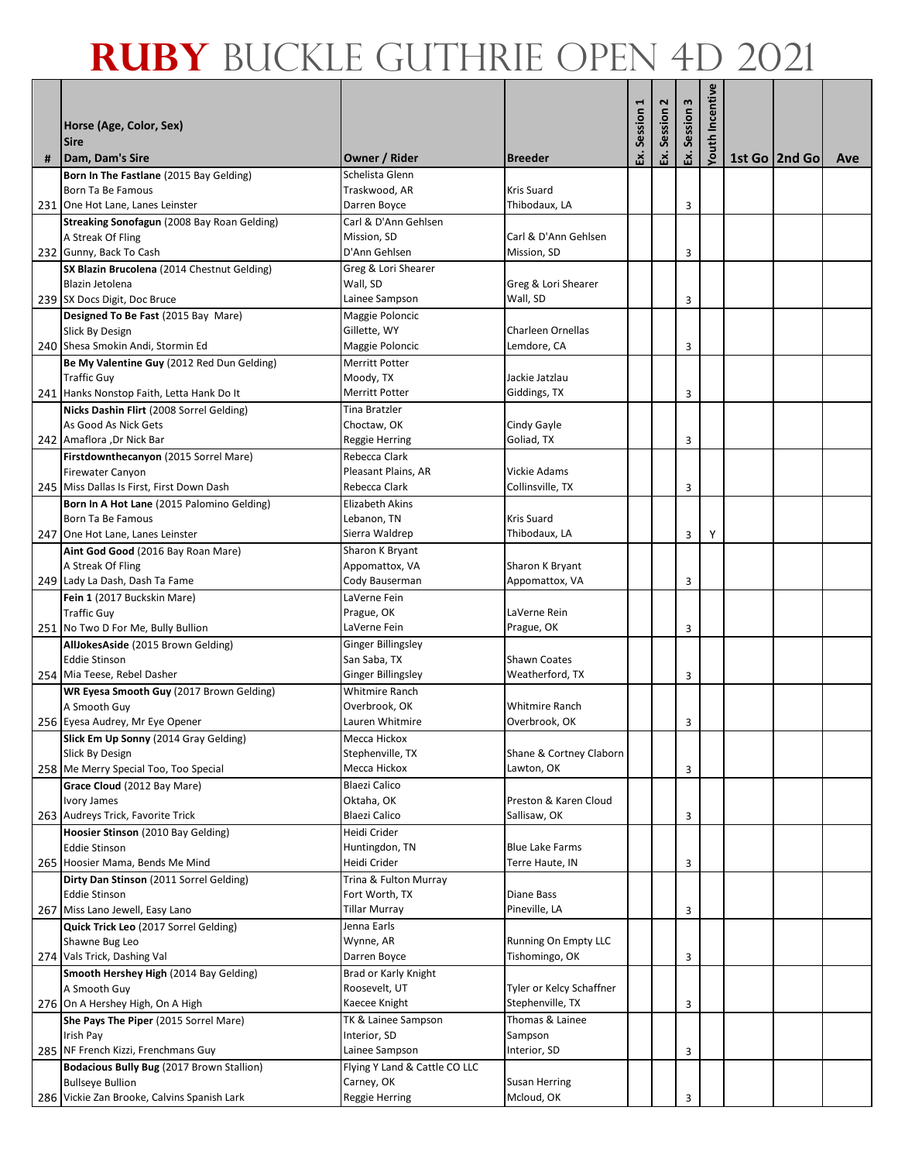|   |                                                                           |                                        |                                              |         | $\mathbf{z}$ | Session 3 | Youth Incentive |                 |     |
|---|---------------------------------------------------------------------------|----------------------------------------|----------------------------------------------|---------|--------------|-----------|-----------------|-----------------|-----|
|   | Horse (Age, Color, Sex)<br><b>Sire</b>                                    |                                        |                                              | Session | Session      |           |                 |                 |     |
| # | Dam, Dam's Sire                                                           | Owner / Rider                          | <b>Breeder</b>                               | Ŀ.      | Š.           | <u>ន</u>  |                 | 1st Go   2nd Go | Ave |
|   | Born In The Fastlane (2015 Bay Gelding)                                   | Schelista Glenn                        |                                              |         |              |           |                 |                 |     |
|   | Born Ta Be Famous<br>231 One Hot Lane, Lanes Leinster                     | Traskwood, AR<br>Darren Boyce          | Kris Suard<br>Thibodaux, LA                  |         |              | 3         |                 |                 |     |
|   | Streaking Sonofagun (2008 Bay Roan Gelding)                               | Carl & D'Ann Gehlsen                   |                                              |         |              |           |                 |                 |     |
|   | A Streak Of Fling                                                         | Mission, SD                            | Carl & D'Ann Gehlsen                         |         |              |           |                 |                 |     |
|   | 232 Gunny, Back To Cash                                                   | D'Ann Gehlsen                          | Mission, SD                                  |         |              | 3         |                 |                 |     |
|   | SX Blazin Brucolena (2014 Chestnut Gelding)                               | Greg & Lori Shearer                    |                                              |         |              |           |                 |                 |     |
|   | Blazin Jetolena                                                           | Wall, SD                               | Greg & Lori Shearer<br>Wall, SD              |         |              |           |                 |                 |     |
|   | 239 SX Docs Digit, Doc Bruce<br>Designed To Be Fast (2015 Bay Mare)       | Lainee Sampson<br>Maggie Poloncic      |                                              |         |              | 3         |                 |                 |     |
|   | Slick By Design                                                           | Gillette, WY                           | Charleen Ornellas                            |         |              |           |                 |                 |     |
|   | 240 Shesa Smokin Andi, Stormin Ed                                         | Maggie Poloncic                        | Lemdore, CA                                  |         |              | 3         |                 |                 |     |
|   | Be My Valentine Guy (2012 Red Dun Gelding)                                | <b>Merritt Potter</b>                  |                                              |         |              |           |                 |                 |     |
|   | <b>Traffic Guy</b>                                                        | Moody, TX                              | Jackie Jatzlau                               |         |              |           |                 |                 |     |
|   | 241 Hanks Nonstop Faith, Letta Hank Do It                                 | <b>Merritt Potter</b>                  | Giddings, TX                                 |         |              | 3         |                 |                 |     |
|   | Nicks Dashin Flirt (2008 Sorrel Gelding)<br>As Good As Nick Gets          | <b>Tina Bratzler</b><br>Choctaw, OK    | Cindy Gayle                                  |         |              |           |                 |                 |     |
|   | 242 Amaflora , Dr Nick Bar                                                | <b>Reggie Herring</b>                  | Goliad, TX                                   |         |              | 3         |                 |                 |     |
|   | Firstdownthecanyon (2015 Sorrel Mare)                                     | Rebecca Clark                          |                                              |         |              |           |                 |                 |     |
|   | <b>Firewater Canyon</b>                                                   | Pleasant Plains, AR                    | Vickie Adams                                 |         |              |           |                 |                 |     |
|   | 245 Miss Dallas Is First, First Down Dash                                 | Rebecca Clark                          | Collinsville, TX                             |         |              | 3         |                 |                 |     |
|   | Born In A Hot Lane (2015 Palomino Gelding)<br>Born Ta Be Famous           | Elizabeth Akins<br>Lebanon, TN         | Kris Suard                                   |         |              |           |                 |                 |     |
|   | 247 One Hot Lane, Lanes Leinster                                          | Sierra Waldrep                         | Thibodaux, LA                                |         |              | 3         | Υ               |                 |     |
|   | Aint God Good (2016 Bay Roan Mare)                                        | Sharon K Bryant                        |                                              |         |              |           |                 |                 |     |
|   | A Streak Of Fling                                                         | Appomattox, VA                         | Sharon K Bryant                              |         |              |           |                 |                 |     |
|   | 249 Lady La Dash, Dash Ta Fame                                            | Cody Bauserman                         | Appomattox, VA                               |         |              | 3         |                 |                 |     |
|   | Fein 1 (2017 Buckskin Mare)<br><b>Traffic Guy</b>                         | LaVerne Fein                           | LaVerne Rein                                 |         |              |           |                 |                 |     |
|   | 251 No Two D For Me, Bully Bullion                                        | Prague, OK<br>LaVerne Fein             | Prague, OK                                   |         |              | 3         |                 |                 |     |
|   | AllJokesAside (2015 Brown Gelding)                                        | Ginger Billingsley                     |                                              |         |              |           |                 |                 |     |
|   | <b>Eddie Stinson</b>                                                      | San Saba, TX                           | <b>Shawn Coates</b>                          |         |              |           |                 |                 |     |
|   | 254 Mia Teese, Rebel Dasher                                               | <b>Ginger Billingsley</b>              | Weatherford, TX                              |         |              | 3         |                 |                 |     |
|   | WR Eyesa Smooth Guy (2017 Brown Gelding)                                  | <b>Whitmire Ranch</b>                  |                                              |         |              |           |                 |                 |     |
|   | A Smooth Guy<br>256 Eyesa Audrey, Mr Eye Opener                           | Overbrook, OK<br>Lauren Whitmire       | <b>Whitmire Ranch</b><br>Overbrook, OK       |         |              | 3         |                 |                 |     |
|   | Slick Em Up Sonny (2014 Gray Gelding)                                     | Mecca Hickox                           |                                              |         |              |           |                 |                 |     |
|   | Slick By Design                                                           | Stephenville, TX                       | Shane & Cortney Claborn                      |         |              |           |                 |                 |     |
|   | 258 Me Merry Special Too, Too Special                                     | Mecca Hickox                           | Lawton, OK                                   |         |              | 3         |                 |                 |     |
|   | Grace Cloud (2012 Bay Mare)                                               | <b>Blaezi Calico</b>                   |                                              |         |              |           |                 |                 |     |
|   | <b>Ivory James</b><br>263 Audreys Trick, Favorite Trick                   | Oktaha, OK<br><b>Blaezi Calico</b>     | Preston & Karen Cloud<br>Sallisaw, OK        |         |              | 3         |                 |                 |     |
|   | Hoosier Stinson (2010 Bay Gelding)                                        | Heidi Crider                           |                                              |         |              |           |                 |                 |     |
|   | <b>Eddie Stinson</b>                                                      | Huntingdon, TN                         | <b>Blue Lake Farms</b>                       |         |              |           |                 |                 |     |
|   | 265 Hoosier Mama, Bends Me Mind                                           | Heidi Crider                           | Terre Haute, IN                              |         |              | 3         |                 |                 |     |
|   | Dirty Dan Stinson (2011 Sorrel Gelding)                                   | Trina & Fulton Murray                  |                                              |         |              |           |                 |                 |     |
|   | <b>Eddie Stinson</b><br>267 Miss Lano Jewell, Easy Lano                   | Fort Worth, TX<br><b>Tillar Murray</b> | Diane Bass<br>Pineville, LA                  |         |              | 3         |                 |                 |     |
|   | Quick Trick Leo (2017 Sorrel Gelding)                                     | Jenna Earls                            |                                              |         |              |           |                 |                 |     |
|   | Shawne Bug Leo                                                            | Wynne, AR                              | Running On Empty LLC                         |         |              |           |                 |                 |     |
|   | 274 Vals Trick, Dashing Val                                               | Darren Boyce                           | Tishomingo, OK                               |         |              | 3         |                 |                 |     |
|   | Smooth Hershey High (2014 Bay Gelding)                                    | Brad or Karly Knight                   |                                              |         |              |           |                 |                 |     |
|   | A Smooth Guy                                                              | Roosevelt, UT<br>Kaecee Knight         | Tyler or Kelcy Schaffner<br>Stephenville, TX |         |              |           |                 |                 |     |
|   | 276 On A Hershey High, On A High<br>She Pays The Piper (2015 Sorrel Mare) | TK & Lainee Sampson                    | Thomas & Lainee                              |         |              | 3         |                 |                 |     |
|   | Irish Pay                                                                 | Interior, SD                           | Sampson                                      |         |              |           |                 |                 |     |
|   | 285 NF French Kizzi, Frenchmans Guy                                       | Lainee Sampson                         | Interior, SD                                 |         |              | 3         |                 |                 |     |
|   | Bodacious Bully Bug (2017 Brown Stallion)                                 | Flying Y Land & Cattle CO LLC          |                                              |         |              |           |                 |                 |     |
|   | <b>Bullseye Bullion</b>                                                   | Carney, OK                             | Susan Herring<br>Mcloud, OK                  |         |              |           |                 |                 |     |
|   | 286 Vickie Zan Brooke, Calvins Spanish Lark                               | <b>Reggie Herring</b>                  |                                              |         |              | 3         |                 |                 |     |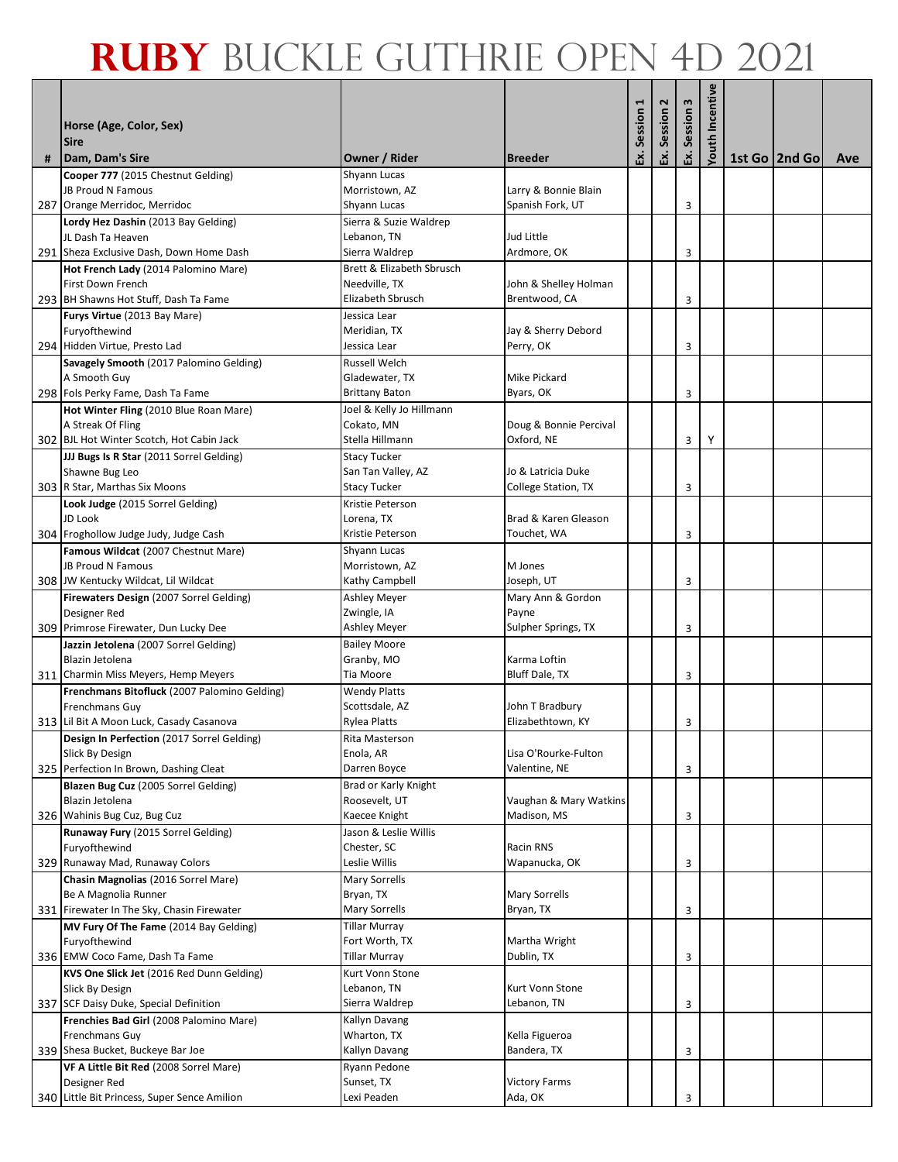|   |                                                                                        |                                        |                                          |         | 2       | Session 3 | <b>Youth Incentive</b> |                 |     |
|---|----------------------------------------------------------------------------------------|----------------------------------------|------------------------------------------|---------|---------|-----------|------------------------|-----------------|-----|
|   | Horse (Age, Color, Sex)<br><b>Sire</b>                                                 |                                        |                                          | Session | Session |           |                        |                 |     |
| # | Dam, Dam's Sire                                                                        | Owner / Rider                          | <b>Breeder</b>                           | Ŀ.      | Ŀ.      | Š.        |                        | 1st Go   2nd Go | Ave |
|   | Cooper 777 (2015 Chestnut Gelding)                                                     | Shyann Lucas                           |                                          |         |         |           |                        |                 |     |
|   | JB Proud N Famous                                                                      | Morristown, AZ                         | Larry & Bonnie Blain<br>Spanish Fork, UT |         |         |           |                        |                 |     |
|   | 287 Orange Merridoc, Merridoc<br>Lordy Hez Dashin (2013 Bay Gelding)                   | Shyann Lucas<br>Sierra & Suzie Waldrep |                                          |         |         | 3         |                        |                 |     |
|   | JL Dash Ta Heaven                                                                      | Lebanon, TN                            | Jud Little                               |         |         |           |                        |                 |     |
|   | 291 Sheza Exclusive Dash, Down Home Dash                                               | Sierra Waldrep                         | Ardmore, OK                              |         |         | 3         |                        |                 |     |
|   | Hot French Lady (2014 Palomino Mare)                                                   | Brett & Elizabeth Sbrusch              |                                          |         |         |           |                        |                 |     |
|   | First Down French                                                                      | Needville, TX                          | John & Shelley Holman                    |         |         |           |                        |                 |     |
|   | 293 BH Shawns Hot Stuff, Dash Ta Fame                                                  | Elizabeth Sbrusch<br>Jessica Lear      | Brentwood, CA                            |         |         | 3         |                        |                 |     |
|   | Furys Virtue (2013 Bay Mare)<br>Furyofthewind                                          | Meridian, TX                           | Jay & Sherry Debord                      |         |         |           |                        |                 |     |
|   | 294 Hidden Virtue, Presto Lad                                                          | Jessica Lear                           | Perry, OK                                |         |         | 3         |                        |                 |     |
|   | Savagely Smooth (2017 Palomino Gelding)                                                | Russell Welch                          |                                          |         |         |           |                        |                 |     |
|   | A Smooth Guy                                                                           | Gladewater, TX                         | <b>Mike Pickard</b>                      |         |         |           |                        |                 |     |
|   | 298 Fols Perky Fame, Dash Ta Fame                                                      | <b>Brittany Baton</b>                  | Byars, OK                                |         |         | 3         |                        |                 |     |
|   | Hot Winter Fling (2010 Blue Roan Mare)<br>A Streak Of Fling                            | Joel & Kelly Jo Hillmann<br>Cokato, MN | Doug & Bonnie Percival                   |         |         |           |                        |                 |     |
|   | 302 BJL Hot Winter Scotch, Hot Cabin Jack                                              | Stella Hillmann                        | Oxford, NE                               |         |         | 3         | Υ                      |                 |     |
|   | JJJ Bugs Is R Star (2011 Sorrel Gelding)                                               | <b>Stacy Tucker</b>                    |                                          |         |         |           |                        |                 |     |
|   | Shawne Bug Leo                                                                         | San Tan Valley, AZ                     | Jo & Latricia Duke                       |         |         |           |                        |                 |     |
|   | 303 R Star, Marthas Six Moons                                                          | <b>Stacy Tucker</b>                    | College Station, TX                      |         |         | 3         |                        |                 |     |
|   | Look Judge (2015 Sorrel Gelding)                                                       | Kristie Peterson                       |                                          |         |         |           |                        |                 |     |
|   | JD Look<br>304 Froghollow Judge Judy, Judge Cash                                       | Lorena, TX<br>Kristie Peterson         | Brad & Karen Gleason<br>Touchet, WA      |         |         | 3         |                        |                 |     |
|   | Famous Wildcat (2007 Chestnut Mare)                                                    | Shyann Lucas                           |                                          |         |         |           |                        |                 |     |
|   | JB Proud N Famous                                                                      | Morristown, AZ                         | M Jones                                  |         |         |           |                        |                 |     |
|   | 308 JW Kentucky Wildcat, Lil Wildcat                                                   | Kathy Campbell                         | Joseph, UT                               |         |         | 3         |                        |                 |     |
|   | Firewaters Design (2007 Sorrel Gelding)                                                | Ashley Meyer                           | Mary Ann & Gordon                        |         |         |           |                        |                 |     |
|   | Designer Red                                                                           | Zwingle, IA<br>Ashley Meyer            | Payne<br>Sulpher Springs, TX             |         |         |           |                        |                 |     |
|   | 309 Primrose Firewater, Dun Lucky Dee<br>Jazzin Jetolena (2007 Sorrel Gelding)         | <b>Bailey Moore</b>                    |                                          |         |         | 3         |                        |                 |     |
|   | Blazin Jetolena                                                                        | Granby, MO                             | Karma Loftin                             |         |         |           |                        |                 |     |
|   | 311 Charmin Miss Meyers, Hemp Meyers                                                   | Tia Moore                              | Bluff Dale, TX                           |         |         | 3         |                        |                 |     |
|   | Frenchmans Bitofluck (2007 Palomino Gelding)                                           | <b>Wendy Platts</b>                    |                                          |         |         |           |                        |                 |     |
|   | Frenchmans Guy                                                                         | Scottsdale, AZ                         | John T Bradbury                          |         |         |           |                        |                 |     |
|   | 313 Lil Bit A Moon Luck, Casady Casanova<br>Design In Perfection (2017 Sorrel Gelding) | Rylea Platts<br>Rita Masterson         | Elizabethtown, KY                        |         |         | 3         |                        |                 |     |
|   | Slick By Design                                                                        | Enola, AR                              | Lisa O'Rourke-Fulton                     |         |         |           |                        |                 |     |
|   | 325 Perfection In Brown, Dashing Cleat                                                 | Darren Boyce                           | Valentine, NE                            |         |         | 3         |                        |                 |     |
|   | Blazen Bug Cuz (2005 Sorrel Gelding)                                                   | Brad or Karly Knight                   |                                          |         |         |           |                        |                 |     |
|   | Blazin Jetolena                                                                        | Roosevelt, UT                          | Vaughan & Mary Watkins                   |         |         |           |                        |                 |     |
|   | 326 Wahinis Bug Cuz, Bug Cuz<br>Runaway Fury (2015 Sorrel Gelding)                     | Kaecee Knight<br>Jason & Leslie Willis | Madison, MS                              |         |         | 3         |                        |                 |     |
|   | Furyofthewind                                                                          | Chester, SC                            | <b>Racin RNS</b>                         |         |         |           |                        |                 |     |
|   | 329 Runaway Mad, Runaway Colors                                                        | Leslie Willis                          | Wapanucka, OK                            |         |         | 3         |                        |                 |     |
|   | Chasin Magnolias (2016 Sorrel Mare)                                                    | Mary Sorrells                          |                                          |         |         |           |                        |                 |     |
|   | Be A Magnolia Runner                                                                   | Bryan, TX                              | <b>Mary Sorrells</b>                     |         |         |           |                        |                 |     |
|   | 331 Firewater In The Sky, Chasin Firewater                                             | <b>Mary Sorrells</b>                   | Bryan, TX                                |         |         | 3         |                        |                 |     |
|   | MV Fury Of The Fame (2014 Bay Gelding)<br>Furyofthewind                                | Tillar Murray<br>Fort Worth, TX        | Martha Wright                            |         |         |           |                        |                 |     |
|   | 336 EMW Coco Fame, Dash Ta Fame                                                        | Tillar Murray                          | Dublin, TX                               |         |         | 3         |                        |                 |     |
|   | KVS One Slick Jet (2016 Red Dunn Gelding)                                              | Kurt Vonn Stone                        |                                          |         |         |           |                        |                 |     |
|   | Slick By Design                                                                        | Lebanon, TN                            | Kurt Vonn Stone                          |         |         |           |                        |                 |     |
|   | 337 SCF Daisy Duke, Special Definition                                                 | Sierra Waldrep                         | Lebanon, TN                              |         |         | 3         |                        |                 |     |
|   | Frenchies Bad Girl (2008 Palomino Mare)<br>Frenchmans Guy                              | Kallyn Davang<br>Wharton, TX           | Kella Figueroa                           |         |         |           |                        |                 |     |
|   | 339 Shesa Bucket, Buckeye Bar Joe                                                      | Kallyn Davang                          | Bandera, TX                              |         |         | 3         |                        |                 |     |
|   | VF A Little Bit Red (2008 Sorrel Mare)                                                 | Ryann Pedone                           |                                          |         |         |           |                        |                 |     |
|   | Designer Red                                                                           | Sunset, TX                             | <b>Victory Farms</b>                     |         |         |           |                        |                 |     |
|   | 340 Little Bit Princess, Super Sence Amilion                                           | Lexi Peaden                            | Ada, OK                                  |         |         | 3         |                        |                 |     |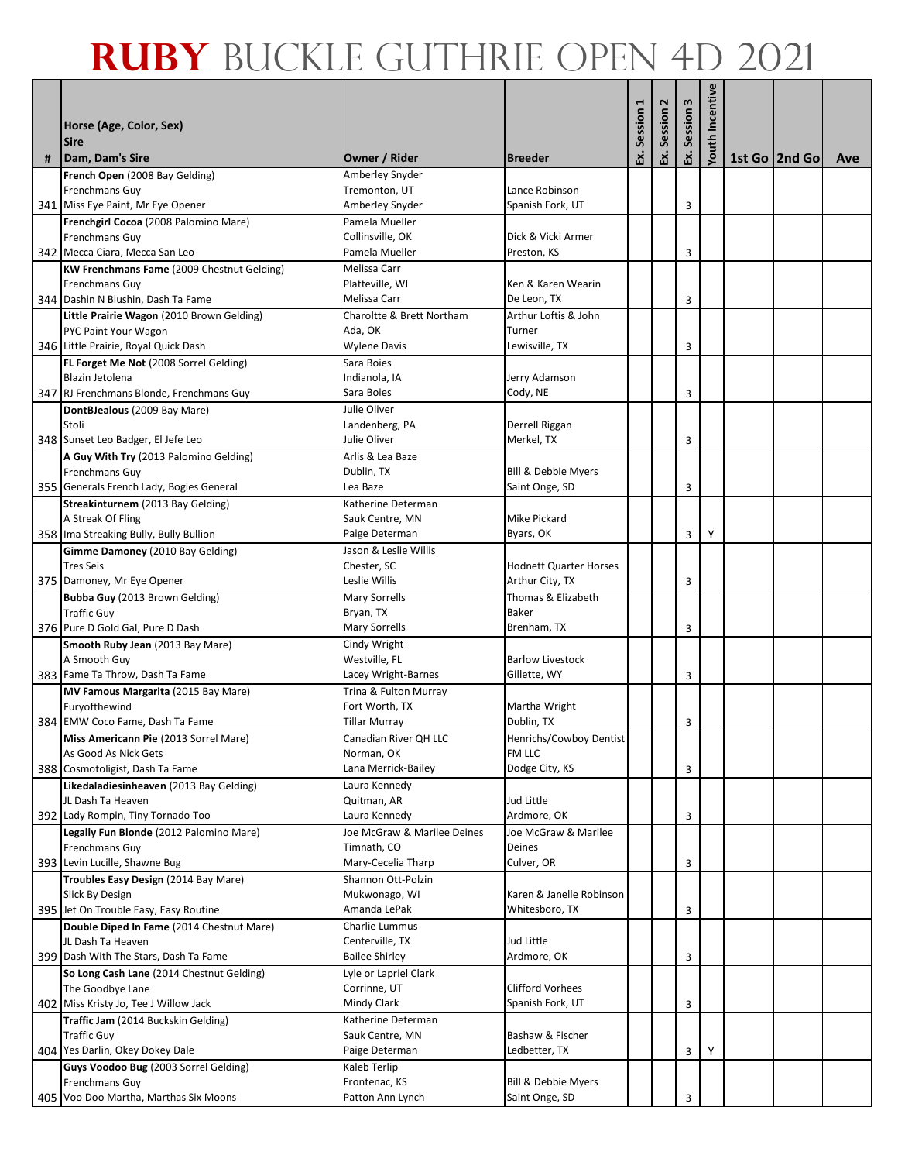|   |                                                                          |                                         |                                    |         | 2       | Session 3 | <b>Youth Incentive</b> |                 |     |
|---|--------------------------------------------------------------------------|-----------------------------------------|------------------------------------|---------|---------|-----------|------------------------|-----------------|-----|
|   | Horse (Age, Color, Sex)<br><b>Sire</b>                                   |                                         |                                    | Session | Session |           |                        |                 |     |
| # | Dam, Dam's Sire                                                          | Owner / Rider                           | <b>Breeder</b>                     | Ŀ.      | 덧.      | Š.        |                        | 1st Go   2nd Go | Ave |
|   | French Open (2008 Bay Gelding)                                           | Amberley Snyder                         |                                    |         |         |           |                        |                 |     |
|   | Frenchmans Guy<br>341 Miss Eye Paint, Mr Eye Opener                      | Tremonton, UT<br>Amberley Snyder        | Lance Robinson<br>Spanish Fork, UT |         |         | 3         |                        |                 |     |
|   | Frenchgirl Cocoa (2008 Palomino Mare)                                    | Pamela Mueller                          |                                    |         |         |           |                        |                 |     |
|   | Frenchmans Guy                                                           | Collinsville, OK                        | Dick & Vicki Armer                 |         |         |           |                        |                 |     |
|   | 342 Mecca Ciara, Mecca San Leo                                           | Pamela Mueller                          | Preston, KS                        |         |         | 3         |                        |                 |     |
|   | <b>KW Frenchmans Fame</b> (2009 Chestnut Gelding)                        | Melissa Carr                            |                                    |         |         |           |                        |                 |     |
|   | Frenchmans Guy<br>344 Dashin N Blushin, Dash Ta Fame                     | Platteville, WI<br>Melissa Carr         | Ken & Karen Wearin<br>De Leon, TX  |         |         | 3         |                        |                 |     |
|   | Little Prairie Wagon (2010 Brown Gelding)                                | Charoltte & Brett Northam               | Arthur Loftis & John               |         |         |           |                        |                 |     |
|   | <b>PYC Paint Your Wagon</b>                                              | Ada, OK                                 | Turner                             |         |         |           |                        |                 |     |
|   | 346 Little Prairie, Royal Quick Dash                                     | Wylene Davis                            | Lewisville, TX                     |         |         | 3         |                        |                 |     |
|   | FL Forget Me Not (2008 Sorrel Gelding)                                   | Sara Boies                              |                                    |         |         |           |                        |                 |     |
|   | Blazin Jetolena                                                          | Indianola, IA                           | Jerry Adamson                      |         |         |           |                        |                 |     |
|   | 347 RJ Frenchmans Blonde, Frenchmans Guy<br>DontBJealous (2009 Bay Mare) | Sara Boies<br>Julie Oliver              | Cody, NE                           |         |         | 3         |                        |                 |     |
|   | Stoli                                                                    | Landenberg, PA                          | Derrell Riggan                     |         |         |           |                        |                 |     |
|   | 348 Sunset Leo Badger, El Jefe Leo                                       | Julie Oliver                            | Merkel, TX                         |         |         | 3         |                        |                 |     |
|   | A Guy With Try (2013 Palomino Gelding)                                   | Arlis & Lea Baze                        |                                    |         |         |           |                        |                 |     |
|   | <b>Frenchmans Guy</b>                                                    | Dublin, TX<br>Lea Baze                  | Bill & Debbie Myers                |         |         |           |                        |                 |     |
|   | 355 Generals French Lady, Bogies General                                 | Katherine Determan                      | Saint Onge, SD                     |         |         | 3         |                        |                 |     |
|   | Streakinturnem (2013 Bay Gelding)<br>A Streak Of Fling                   | Sauk Centre, MN                         | <b>Mike Pickard</b>                |         |         |           |                        |                 |     |
|   | 358 Ima Streaking Bully, Bully Bullion                                   | Paige Determan                          | Byars, OK                          |         |         | 3         | Υ                      |                 |     |
|   | Gimme Damoney (2010 Bay Gelding)                                         | Jason & Leslie Willis                   |                                    |         |         |           |                        |                 |     |
|   | <b>Tres Seis</b>                                                         | Chester, SC                             | <b>Hodnett Quarter Horses</b>      |         |         |           |                        |                 |     |
|   | 375 Damoney, Mr Eye Opener                                               | Leslie Willis                           | Arthur City, TX                    |         |         | 3         |                        |                 |     |
|   | Bubba Guy (2013 Brown Gelding)<br><b>Traffic Guy</b>                     | Mary Sorrells<br>Bryan, TX              | Thomas & Elizabeth<br><b>Baker</b> |         |         |           |                        |                 |     |
|   | 376 Pure D Gold Gal, Pure D Dash                                         | <b>Mary Sorrells</b>                    | Brenham, TX                        |         |         | 3         |                        |                 |     |
|   | Smooth Ruby Jean (2013 Bay Mare)                                         | Cindy Wright                            |                                    |         |         |           |                        |                 |     |
|   | A Smooth Guy                                                             | Westville, FL                           | <b>Barlow Livestock</b>            |         |         |           |                        |                 |     |
|   | 383 Fame Ta Throw, Dash Ta Fame                                          | Lacey Wright-Barnes                     | Gillette, WY                       |         |         | 3         |                        |                 |     |
|   | MV Famous Margarita (2015 Bay Mare)<br>Furyofthewind                     | Trina & Fulton Murray<br>Fort Worth, TX | Martha Wright                      |         |         |           |                        |                 |     |
|   | 384 EMW Coco Fame, Dash Ta Fame                                          | <b>Tillar Murray</b>                    | Dublin, TX                         |         |         | 3         |                        |                 |     |
|   | Miss Americann Pie (2013 Sorrel Mare)                                    | Canadian River QH LLC                   | Henrichs/Cowboy Dentist            |         |         |           |                        |                 |     |
|   | As Good As Nick Gets                                                     | Norman, OK                              | FM LLC                             |         |         |           |                        |                 |     |
|   | 388 Cosmotoligist, Dash Ta Fame                                          | Lana Merrick-Bailey                     | Dodge City, KS                     |         |         | 3         |                        |                 |     |
|   | Likedaladiesinheaven (2013 Bay Gelding)<br>JL Dash Ta Heaven             | Laura Kennedy<br>Quitman, AR            | Jud Little                         |         |         |           |                        |                 |     |
|   | 392 Lady Rompin, Tiny Tornado Too                                        | Laura Kennedy                           | Ardmore, OK                        |         |         | 3         |                        |                 |     |
|   | Legally Fun Blonde (2012 Palomino Mare)                                  | Joe McGraw & Marilee Deines             | Joe McGraw & Marilee               |         |         |           |                        |                 |     |
|   | Frenchmans Guy                                                           | Timnath, CO                             | Deines                             |         |         |           |                        |                 |     |
|   | 393 Levin Lucille, Shawne Bug                                            | Mary-Cecelia Tharp                      | Culver, OR                         |         |         | 3         |                        |                 |     |
|   | Troubles Easy Design (2014 Bay Mare)<br>Slick By Design                  | Shannon Ott-Polzin<br>Mukwonago, WI     | Karen & Janelle Robinson           |         |         |           |                        |                 |     |
|   | 395 Jet On Trouble Easy, Easy Routine                                    | Amanda LePak                            | Whitesboro, TX                     |         |         | 3         |                        |                 |     |
|   | Double Diped In Fame (2014 Chestnut Mare)                                | Charlie Lummus                          |                                    |         |         |           |                        |                 |     |
|   | JL Dash Ta Heaven                                                        | Centerville, TX                         | Jud Little                         |         |         |           |                        |                 |     |
|   | 399 Dash With The Stars, Dash Ta Fame                                    | <b>Bailee Shirley</b>                   | Ardmore, OK                        |         |         | 3         |                        |                 |     |
|   | So Long Cash Lane (2014 Chestnut Gelding)<br>The Goodbye Lane            | Lyle or Lapriel Clark<br>Corrinne, UT   | <b>Clifford Vorhees</b>            |         |         |           |                        |                 |     |
|   | 402 Miss Kristy Jo, Tee J Willow Jack                                    | Mindy Clark                             | Spanish Fork, UT                   |         |         | 3         |                        |                 |     |
|   | Traffic Jam (2014 Buckskin Gelding)                                      | Katherine Determan                      |                                    |         |         |           |                        |                 |     |
|   | <b>Traffic Guy</b>                                                       | Sauk Centre, MN                         | Bashaw & Fischer                   |         |         |           |                        |                 |     |
|   | 404 Yes Darlin, Okey Dokey Dale                                          | Paige Determan                          | Ledbetter, TX                      |         |         | 3         | Y                      |                 |     |
|   | Guys Voodoo Bug (2003 Sorrel Gelding)<br>Frenchmans Guy                  | Kaleb Terlip<br>Frontenac, KS           | Bill & Debbie Myers                |         |         |           |                        |                 |     |
|   | 405 Voo Doo Martha, Marthas Six Moons                                    | Patton Ann Lynch                        | Saint Onge, SD                     |         |         | 3         |                        |                 |     |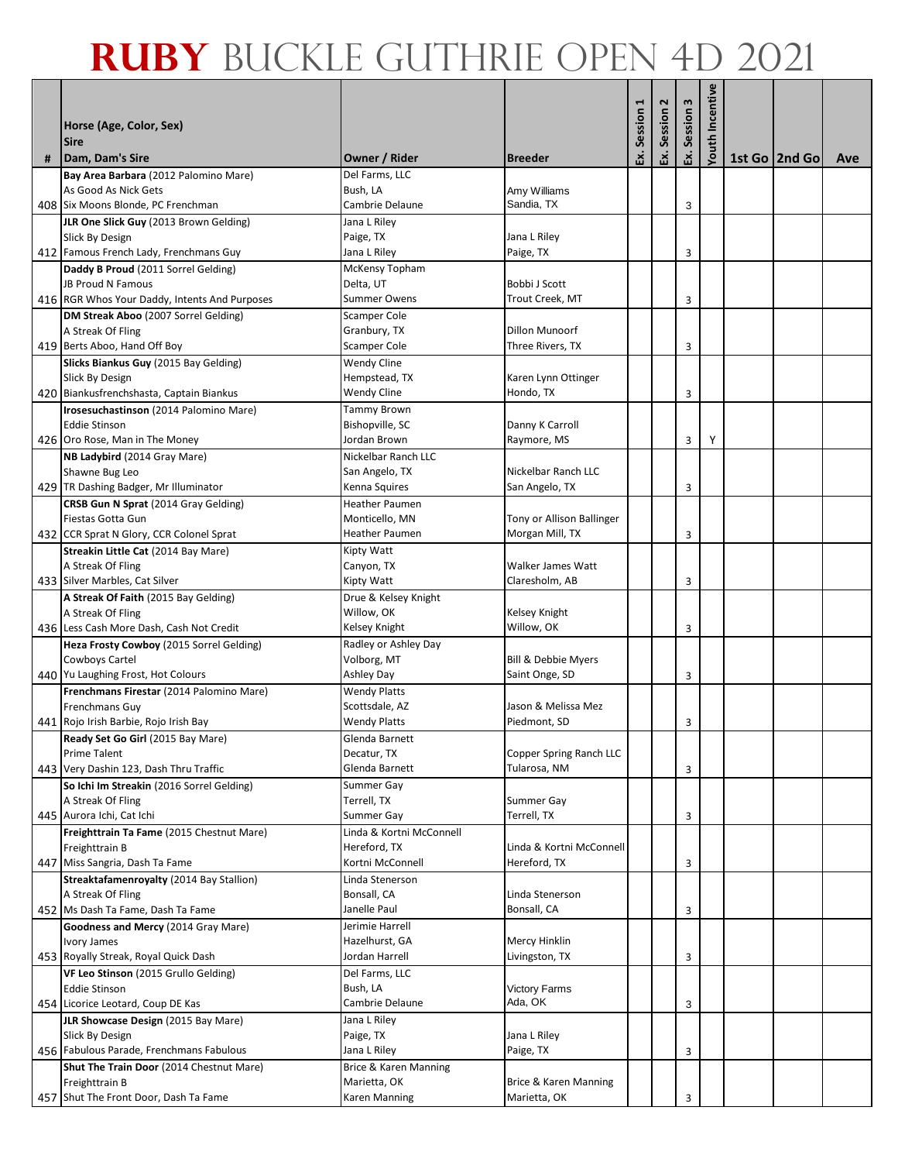|   |                                                                                      |                                       |                                          |         | 2       |           | Youth Incentive |                 |     |
|---|--------------------------------------------------------------------------------------|---------------------------------------|------------------------------------------|---------|---------|-----------|-----------------|-----------------|-----|
|   | Horse (Age, Color, Sex)<br><b>Sire</b>                                               |                                       |                                          | Session | Session | Session 3 |                 |                 |     |
| # | Dam, Dam's Sire                                                                      | Owner / Rider                         | <b>Breeder</b>                           | Ŀ.      | 덧.      | Š.        |                 | 1st Go   2nd Go | Ave |
|   | Bay Area Barbara (2012 Palomino Mare)                                                | Del Farms, LLC                        |                                          |         |         |           |                 |                 |     |
|   | As Good As Nick Gets<br>408 Six Moons Blonde, PC Frenchman                           | Bush, LA<br>Cambrie Delaune           | Amy Williams<br>Sandia, TX               |         |         | 3         |                 |                 |     |
|   | JLR One Slick Guy (2013 Brown Gelding)                                               | Jana L Riley                          |                                          |         |         |           |                 |                 |     |
|   | Slick By Design                                                                      | Paige, TX                             | Jana L Riley                             |         |         |           |                 |                 |     |
|   | 412 Famous French Lady, Frenchmans Guy                                               | Jana L Riley                          | Paige, TX                                |         |         | 3         |                 |                 |     |
|   | Daddy B Proud (2011 Sorrel Gelding)<br>JB Proud N Famous                             | McKensy Topham<br>Delta, UT           | Bobbi J Scott                            |         |         |           |                 |                 |     |
|   | 416 RGR Whos Your Daddy, Intents And Purposes                                        | <b>Summer Owens</b>                   | Trout Creek, MT                          |         |         | 3         |                 |                 |     |
|   | DM Streak Aboo (2007 Sorrel Gelding)                                                 | Scamper Cole                          |                                          |         |         |           |                 |                 |     |
|   | A Streak Of Fling                                                                    | Granbury, TX                          | Dillon Munoorf                           |         |         |           |                 |                 |     |
|   | 419 Berts Aboo, Hand Off Boy                                                         | Scamper Cole                          | Three Rivers, TX                         |         |         | 3         |                 |                 |     |
|   | Slicks Biankus Guy (2015 Bay Gelding)                                                | <b>Wendy Cline</b>                    |                                          |         |         |           |                 |                 |     |
|   | Slick By Design<br>420 Biankusfrenchshasta, Captain Biankus                          | Hempstead, TX<br>Wendy Cline          | Karen Lynn Ottinger<br>Hondo, TX         |         |         | 3         |                 |                 |     |
|   | Irosesuchastinson (2014 Palomino Mare)                                               | Tammy Brown                           |                                          |         |         |           |                 |                 |     |
|   | <b>Eddie Stinson</b>                                                                 | Bishopville, SC                       | Danny K Carroll                          |         |         |           |                 |                 |     |
|   | 426 Oro Rose, Man in The Money                                                       | Jordan Brown                          | Raymore, MS                              |         |         | 3         | Υ               |                 |     |
|   | NB Ladybird (2014 Gray Mare)                                                         | Nickelbar Ranch LLC                   |                                          |         |         |           |                 |                 |     |
|   | Shawne Bug Leo<br>429 TR Dashing Badger, Mr Illuminator                              | San Angelo, TX<br>Kenna Squires       | Nickelbar Ranch LLC<br>San Angelo, TX    |         |         | 3         |                 |                 |     |
|   | CRSB Gun N Sprat (2014 Gray Gelding)                                                 | <b>Heather Paumen</b>                 |                                          |         |         |           |                 |                 |     |
|   | Fiestas Gotta Gun                                                                    | Monticello, MN                        | Tony or Allison Ballinger                |         |         |           |                 |                 |     |
|   | 432 CCR Sprat N Glory, CCR Colonel Sprat                                             | Heather Paumen                        | Morgan Mill, TX                          |         |         | 3         |                 |                 |     |
|   | Streakin Little Cat (2014 Bay Mare)                                                  | Kipty Watt                            |                                          |         |         |           |                 |                 |     |
|   | A Streak Of Fling                                                                    | Canyon, TX                            | Walker James Watt<br>Claresholm, AB      |         |         |           |                 |                 |     |
|   | 433 Silver Marbles, Cat Silver<br>A Streak Of Faith (2015 Bay Gelding)               | Kipty Watt<br>Drue & Kelsey Knight    |                                          |         |         | 3         |                 |                 |     |
|   | A Streak Of Fling                                                                    | Willow, OK                            | Kelsey Knight                            |         |         |           |                 |                 |     |
|   | 436 Less Cash More Dash, Cash Not Credit                                             | Kelsey Knight                         | Willow, OK                               |         |         | 3         |                 |                 |     |
|   | Heza Frosty Cowboy (2015 Sorrel Gelding)                                             | Radley or Ashley Day                  |                                          |         |         |           |                 |                 |     |
|   | Cowboys Cartel<br>440 Yu Laughing Frost, Hot Colours                                 | Volborg, MT                           | <b>Bill &amp; Debbie Myers</b>           |         |         |           |                 |                 |     |
|   | Frenchmans Firestar (2014 Palomino Mare)                                             | Ashley Day<br><b>Wendy Platts</b>     | Saint Onge, SD                           |         |         | 3         |                 |                 |     |
|   | Frenchmans Guy                                                                       | Scottsdale, AZ                        | Jason & Melissa Mez                      |         |         |           |                 |                 |     |
|   | 441 Rojo Irish Barbie, Rojo Irish Bay                                                | <b>Wendy Platts</b>                   | Piedmont, SD                             |         |         | 3         |                 |                 |     |
|   | Ready Set Go Girl (2015 Bay Mare)                                                    | Glenda Barnett                        |                                          |         |         |           |                 |                 |     |
|   | Prime Talent                                                                         | Decatur, TX                           | <b>Copper Spring Ranch LLC</b>           |         |         |           |                 |                 |     |
|   | 443 Very Dashin 123, Dash Thru Traffic<br>So Ichi Im Streakin (2016 Sorrel Gelding)  | Glenda Barnett<br>Summer Gay          | Tularosa, NM                             |         |         | 3         |                 |                 |     |
|   | A Streak Of Fling                                                                    | Terrell, TX                           | <b>Summer Gay</b>                        |         |         |           |                 |                 |     |
|   | 445 Aurora Ichi, Cat Ichi                                                            | Summer Gay                            | Terrell, TX                              |         |         | 3         |                 |                 |     |
|   | Freighttrain Ta Fame (2015 Chestnut Mare)                                            | Linda & Kortni McConnell              |                                          |         |         |           |                 |                 |     |
|   | Freighttrain B                                                                       | Hereford, TX<br>Kortni McConnell      | Linda & Kortni McConnell<br>Hereford, TX |         |         | 3         |                 |                 |     |
|   | 447 Miss Sangria, Dash Ta Fame<br>Streaktafamenrovalty (2014 Bay Stallion)           | Linda Stenerson                       |                                          |         |         |           |                 |                 |     |
|   | A Streak Of Fling                                                                    | Bonsall, CA                           | Linda Stenerson                          |         |         |           |                 |                 |     |
|   | 452 Ms Dash Ta Fame, Dash Ta Fame                                                    | Janelle Paul                          | Bonsall, CA                              |         |         | 3         |                 |                 |     |
|   | Goodness and Mercy (2014 Gray Mare)                                                  | Jerimie Harrell                       |                                          |         |         |           |                 |                 |     |
|   | Ivory James                                                                          | Hazelhurst, GA                        | <b>Mercy Hinklin</b>                     |         |         |           |                 |                 |     |
|   | 453 Royally Streak, Royal Quick Dash<br>VF Leo Stinson (2015 Grullo Gelding)         | Jordan Harrell<br>Del Farms, LLC      | Livingston, TX                           |         |         | 3         |                 |                 |     |
|   | <b>Eddie Stinson</b>                                                                 | Bush, LA                              | <b>Victory Farms</b>                     |         |         |           |                 |                 |     |
|   | 454 Licorice Leotard, Coup DE Kas                                                    | Cambrie Delaune                       | Ada, OK                                  |         |         | 3         |                 |                 |     |
|   | JLR Showcase Design (2015 Bay Mare)                                                  | Jana L Riley                          |                                          |         |         |           |                 |                 |     |
|   | Slick By Design                                                                      | Paige, TX                             | Jana L Riley                             |         |         |           |                 |                 |     |
|   | 456 Fabulous Parade, Frenchmans Fabulous<br>Shut The Train Door (2014 Chestnut Mare) | Jana L Riley<br>Brice & Karen Manning | Paige, TX                                |         |         | 3         |                 |                 |     |
|   | Freighttrain B                                                                       | Marietta, OK                          | Brice & Karen Manning                    |         |         |           |                 |                 |     |
|   | 457 Shut The Front Door, Dash Ta Fame                                                | Karen Manning                         | Marietta, OK                             |         |         | 3         |                 |                 |     |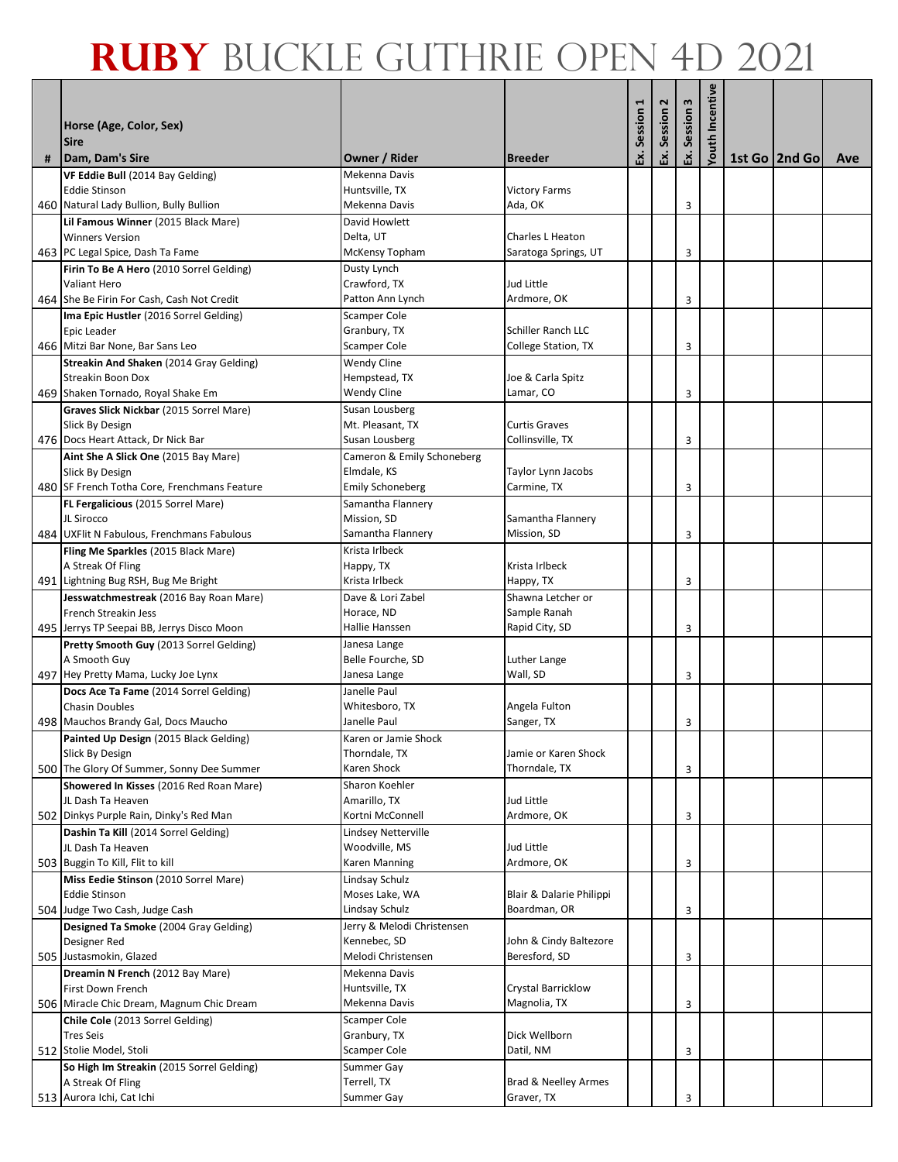|   | Horse (Age, Color, Sex)<br><b>Sire</b>                             |                                     |                                               | Ex. Session | Session 2 | Session 3 | Youth Incentive |                 |     |
|---|--------------------------------------------------------------------|-------------------------------------|-----------------------------------------------|-------------|-----------|-----------|-----------------|-----------------|-----|
| # | Dam, Dam's Sire                                                    | Owner / Rider                       | <b>Breeder</b>                                |             | 덧.        | Š.        |                 | 1st Go   2nd Go | Ave |
|   | VF Eddie Bull (2014 Bay Gelding)                                   | Mekenna Davis                       |                                               |             |           |           |                 |                 |     |
|   | <b>Eddie Stinson</b>                                               | Huntsville, TX                      | <b>Victory Farms</b>                          |             |           |           |                 |                 |     |
|   | 460 Natural Lady Bullion, Bully Bullion                            | Mekenna Davis                       | Ada, OK                                       |             |           | 3         |                 |                 |     |
|   | Lil Famous Winner (2015 Black Mare)<br><b>Winners Version</b>      | David Howlett<br>Delta, UT          | Charles L Heaton                              |             |           |           |                 |                 |     |
|   | 463 PC Legal Spice, Dash Ta Fame                                   | McKensy Topham                      | Saratoga Springs, UT                          |             |           | 3         |                 |                 |     |
|   | Firin To Be A Hero (2010 Sorrel Gelding)                           | Dusty Lynch                         |                                               |             |           |           |                 |                 |     |
|   | Valiant Hero                                                       | Crawford, TX                        | Jud Little                                    |             |           |           |                 |                 |     |
|   | 464 She Be Firin For Cash, Cash Not Credit                         | Patton Ann Lynch                    | Ardmore, OK                                   |             |           | 3         |                 |                 |     |
|   | Ima Epic Hustler (2016 Sorrel Gelding)<br>Epic Leader              | <b>Scamper Cole</b><br>Granbury, TX | Schiller Ranch LLC                            |             |           |           |                 |                 |     |
|   | 466 Mitzi Bar None, Bar Sans Leo                                   | Scamper Cole                        | College Station, TX                           |             |           | 3         |                 |                 |     |
|   | Streakin And Shaken (2014 Gray Gelding)                            | <b>Wendy Cline</b>                  |                                               |             |           |           |                 |                 |     |
|   | Streakin Boon Dox                                                  | Hempstead, TX                       | Joe & Carla Spitz                             |             |           |           |                 |                 |     |
|   | 469 Shaken Tornado, Royal Shake Em                                 | Wendy Cline                         | Lamar, CO                                     |             |           | 3         |                 |                 |     |
|   | Graves Slick Nickbar (2015 Sorrel Mare)<br>Slick By Design         | Susan Lousberg<br>Mt. Pleasant, TX  | <b>Curtis Graves</b>                          |             |           |           |                 |                 |     |
|   | 476 Docs Heart Attack, Dr Nick Bar                                 | Susan Lousberg                      | Collinsville, TX                              |             |           | 3         |                 |                 |     |
|   | Aint She A Slick One (2015 Bay Mare)                               | Cameron & Emily Schoneberg          |                                               |             |           |           |                 |                 |     |
|   | Slick By Design                                                    | Elmdale, KS                         | Taylor Lynn Jacobs                            |             |           |           |                 |                 |     |
|   | 480 SF French Totha Core, Frenchmans Feature                       | <b>Emily Schoneberg</b>             | Carmine, TX                                   |             |           | 3         |                 |                 |     |
|   | FL Fergalicious (2015 Sorrel Mare)                                 | Samantha Flannery                   |                                               |             |           |           |                 |                 |     |
|   | JL Sirocco<br>484 UXFlit N Fabulous, Frenchmans Fabulous           | Mission, SD<br>Samantha Flannery    | Samantha Flannery<br>Mission, SD              |             |           | 3         |                 |                 |     |
|   | Fling Me Sparkles (2015 Black Mare)                                | Krista Irlbeck                      |                                               |             |           |           |                 |                 |     |
|   | A Streak Of Fling                                                  | Happy, TX                           | Krista Irlbeck                                |             |           |           |                 |                 |     |
|   | 491 Lightning Bug RSH, Bug Me Bright                               | Krista Irlbeck                      | Happy, TX                                     |             |           | 3         |                 |                 |     |
|   | Jesswatchmestreak (2016 Bay Roan Mare)                             | Dave & Lori Zabel                   | Shawna Letcher or                             |             |           |           |                 |                 |     |
|   | French Streakin Jess<br>495 Jerrys TP Seepai BB, Jerrys Disco Moon | Horace, ND<br>Hallie Hanssen        | Sample Ranah<br>Rapid City, SD                |             |           | 3         |                 |                 |     |
|   | Pretty Smooth Guy (2013 Sorrel Gelding)                            | Janesa Lange                        |                                               |             |           |           |                 |                 |     |
|   | A Smooth Guy                                                       | Belle Fourche, SD                   | Luther Lange                                  |             |           |           |                 |                 |     |
|   | 497 Hey Pretty Mama, Lucky Joe Lynx                                | Janesa Lange                        | Wall, SD                                      |             |           | 3         |                 |                 |     |
|   | Docs Ace Ta Fame (2014 Sorrel Gelding)                             | Janelle Paul<br>Whitesboro, TX      |                                               |             |           |           |                 |                 |     |
|   | <b>Chasin Doubles</b><br>498 Mauchos Brandy Gal, Docs Maucho       | Janelle Paul                        | Angela Fulton<br>Sanger, TX                   |             |           | 3         |                 |                 |     |
|   | Painted Up Design (2015 Black Gelding)                             | Karen or Jamie Shock                |                                               |             |           |           |                 |                 |     |
|   | Slick By Design                                                    | Thorndale, TX                       | Jamie or Karen Shock                          |             |           |           |                 |                 |     |
|   | 500 The Glory Of Summer, Sonny Dee Summer                          | Karen Shock                         | Thorndale, TX                                 |             |           | 3         |                 |                 |     |
|   | Showered In Kisses (2016 Red Roan Mare)                            | Sharon Koehler                      |                                               |             |           |           |                 |                 |     |
|   | JL Dash Ta Heaven<br>502 Dinkys Purple Rain, Dinky's Red Man       | Amarillo, TX<br>Kortni McConnell    | Jud Little<br>Ardmore, OK                     |             |           | 3         |                 |                 |     |
|   | Dashin Ta Kill (2014 Sorrel Gelding)                               | Lindsey Netterville                 |                                               |             |           |           |                 |                 |     |
|   | JL Dash Ta Heaven                                                  | Woodville, MS                       | Jud Little                                    |             |           |           |                 |                 |     |
|   | 503 Buggin To Kill, Flit to kill                                   | Karen Manning                       | Ardmore, OK                                   |             |           | 3         |                 |                 |     |
|   | Miss Eedie Stinson (2010 Sorrel Mare)<br><b>Eddie Stinson</b>      | Lindsay Schulz<br>Moses Lake, WA    | Blair & Dalarie Philippi                      |             |           |           |                 |                 |     |
|   | 504 Judge Two Cash, Judge Cash                                     | Lindsay Schulz                      | Boardman, OR                                  |             |           | 3         |                 |                 |     |
|   | Designed Ta Smoke (2004 Gray Gelding)                              | Jerry & Melodi Christensen          |                                               |             |           |           |                 |                 |     |
|   | Designer Red                                                       | Kennebec, SD                        | John & Cindy Baltezore                        |             |           |           |                 |                 |     |
|   | 505 Justasmokin, Glazed                                            | Melodi Christensen                  | Beresford, SD                                 |             |           | 3         |                 |                 |     |
|   | Dreamin N French (2012 Bay Mare)                                   | Mekenna Davis                       |                                               |             |           |           |                 |                 |     |
|   | First Down French<br>506 Miracle Chic Dream, Magnum Chic Dream     | Huntsville, TX<br>Mekenna Davis     | Crystal Barricklow<br>Magnolia, TX            |             |           | 3         |                 |                 |     |
|   | Chile Cole (2013 Sorrel Gelding)                                   | Scamper Cole                        |                                               |             |           |           |                 |                 |     |
|   | <b>Tres Seis</b>                                                   | Granbury, TX                        | Dick Wellborn                                 |             |           |           |                 |                 |     |
|   | 512 Stolie Model, Stoli                                            | Scamper Cole                        | Datil, NM                                     |             |           | 3         |                 |                 |     |
|   | So High Im Streakin (2015 Sorrel Gelding)                          | Summer Gay                          |                                               |             |           |           |                 |                 |     |
|   | A Streak Of Fling<br>513 Aurora Ichi, Cat Ichi                     | Terrell, TX<br>Summer Gay           | <b>Brad &amp; Neelley Armes</b><br>Graver, TX |             |           | 3         |                 |                 |     |
|   |                                                                    |                                     |                                               |             |           |           |                 |                 |     |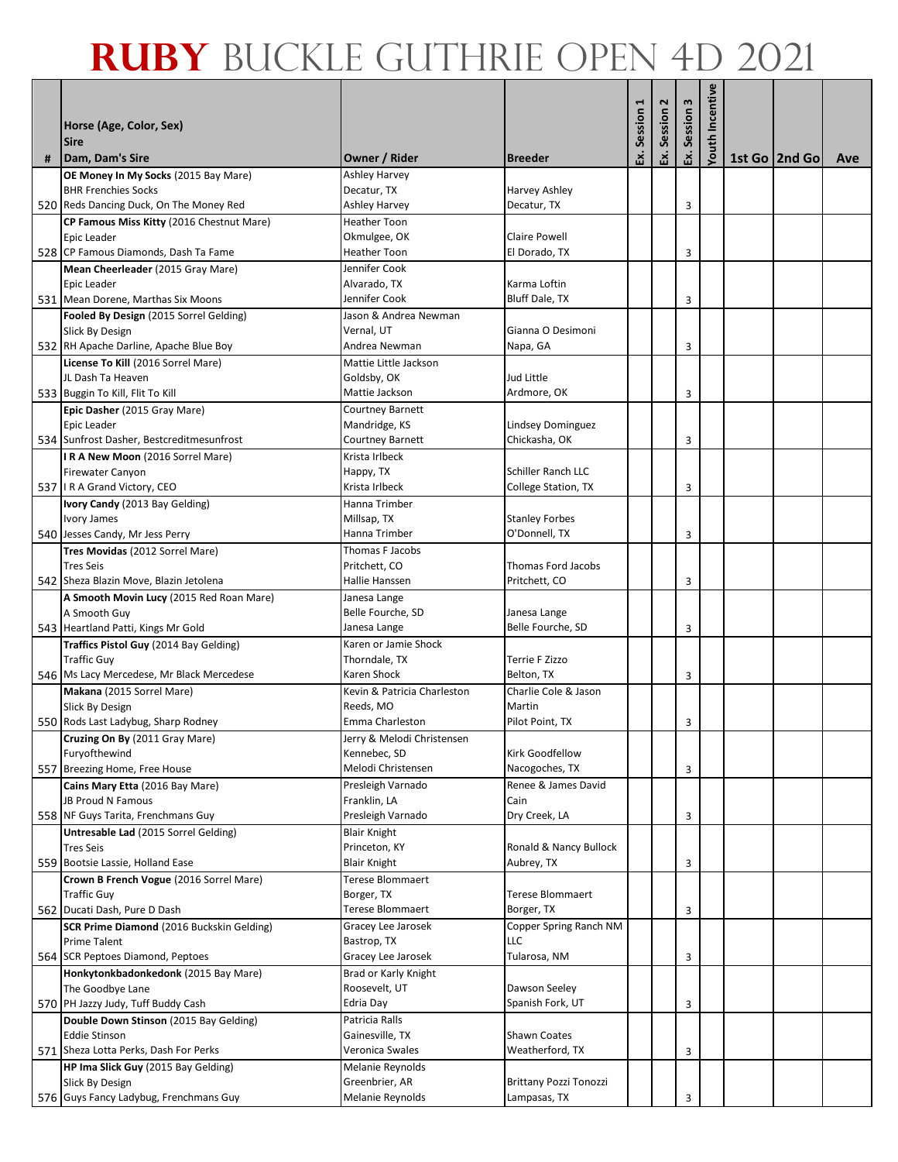|   | Horse (Age, Color, Sex)                                                  |                                            |                                               |             | Session 2 | Session 3 | Youth Incentive |                 |     |
|---|--------------------------------------------------------------------------|--------------------------------------------|-----------------------------------------------|-------------|-----------|-----------|-----------------|-----------------|-----|
|   | <b>Sire</b>                                                              |                                            |                                               | Ex. Session |           |           |                 |                 |     |
| # | Dam, Dam's Sire                                                          | Owner / Rider                              | <b>Breeder</b>                                |             | 덧.        | Š.        |                 | 1st Go   2nd Go | Ave |
|   | OE Money In My Socks (2015 Bay Mare)<br><b>BHR Frenchies Socks</b>       | <b>Ashley Harvey</b>                       | Harvey Ashley                                 |             |           |           |                 |                 |     |
|   | 520 Reds Dancing Duck, On The Money Red                                  | Decatur, TX<br>Ashley Harvey               | Decatur, TX                                   |             |           | 3         |                 |                 |     |
|   | CP Famous Miss Kitty (2016 Chestnut Mare)                                | Heather Toon                               |                                               |             |           |           |                 |                 |     |
|   | Epic Leader                                                              | Okmulgee, OK                               | <b>Claire Powell</b>                          |             |           |           |                 |                 |     |
|   | 528 CP Famous Diamonds, Dash Ta Fame                                     | <b>Heather Toon</b>                        | El Dorado, TX                                 |             |           | 3         |                 |                 |     |
|   | Mean Cheerleader (2015 Gray Mare)                                        | Jennifer Cook                              |                                               |             |           |           |                 |                 |     |
|   | Epic Leader                                                              | Alvarado, TX                               | Karma Loftin                                  |             |           |           |                 |                 |     |
|   | 531 Mean Dorene, Marthas Six Moons                                       | Jennifer Cook                              | Bluff Dale, TX                                |             |           | 3         |                 |                 |     |
|   | Fooled By Design (2015 Sorrel Gelding)<br>Slick By Design                | Jason & Andrea Newman<br>Vernal, UT        | Gianna O Desimoni                             |             |           |           |                 |                 |     |
|   | 532 RH Apache Darline, Apache Blue Boy                                   | Andrea Newman                              | Napa, GA                                      |             |           | 3         |                 |                 |     |
|   | License To Kill (2016 Sorrel Mare)                                       | Mattie Little Jackson                      |                                               |             |           |           |                 |                 |     |
|   | JL Dash Ta Heaven                                                        | Goldsby, OK                                | Jud Little                                    |             |           |           |                 |                 |     |
|   | 533 Buggin To Kill, Flit To Kill                                         | Mattie Jackson                             | Ardmore, OK                                   |             |           | 3         |                 |                 |     |
|   | Epic Dasher (2015 Gray Mare)                                             | Courtney Barnett                           |                                               |             |           |           |                 |                 |     |
|   | Epic Leader                                                              | Mandridge, KS                              | Lindsey Dominguez                             |             |           |           |                 |                 |     |
|   | 534 Sunfrost Dasher, Bestcreditmesunfrost                                | <b>Courtney Barnett</b>                    | Chickasha, OK                                 |             |           | 3         |                 |                 |     |
|   | IRA New Moon (2016 Sorrel Mare)<br><b>Firewater Canyon</b>               | Krista Irlbeck<br>Happy, TX                | Schiller Ranch LLC                            |             |           |           |                 |                 |     |
|   | 537 I R A Grand Victory, CEO                                             | Krista Irlbeck                             | College Station, TX                           |             |           | 3         |                 |                 |     |
|   | Ivory Candy (2013 Bay Gelding)                                           | Hanna Trimber                              |                                               |             |           |           |                 |                 |     |
|   | Ivory James                                                              | Millsap, TX                                | <b>Stanley Forbes</b>                         |             |           |           |                 |                 |     |
|   | 540 Jesses Candy, Mr Jess Perry                                          | Hanna Trimber                              | O'Donnell, TX                                 |             |           | 3         |                 |                 |     |
|   | Tres Movidas (2012 Sorrel Mare)                                          | Thomas F Jacobs                            |                                               |             |           |           |                 |                 |     |
|   | <b>Tres Seis</b>                                                         | Pritchett, CO                              | Thomas Ford Jacobs                            |             |           |           |                 |                 |     |
|   | 542 Sheza Blazin Move, Blazin Jetolena                                   | Hallie Hanssen                             | Pritchett, CO                                 |             |           | 3         |                 |                 |     |
|   | A Smooth Movin Lucy (2015 Red Roan Mare)<br>A Smooth Guy                 | Janesa Lange<br>Belle Fourche, SD          | Janesa Lange                                  |             |           |           |                 |                 |     |
|   | 543 Heartland Patti, Kings Mr Gold                                       | Janesa Lange                               | Belle Fourche, SD                             |             |           | 3         |                 |                 |     |
|   | Traffics Pistol Guy (2014 Bay Gelding)                                   | Karen or Jamie Shock                       |                                               |             |           |           |                 |                 |     |
|   | <b>Traffic Guy</b>                                                       | Thorndale, TX                              | Terrie F Zizzo                                |             |           |           |                 |                 |     |
|   | 546 Ms Lacy Mercedese, Mr Black Mercedese                                | Karen Shock                                | Belton, TX                                    |             |           | 3         |                 |                 |     |
|   | Makana (2015 Sorrel Mare)                                                | Kevin & Patricia Charleston                | Charlie Cole & Jason                          |             |           |           |                 |                 |     |
|   | Slick By Design                                                          | Reeds, MO<br>Emma Charleston               | Martin<br>Pilot Point, TX                     |             |           |           |                 |                 |     |
|   | 550 Rods Last Ladybug, Sharp Rodney<br>Cruzing On By (2011 Gray Mare)    | Jerry & Melodi Christensen                 |                                               |             |           | 3         |                 |                 |     |
|   | Furyofthewind                                                            | Kennebec, SD                               | Kirk Goodfellow                               |             |           |           |                 |                 |     |
|   | 557 Breezing Home, Free House                                            | Melodi Christensen                         | Nacogoches, TX                                |             |           | 3         |                 |                 |     |
|   | Cains Mary Etta (2016 Bay Mare)                                          | Presleigh Varnado                          | Renee & James David                           |             |           |           |                 |                 |     |
|   | JB Proud N Famous                                                        | Franklin, LA                               | Cain                                          |             |           |           |                 |                 |     |
|   | 558 NF Guys Tarita, Frenchmans Guy                                       | Presleigh Varnado                          | Dry Creek, LA                                 |             |           | 3         |                 |                 |     |
|   | Untresable Lad (2015 Sorrel Gelding)<br><b>Tres Seis</b>                 | <b>Blair Knight</b><br>Princeton, KY       | Ronald & Nancy Bullock                        |             |           |           |                 |                 |     |
|   | 559 Bootsie Lassie, Holland Ease                                         | <b>Blair Knight</b>                        | Aubrey, TX                                    |             |           | 3         |                 |                 |     |
|   | Crown B French Vogue (2016 Sorrel Mare)                                  | Terese Blommaert                           |                                               |             |           |           |                 |                 |     |
|   | <b>Traffic Guy</b>                                                       | Borger, TX                                 | <b>Terese Blommaert</b>                       |             |           |           |                 |                 |     |
|   | 562 Ducati Dash, Pure D Dash                                             | <b>Terese Blommaert</b>                    | Borger, TX                                    |             |           | 3         |                 |                 |     |
|   | SCR Prime Diamond (2016 Buckskin Gelding)                                | Gracey Lee Jarosek                         | Copper Spring Ranch NM                        |             |           |           |                 |                 |     |
|   | <b>Prime Talent</b>                                                      | Bastrop, TX                                | LLC                                           |             |           |           |                 |                 |     |
|   | 564 SCR Peptoes Diamond, Peptoes<br>Honkytonkbadonkedonk (2015 Bay Mare) | Gracey Lee Jarosek<br>Brad or Karly Knight | Tularosa, NM                                  |             |           | 3         |                 |                 |     |
|   | The Goodbye Lane                                                         | Roosevelt, UT                              | Dawson Seeley                                 |             |           |           |                 |                 |     |
|   | 570 PH Jazzy Judy, Tuff Buddy Cash                                       | Edria Day                                  | Spanish Fork, UT                              |             |           | 3         |                 |                 |     |
|   | Double Down Stinson (2015 Bay Gelding)                                   | Patricia Ralls                             |                                               |             |           |           |                 |                 |     |
|   | <b>Eddie Stinson</b>                                                     | Gainesville, TX                            | Shawn Coates                                  |             |           |           |                 |                 |     |
|   | 571 Sheza Lotta Perks, Dash For Perks                                    | Veronica Swales                            | Weatherford, TX                               |             |           | 3         |                 |                 |     |
|   | HP Ima Slick Guy (2015 Bay Gelding)                                      | Melanie Reynolds                           |                                               |             |           |           |                 |                 |     |
|   | Slick By Design<br>576 Guys Fancy Ladybug, Frenchmans Guy                | Greenbrier, AR<br>Melanie Reynolds         | <b>Brittany Pozzi Tonozzi</b><br>Lampasas, TX |             |           | 3         |                 |                 |     |
|   |                                                                          |                                            |                                               |             |           |           |                 |                 |     |